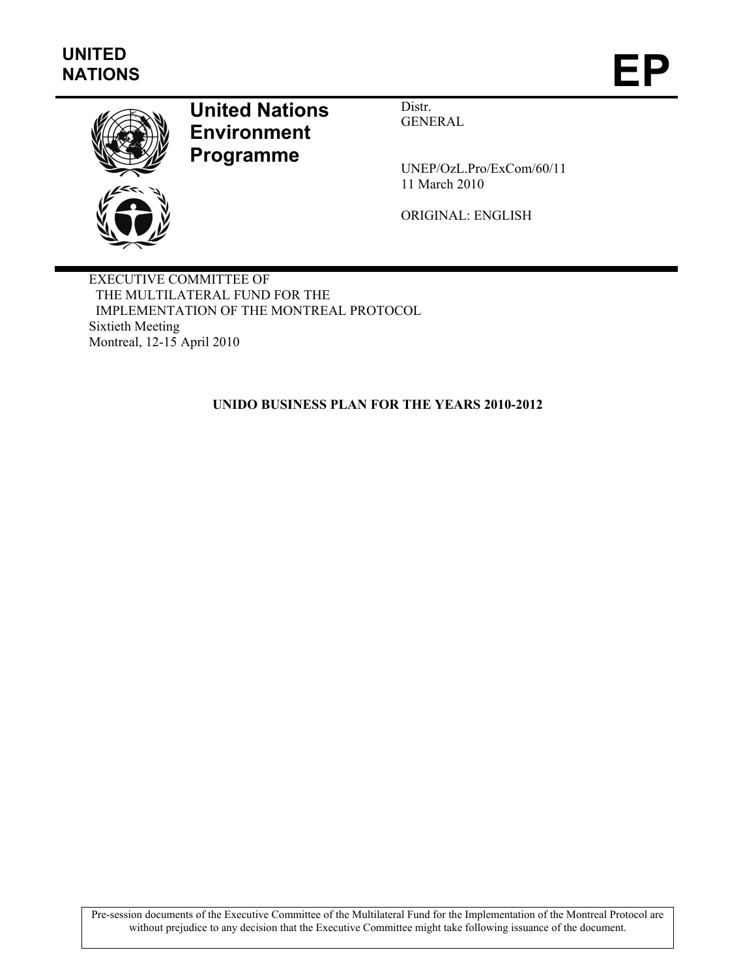

# **United Nations Environment Programme**

Distr. GENERAL

UNEP/OzL.Pro/ExCom/60/11 11 March 2010

ORIGINAL: ENGLISH

EXECUTIVE COMMITTEE OF THE MULTILATERAL FUND FOR THE IMPLEMENTATION OF THE MONTREAL PROTOCOL Sixtieth Meeting Montreal, 12-15 April 2010

**UNIDO BUSINESS PLAN FOR THE YEARS 2010-2012** 

Pre-session documents of the Executive Committee of the Multilateral Fund for the Implementation of the Montreal Protocol are without prejudice to any decision that the Executive Committee might take following issuance of the document.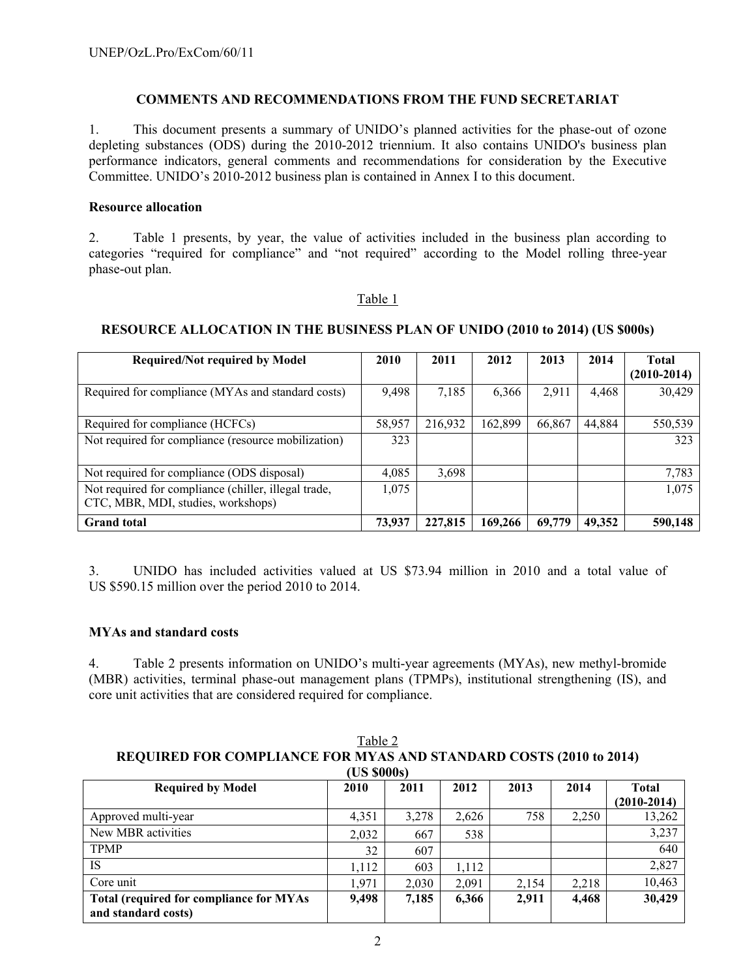# **COMMENTS AND RECOMMENDATIONS FROM THE FUND SECRETARIAT**

1. This document presents a summary of UNIDO's planned activities for the phase-out of ozone depleting substances (ODS) during the 2010-2012 triennium. It also contains UNIDO's business plan performance indicators, general comments and recommendations for consideration by the Executive Committee. UNIDO's 2010-2012 business plan is contained in Annex I to this document.

### **Resource allocation**

2. Table 1 presents, by year, the value of activities included in the business plan according to categories "required for compliance" and "not required" according to the Model rolling three-year phase-out plan.

### Table 1

# **RESOURCE ALLOCATION IN THE BUSINESS PLAN OF UNIDO (2010 to 2014) (US \$000s)**

| <b>Required/Not required by Model</b>                                                      | 2010   | 2011    | 2012    | 2013   | 2014   | <b>Total</b><br>$(2010-2014)$ |
|--------------------------------------------------------------------------------------------|--------|---------|---------|--------|--------|-------------------------------|
| Required for compliance (MYAs and standard costs)                                          | 9,498  | 7,185   | 6,366   | 2,911  | 4,468  | 30,429                        |
| Required for compliance (HCFCs)                                                            | 58,957 | 216,932 | 162,899 | 66,867 | 44,884 | 550,539                       |
| Not required for compliance (resource mobilization)                                        | 323    |         |         |        |        | 323                           |
| Not required for compliance (ODS disposal)                                                 | 4,085  | 3,698   |         |        |        | 7,783                         |
| Not required for compliance (chiller, illegal trade,<br>CTC, MBR, MDI, studies, workshops) | 1,075  |         |         |        |        | 1,075                         |
| <b>Grand</b> total                                                                         | 73,937 | 227,815 | 169.266 | 69,779 | 49,352 | 590,148                       |

3. UNIDO has included activities valued at US \$73.94 million in 2010 and a total value of US \$590.15 million over the period 2010 to 2014.

### **MYAs and standard costs**

4. Table 2 presents information on UNIDO's multi-year agreements (MYAs), new methyl-bromide (MBR) activities, terminal phase-out management plans (TPMPs), institutional strengthening (IS), and core unit activities that are considered required for compliance.

Table 2 **REQUIRED FOR COMPLIANCE FOR MYAS AND STANDARD COSTS (2010 to 2014) (US \$000s)** 

| UN JUUUSI                                      |       |       |       |       |       |               |  |
|------------------------------------------------|-------|-------|-------|-------|-------|---------------|--|
| <b>Required by Model</b>                       | 2010  | 2011  | 2012  | 2013  | 2014  | Total         |  |
|                                                |       |       |       |       |       | $(2010-2014)$ |  |
| Approved multi-year                            | 4,351 | 3.278 | 2,626 | 758   | 2,250 | 13,262        |  |
| New MBR activities                             | 2,032 | 667   | 538   |       |       | 3,237         |  |
| <b>TPMP</b>                                    | 32    | 607   |       |       |       | 640           |  |
| IS                                             | 1,112 | 603   | 1,112 |       |       | 2,827         |  |
| Core unit                                      | 1,971 | 2,030 | 2,091 | 2,154 | 2,218 | 10,463        |  |
| <b>Total (required for compliance for MYAs</b> | 9,498 | 7,185 | 6,366 | 2,911 | 4,468 | 30,429        |  |
| and standard costs)                            |       |       |       |       |       |               |  |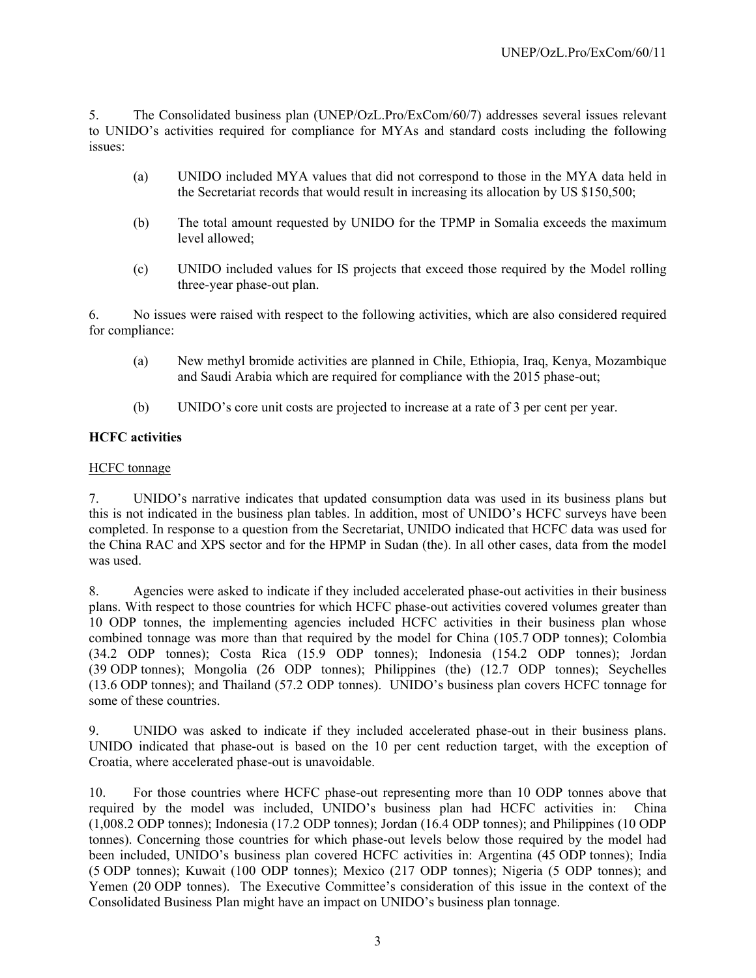5. The Consolidated business plan (UNEP/OzL.Pro/ExCom/60/7) addresses several issues relevant to UNIDO's activities required for compliance for MYAs and standard costs including the following issues:

- (a) UNIDO included MYA values that did not correspond to those in the MYA data held in the Secretariat records that would result in increasing its allocation by US \$150,500;
- (b) The total amount requested by UNIDO for the TPMP in Somalia exceeds the maximum level allowed;
- (c) UNIDO included values for IS projects that exceed those required by the Model rolling three-year phase-out plan.

6. No issues were raised with respect to the following activities, which are also considered required for compliance:

- (a) New methyl bromide activities are planned in Chile, Ethiopia, Iraq, Kenya, Mozambique and Saudi Arabia which are required for compliance with the 2015 phase-out;
- (b) UNIDO's core unit costs are projected to increase at a rate of 3 per cent per year.

# **HCFC activities**

### HCFC tonnage

7. UNIDO's narrative indicates that updated consumption data was used in its business plans but this is not indicated in the business plan tables. In addition, most of UNIDO's HCFC surveys have been completed. In response to a question from the Secretariat, UNIDO indicated that HCFC data was used for the China RAC and XPS sector and for the HPMP in Sudan (the). In all other cases, data from the model was used.

8. Agencies were asked to indicate if they included accelerated phase-out activities in their business plans. With respect to those countries for which HCFC phase-out activities covered volumes greater than 10 ODP tonnes, the implementing agencies included HCFC activities in their business plan whose combined tonnage was more than that required by the model for China (105.7 ODP tonnes); Colombia (34.2 ODP tonnes); Costa Rica (15.9 ODP tonnes); Indonesia (154.2 ODP tonnes); Jordan (39 ODP tonnes); Mongolia (26 ODP tonnes); Philippines (the) (12.7 ODP tonnes); Seychelles (13.6 ODP tonnes); and Thailand (57.2 ODP tonnes). UNIDO's business plan covers HCFC tonnage for some of these countries.

9. UNIDO was asked to indicate if they included accelerated phase-out in their business plans. UNIDO indicated that phase-out is based on the 10 per cent reduction target, with the exception of Croatia, where accelerated phase-out is unavoidable.

10. For those countries where HCFC phase-out representing more than 10 ODP tonnes above that required by the model was included, UNIDO's business plan had HCFC activities in: China (1,008.2 ODP tonnes); Indonesia (17.2 ODP tonnes); Jordan (16.4 ODP tonnes); and Philippines (10 ODP tonnes). Concerning those countries for which phase-out levels below those required by the model had been included, UNIDO's business plan covered HCFC activities in: Argentina (45 ODP tonnes); India (5 ODP tonnes); Kuwait (100 ODP tonnes); Mexico (217 ODP tonnes); Nigeria (5 ODP tonnes); and Yemen (20 ODP tonnes). The Executive Committee's consideration of this issue in the context of the Consolidated Business Plan might have an impact on UNIDO's business plan tonnage.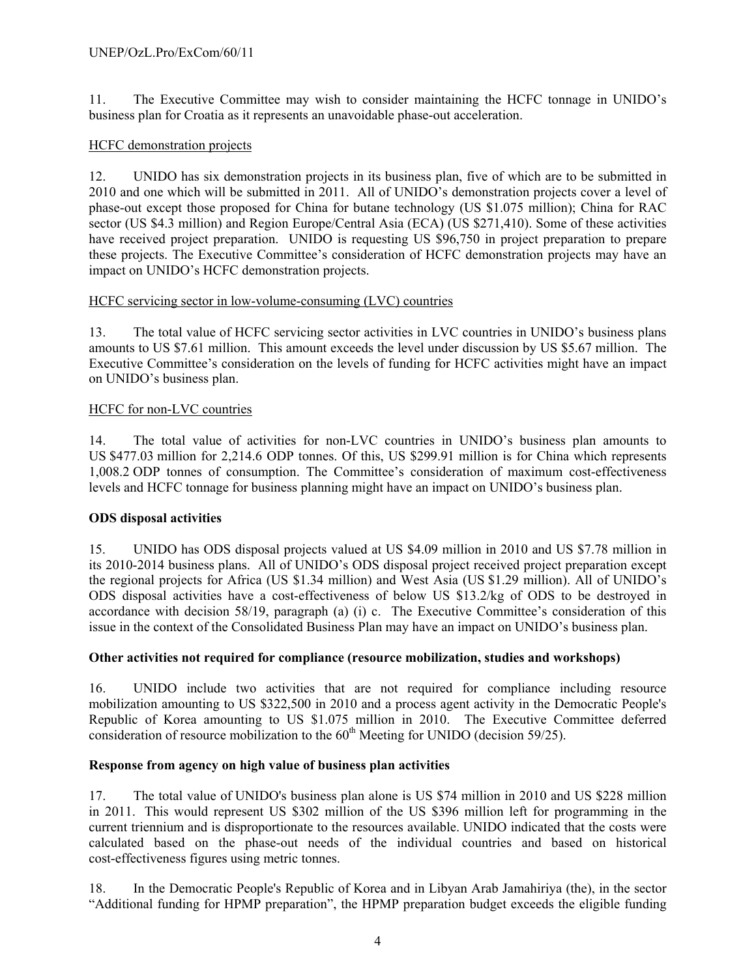11. The Executive Committee may wish to consider maintaining the HCFC tonnage in UNIDO's business plan for Croatia as it represents an unavoidable phase-out acceleration.

# HCFC demonstration projects

12. UNIDO has six demonstration projects in its business plan, five of which are to be submitted in 2010 and one which will be submitted in 2011. All of UNIDO's demonstration projects cover a level of phase-out except those proposed for China for butane technology (US \$1.075 million); China for RAC sector (US \$4.3 million) and Region Europe/Central Asia (ECA) (US \$271,410). Some of these activities have received project preparation. UNIDO is requesting US \$96,750 in project preparation to prepare these projects. The Executive Committee's consideration of HCFC demonstration projects may have an impact on UNIDO's HCFC demonstration projects.

# HCFC servicing sector in low-volume-consuming (LVC) countries

13. The total value of HCFC servicing sector activities in LVC countries in UNIDO's business plans amounts to US \$7.61 million. This amount exceeds the level under discussion by US \$5.67 million. The Executive Committee's consideration on the levels of funding for HCFC activities might have an impact on UNIDO's business plan.

# HCFC for non-LVC countries

14. The total value of activities for non-LVC countries in UNIDO's business plan amounts to US \$477.03 million for 2,214.6 ODP tonnes. Of this, US \$299.91 million is for China which represents 1,008.2 ODP tonnes of consumption. The Committee's consideration of maximum cost-effectiveness levels and HCFC tonnage for business planning might have an impact on UNIDO's business plan.

# **ODS disposal activities**

15. UNIDO has ODS disposal projects valued at US \$4.09 million in 2010 and US \$7.78 million in its 2010-2014 business plans. All of UNIDO's ODS disposal project received project preparation except the regional projects for Africa (US \$1.34 million) and West Asia (US \$1.29 million). All of UNIDO's ODS disposal activities have a cost-effectiveness of below US \$13.2/kg of ODS to be destroyed in accordance with decision 58/19, paragraph (a) (i) c. The Executive Committee's consideration of this issue in the context of the Consolidated Business Plan may have an impact on UNIDO's business plan.

# **Other activities not required for compliance (resource mobilization, studies and workshops)**

16. UNIDO include two activities that are not required for compliance including resource mobilization amounting to US \$322,500 in 2010 and a process agent activity in the Democratic People's Republic of Korea amounting to US \$1.075 million in 2010. The Executive Committee deferred consideration of resource mobilization to the  $60<sup>th</sup>$  Meeting for UNIDO (decision 59/25).

# **Response from agency on high value of business plan activities**

17. The total value of UNIDO's business plan alone is US \$74 million in 2010 and US \$228 million in 2011. This would represent US \$302 million of the US \$396 million left for programming in the current triennium and is disproportionate to the resources available. UNIDO indicated that the costs were calculated based on the phase-out needs of the individual countries and based on historical cost-effectiveness figures using metric tonnes.

18. In the Democratic People's Republic of Korea and in Libyan Arab Jamahiriya (the), in the sector "Additional funding for HPMP preparation", the HPMP preparation budget exceeds the eligible funding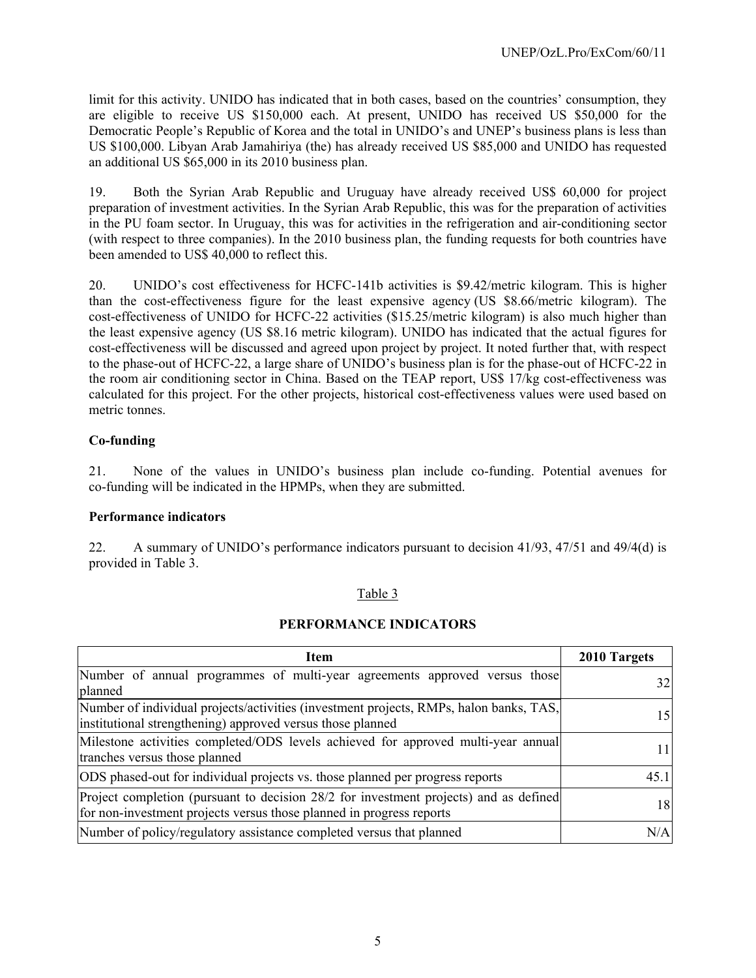limit for this activity. UNIDO has indicated that in both cases, based on the countries' consumption, they are eligible to receive US \$150,000 each. At present, UNIDO has received US \$50,000 for the Democratic People's Republic of Korea and the total in UNIDO's and UNEP's business plans is less than US \$100,000. Libyan Arab Jamahiriya (the) has already received US \$85,000 and UNIDO has requested an additional US \$65,000 in its 2010 business plan.

19. Both the Syrian Arab Republic and Uruguay have already received US\$ 60,000 for project preparation of investment activities. In the Syrian Arab Republic, this was for the preparation of activities in the PU foam sector. In Uruguay, this was for activities in the refrigeration and air-conditioning sector (with respect to three companies). In the 2010 business plan, the funding requests for both countries have been amended to US\$ 40,000 to reflect this.

20. UNIDO's cost effectiveness for HCFC-141b activities is \$9.42/metric kilogram. This is higher than the cost-effectiveness figure for the least expensive agency (US \$8.66/metric kilogram). The cost-effectiveness of UNIDO for HCFC-22 activities (\$15.25/metric kilogram) is also much higher than the least expensive agency (US \$8.16 metric kilogram). UNIDO has indicated that the actual figures for cost-effectiveness will be discussed and agreed upon project by project. It noted further that, with respect to the phase-out of HCFC-22, a large share of UNIDO's business plan is for the phase-out of HCFC-22 in the room air conditioning sector in China. Based on the TEAP report, US\$ 17/kg cost-effectiveness was calculated for this project. For the other projects, historical cost-effectiveness values were used based on metric tonnes.

# **Co-funding**

21. None of the values in UNIDO's business plan include co-funding. Potential avenues for co-funding will be indicated in the HPMPs, when they are submitted.

### **Performance indicators**

22. A summary of UNIDO's performance indicators pursuant to decision 41/93, 47/51 and 49/4(d) is provided in Table 3.

### Table 3

### **PERFORMANCE INDICATORS**

| <b>Item</b>                                                                                                                                                   | 2010 Targets |
|---------------------------------------------------------------------------------------------------------------------------------------------------------------|--------------|
| Number of annual programmes of multi-year agreements approved versus those<br>planned                                                                         | 32           |
| Number of individual projects/activities (investment projects, RMPs, halon banks, TAS,<br>institutional strengthening) approved versus those planned          | 15           |
| Milestone activities completed/ODS levels achieved for approved multi-year annual<br>tranches versus those planned                                            |              |
| ODS phased-out for individual projects vs. those planned per progress reports                                                                                 | 45.1         |
| Project completion (pursuant to decision 28/2 for investment projects) and as defined<br>for non-investment projects versus those planned in progress reports | 18           |
| Number of policy/regulatory assistance completed versus that planned                                                                                          | N/A          |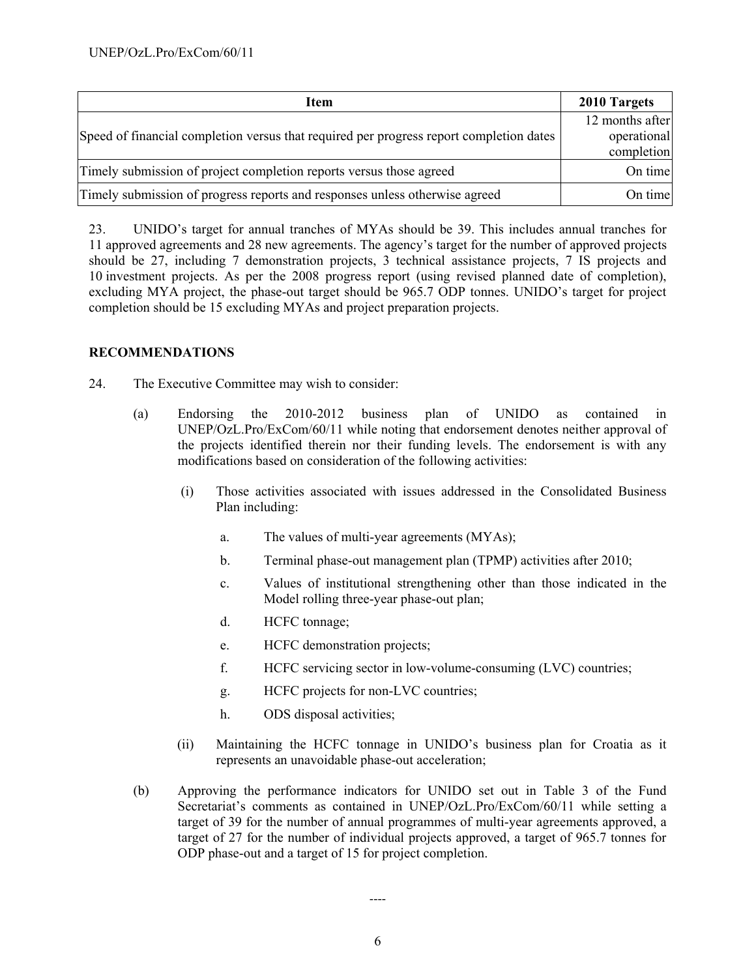| Item                                                                                    | 2010 Targets                                 |
|-----------------------------------------------------------------------------------------|----------------------------------------------|
| Speed of financial completion versus that required per progress report completion dates | 12 months after<br>operational<br>completion |
| Timely submission of project completion reports versus those agreed                     | On time                                      |
| Timely submission of progress reports and responses unless otherwise agreed             | On time                                      |

23. UNIDO's target for annual tranches of MYAs should be 39. This includes annual tranches for 11 approved agreements and 28 new agreements. The agency's target for the number of approved projects should be 27, including 7 demonstration projects, 3 technical assistance projects, 7 IS projects and 10 investment projects. As per the 2008 progress report (using revised planned date of completion), excluding MYA project, the phase-out target should be 965.7 ODP tonnes. UNIDO's target for project completion should be 15 excluding MYAs and project preparation projects.

### **RECOMMENDATIONS**

- 24. The Executive Committee may wish to consider:
	- (a) Endorsing the 2010-2012 business plan of UNIDO as contained in UNEP/OzL.Pro/ExCom/60/11 while noting that endorsement denotes neither approval of the projects identified therein nor their funding levels. The endorsement is with any modifications based on consideration of the following activities:
		- (i) Those activities associated with issues addressed in the Consolidated Business Plan including:
			- a. The values of multi-year agreements (MYAs);
			- b. Terminal phase-out management plan (TPMP) activities after 2010;
			- c. Values of institutional strengthening other than those indicated in the Model rolling three-year phase-out plan;
			- d. HCFC tonnage;
			- e. HCFC demonstration projects;
			- f. HCFC servicing sector in low-volume-consuming (LVC) countries;
			- g. HCFC projects for non-LVC countries;
			- h. ODS disposal activities;
		- (ii) Maintaining the HCFC tonnage in UNIDO's business plan for Croatia as it represents an unavoidable phase-out acceleration;
	- (b) Approving the performance indicators for UNIDO set out in Table 3 of the Fund Secretariat's comments as contained in UNEP/OzL.Pro/ExCom/60/11 while setting a target of 39 for the number of annual programmes of multi-year agreements approved, a target of 27 for the number of individual projects approved, a target of 965.7 tonnes for ODP phase-out and a target of 15 for project completion.

----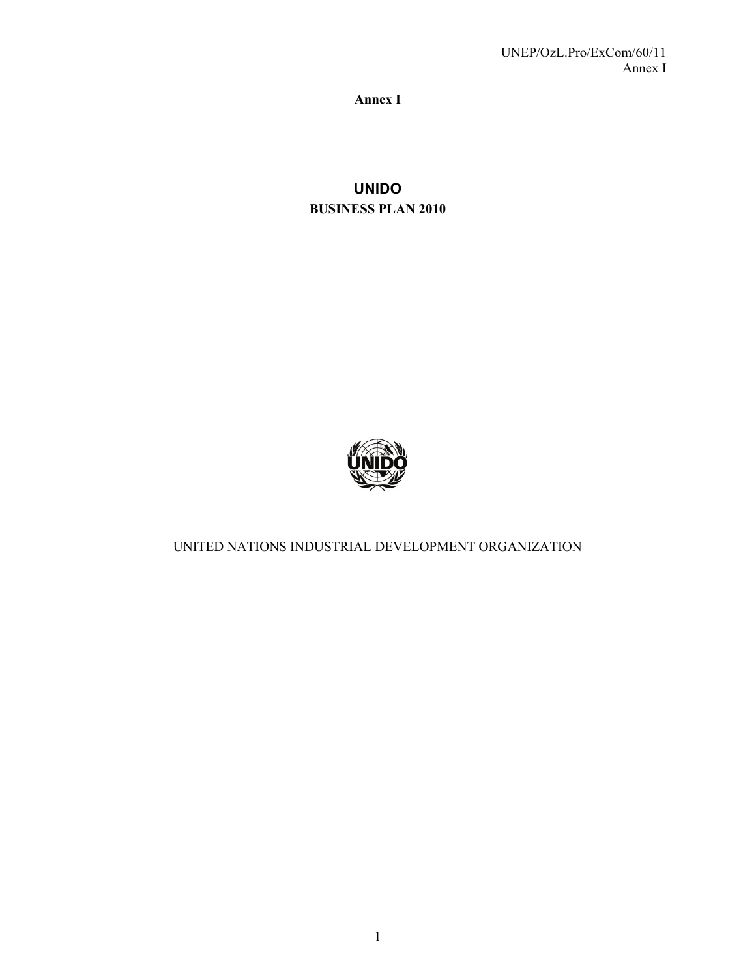**Annex I** 

**UNIDO BUSINESS PLAN 2010** 



UNITED NATIONS INDUSTRIAL DEVELOPMENT ORGANIZATION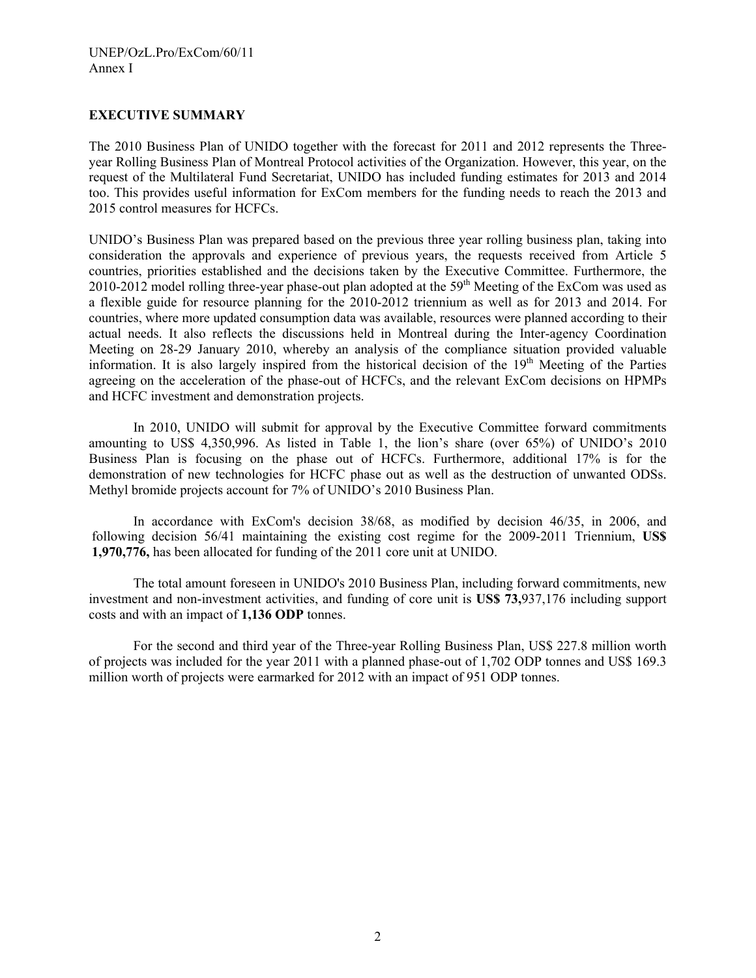### **EXECUTIVE SUMMARY**

The 2010 Business Plan of UNIDO together with the forecast for 2011 and 2012 represents the Threeyear Rolling Business Plan of Montreal Protocol activities of the Organization. However, this year, on the request of the Multilateral Fund Secretariat, UNIDO has included funding estimates for 2013 and 2014 too. This provides useful information for ExCom members for the funding needs to reach the 2013 and 2015 control measures for HCFCs.

UNIDO's Business Plan was prepared based on the previous three year rolling business plan, taking into consideration the approvals and experience of previous years, the requests received from Article 5 countries, priorities established and the decisions taken by the Executive Committee. Furthermore, the 2010-2012 model rolling three-year phase-out plan adopted at the 59<sup>th</sup> Meeting of the ExCom was used as a flexible guide for resource planning for the 2010-2012 triennium as well as for 2013 and 2014. For countries, where more updated consumption data was available, resources were planned according to their actual needs. It also reflects the discussions held in Montreal during the Inter-agency Coordination Meeting on 28-29 January 2010, whereby an analysis of the compliance situation provided valuable information. It is also largely inspired from the historical decision of the  $19<sup>th</sup>$  Meeting of the Parties agreeing on the acceleration of the phase-out of HCFCs, and the relevant ExCom decisions on HPMPs and HCFC investment and demonstration projects.

In 2010, UNIDO will submit for approval by the Executive Committee forward commitments amounting to US\$ 4,350,996. As listed in Table 1, the lion's share (over 65%) of UNIDO's 2010 Business Plan is focusing on the phase out of HCFCs. Furthermore, additional 17% is for the demonstration of new technologies for HCFC phase out as well as the destruction of unwanted ODSs. Methyl bromide projects account for 7% of UNIDO's 2010 Business Plan.

In accordance with ExCom's decision 38/68, as modified by decision 46/35, in 2006, and following decision 56/41 maintaining the existing cost regime for the 2009-2011 Triennium, **US\$ 1,970,776,** has been allocated for funding of the 2011 core unit at UNIDO.

The total amount foreseen in UNIDO's 2010 Business Plan, including forward commitments, new investment and non-investment activities, and funding of core unit is **US\$ 73,**937,176 including support costs and with an impact of **1,136 ODP** tonnes.

For the second and third year of the Three-year Rolling Business Plan, US\$ 227.8 million worth of projects was included for the year 2011 with a planned phase-out of 1,702 ODP tonnes and US\$ 169.3 million worth of projects were earmarked for 2012 with an impact of 951 ODP tonnes.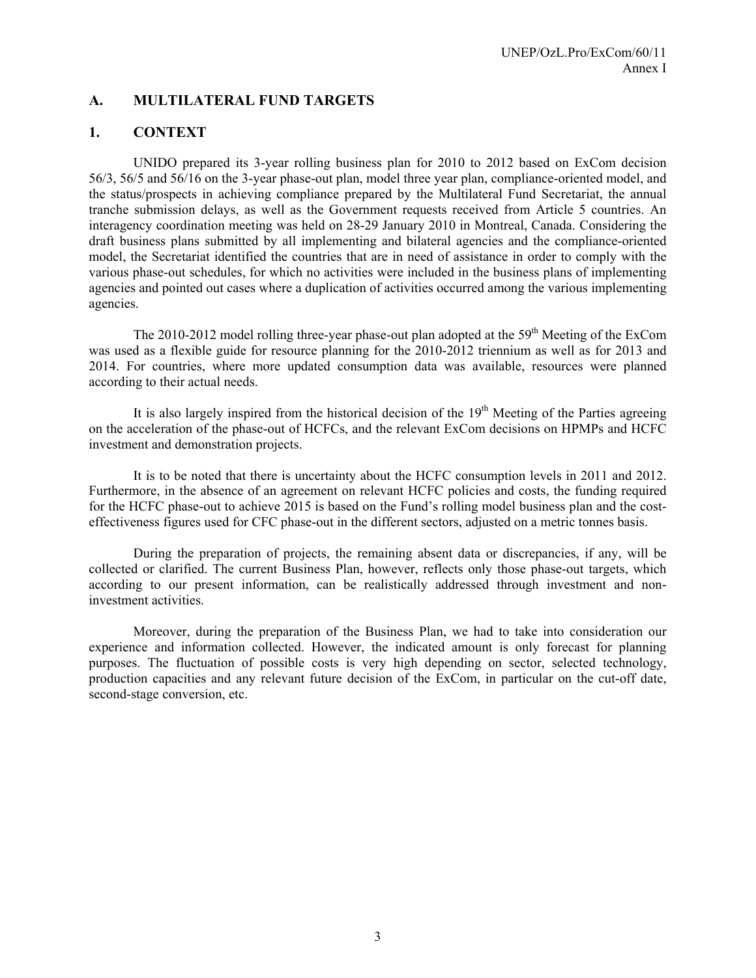# **A. MULTILATERAL FUND TARGETS**

# **1. CONTEXT**

UNIDO prepared its 3-year rolling business plan for 2010 to 2012 based on ExCom decision 56/3, 56/5 and 56/16 on the 3-year phase-out plan, model three year plan, compliance-oriented model, and the status/prospects in achieving compliance prepared by the Multilateral Fund Secretariat, the annual tranche submission delays, as well as the Government requests received from Article 5 countries. An interagency coordination meeting was held on 28-29 January 2010 in Montreal, Canada. Considering the draft business plans submitted by all implementing and bilateral agencies and the compliance-oriented model, the Secretariat identified the countries that are in need of assistance in order to comply with the various phase-out schedules, for which no activities were included in the business plans of implementing agencies and pointed out cases where a duplication of activities occurred among the various implementing agencies.

The 2010-2012 model rolling three-year phase-out plan adopted at the  $59<sup>th</sup>$  Meeting of the ExCom was used as a flexible guide for resource planning for the 2010-2012 triennium as well as for 2013 and 2014. For countries, where more updated consumption data was available, resources were planned according to their actual needs.

It is also largely inspired from the historical decision of the  $19<sup>th</sup>$  Meeting of the Parties agreeing on the acceleration of the phase-out of HCFCs, and the relevant ExCom decisions on HPMPs and HCFC investment and demonstration projects.

It is to be noted that there is uncertainty about the HCFC consumption levels in 2011 and 2012. Furthermore, in the absence of an agreement on relevant HCFC policies and costs, the funding required for the HCFC phase-out to achieve 2015 is based on the Fund's rolling model business plan and the costeffectiveness figures used for CFC phase-out in the different sectors, adjusted on a metric tonnes basis.

During the preparation of projects, the remaining absent data or discrepancies, if any, will be collected or clarified. The current Business Plan, however, reflects only those phase-out targets, which according to our present information, can be realistically addressed through investment and noninvestment activities.

Moreover, during the preparation of the Business Plan, we had to take into consideration our experience and information collected. However, the indicated amount is only forecast for planning purposes. The fluctuation of possible costs is very high depending on sector, selected technology, production capacities and any relevant future decision of the ExCom, in particular on the cut-off date, second-stage conversion, etc.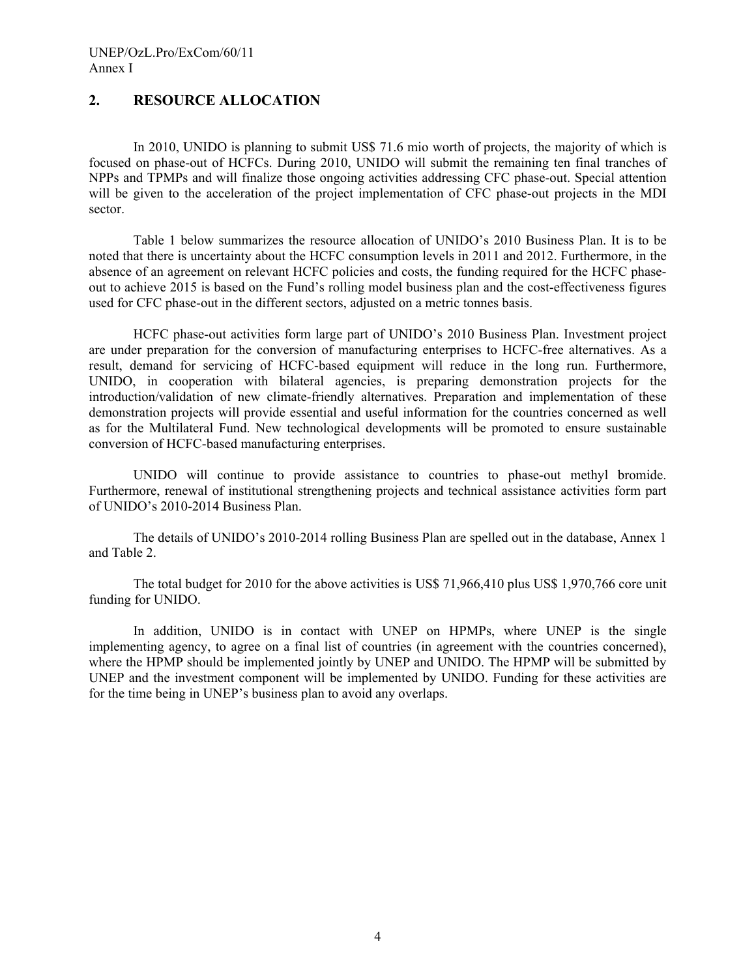# **2. RESOURCE ALLOCATION**

In 2010, UNIDO is planning to submit US\$ 71.6 mio worth of projects, the majority of which is focused on phase-out of HCFCs. During 2010, UNIDO will submit the remaining ten final tranches of NPPs and TPMPs and will finalize those ongoing activities addressing CFC phase-out. Special attention will be given to the acceleration of the project implementation of CFC phase-out projects in the MDI sector.

Table 1 below summarizes the resource allocation of UNIDO's 2010 Business Plan. It is to be noted that there is uncertainty about the HCFC consumption levels in 2011 and 2012. Furthermore, in the absence of an agreement on relevant HCFC policies and costs, the funding required for the HCFC phaseout to achieve 2015 is based on the Fund's rolling model business plan and the cost-effectiveness figures used for CFC phase-out in the different sectors, adjusted on a metric tonnes basis.

 HCFC phase-out activities form large part of UNIDO's 2010 Business Plan. Investment project are under preparation for the conversion of manufacturing enterprises to HCFC-free alternatives. As a result, demand for servicing of HCFC-based equipment will reduce in the long run. Furthermore, UNIDO, in cooperation with bilateral agencies, is preparing demonstration projects for the introduction/validation of new climate-friendly alternatives. Preparation and implementation of these demonstration projects will provide essential and useful information for the countries concerned as well as for the Multilateral Fund. New technological developments will be promoted to ensure sustainable conversion of HCFC-based manufacturing enterprises.

UNIDO will continue to provide assistance to countries to phase-out methyl bromide. Furthermore, renewal of institutional strengthening projects and technical assistance activities form part of UNIDO's 2010-2014 Business Plan.

The details of UNIDO's 2010-2014 rolling Business Plan are spelled out in the database, Annex 1 and Table 2.

The total budget for 2010 for the above activities is US\$ 71,966,410 plus US\$ 1,970,766 core unit funding for UNIDO.

In addition, UNIDO is in contact with UNEP on HPMPs, where UNEP is the single implementing agency, to agree on a final list of countries (in agreement with the countries concerned), where the HPMP should be implemented jointly by UNEP and UNIDO. The HPMP will be submitted by UNEP and the investment component will be implemented by UNIDO. Funding for these activities are for the time being in UNEP's business plan to avoid any overlaps.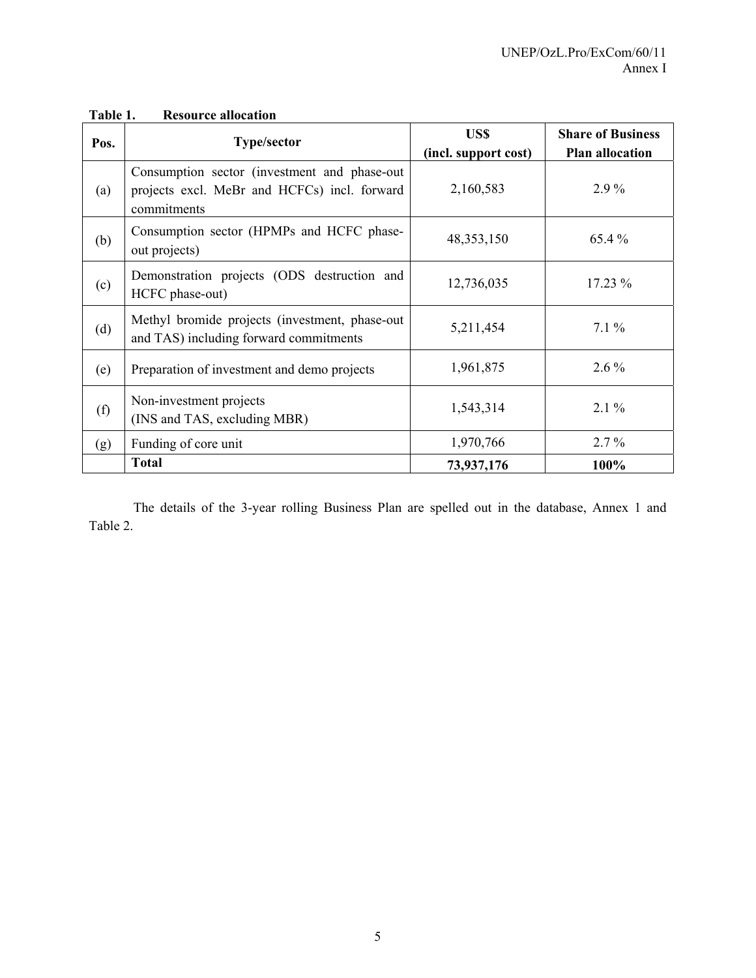| Pos. | <b>Type/sector</b>                                                                                           | US\$<br>(incl. support cost) | <b>Share of Business</b><br><b>Plan allocation</b> |
|------|--------------------------------------------------------------------------------------------------------------|------------------------------|----------------------------------------------------|
| (a)  | Consumption sector (investment and phase-out)<br>projects excl. MeBr and HCFCs) incl. forward<br>commitments | 2,160,583                    | $2.9\%$                                            |
| (b)  | Consumption sector (HPMPs and HCFC phase-<br>out projects)                                                   | 48, 353, 150                 | 65.4 %                                             |
| (c)  | Demonstration projects (ODS destruction and<br>HCFC phase-out)                                               | 12,736,035                   | $17.23\%$                                          |
| (d)  | Methyl bromide projects (investment, phase-out<br>and TAS) including forward commitments                     | 5,211,454                    | $7.1\%$                                            |
| (e)  | Preparation of investment and demo projects                                                                  | 1,961,875                    | $2.6\%$                                            |
| (f)  | Non-investment projects<br>(INS and TAS, excluding MBR)                                                      | 1,543,314                    | $2.1\%$                                            |
| (g)  | Funding of core unit                                                                                         | 1,970,766                    | $2.7\%$                                            |
|      | <b>Total</b>                                                                                                 | 73,937,176                   | 100%                                               |

# **Table 1. Resource allocation**

The details of the 3-year rolling Business Plan are spelled out in the database, Annex 1 and Table 2.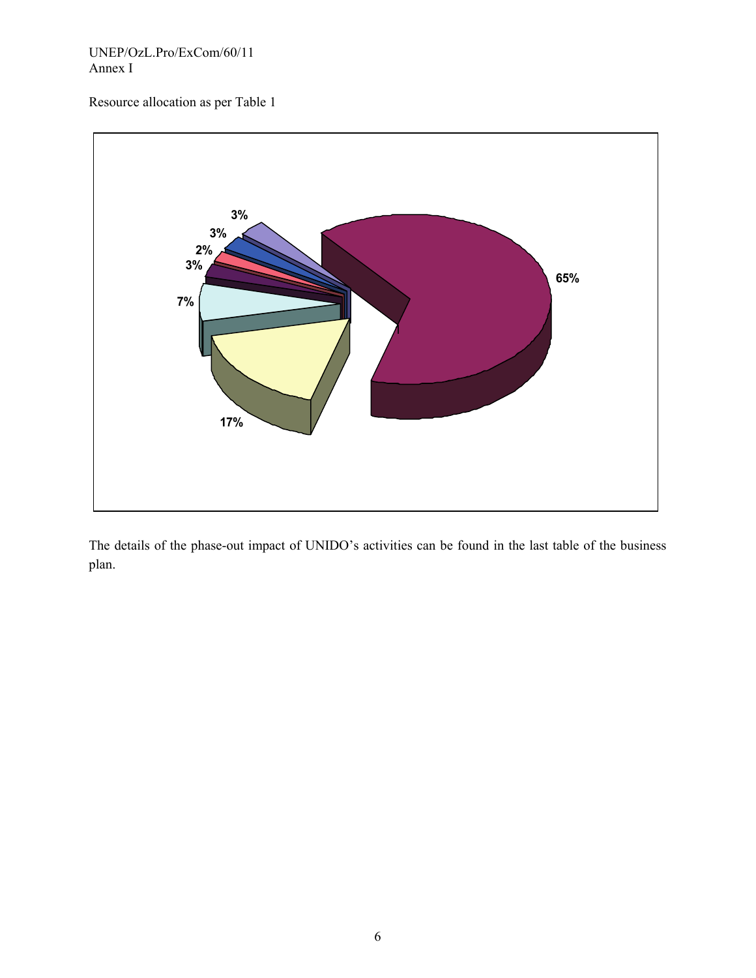### UNEP/OzL.Pro/ExCom/60/11 Annex I

Resource allocation as per Table 1



The details of the phase-out impact of UNIDO's activities can be found in the last table of the business plan.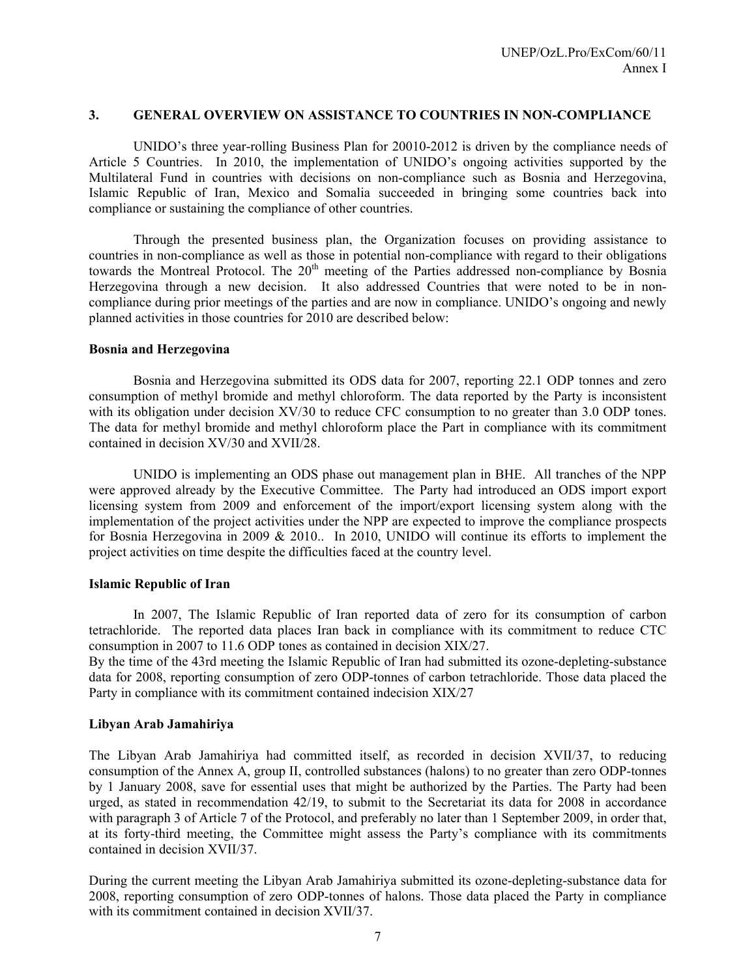### **3. GENERAL OVERVIEW ON ASSISTANCE TO COUNTRIES IN NON-COMPLIANCE**

UNIDO's three year-rolling Business Plan for 20010-2012 is driven by the compliance needs of Article 5 Countries. In 2010, the implementation of UNIDO's ongoing activities supported by the Multilateral Fund in countries with decisions on non-compliance such as Bosnia and Herzegovina, Islamic Republic of Iran, Mexico and Somalia succeeded in bringing some countries back into compliance or sustaining the compliance of other countries.

Through the presented business plan, the Organization focuses on providing assistance to countries in non-compliance as well as those in potential non-compliance with regard to their obligations towards the Montreal Protocol. The 20<sup>th</sup> meeting of the Parties addressed non-compliance by Bosnia Herzegovina through a new decision. It also addressed Countries that were noted to be in noncompliance during prior meetings of the parties and are now in compliance. UNIDO's ongoing and newly planned activities in those countries for 2010 are described below:

#### **Bosnia and Herzegovina**

Bosnia and Herzegovina submitted its ODS data for 2007, reporting 22.1 ODP tonnes and zero consumption of methyl bromide and methyl chloroform. The data reported by the Party is inconsistent with its obligation under decision XV/30 to reduce CFC consumption to no greater than 3.0 ODP tones. The data for methyl bromide and methyl chloroform place the Part in compliance with its commitment contained in decision XV/30 and XVII/28.

UNIDO is implementing an ODS phase out management plan in BHE. All tranches of the NPP were approved already by the Executive Committee. The Party had introduced an ODS import export licensing system from 2009 and enforcement of the import/export licensing system along with the implementation of the project activities under the NPP are expected to improve the compliance prospects for Bosnia Herzegovina in 2009 & 2010.. In 2010, UNIDO will continue its efforts to implement the project activities on time despite the difficulties faced at the country level.

#### **Islamic Republic of Iran**

In 2007, The Islamic Republic of Iran reported data of zero for its consumption of carbon tetrachloride. The reported data places Iran back in compliance with its commitment to reduce CTC consumption in 2007 to 11.6 ODP tones as contained in decision XIX/27.

By the time of the 43rd meeting the Islamic Republic of Iran had submitted its ozone-depleting-substance data for 2008, reporting consumption of zero ODP-tonnes of carbon tetrachloride. Those data placed the Party in compliance with its commitment contained indecision XIX/27

#### **Libyan Arab Jamahiriya**

The Libyan Arab Jamahiriya had committed itself, as recorded in decision XVII/37, to reducing consumption of the Annex A, group II, controlled substances (halons) to no greater than zero ODP-tonnes by 1 January 2008, save for essential uses that might be authorized by the Parties. The Party had been urged, as stated in recommendation 42/19, to submit to the Secretariat its data for 2008 in accordance with paragraph 3 of Article 7 of the Protocol, and preferably no later than 1 September 2009, in order that, at its forty-third meeting, the Committee might assess the Party's compliance with its commitments contained in decision XVII/37.

During the current meeting the Libyan Arab Jamahiriya submitted its ozone-depleting-substance data for 2008, reporting consumption of zero ODP-tonnes of halons. Those data placed the Party in compliance with its commitment contained in decision XVII/37.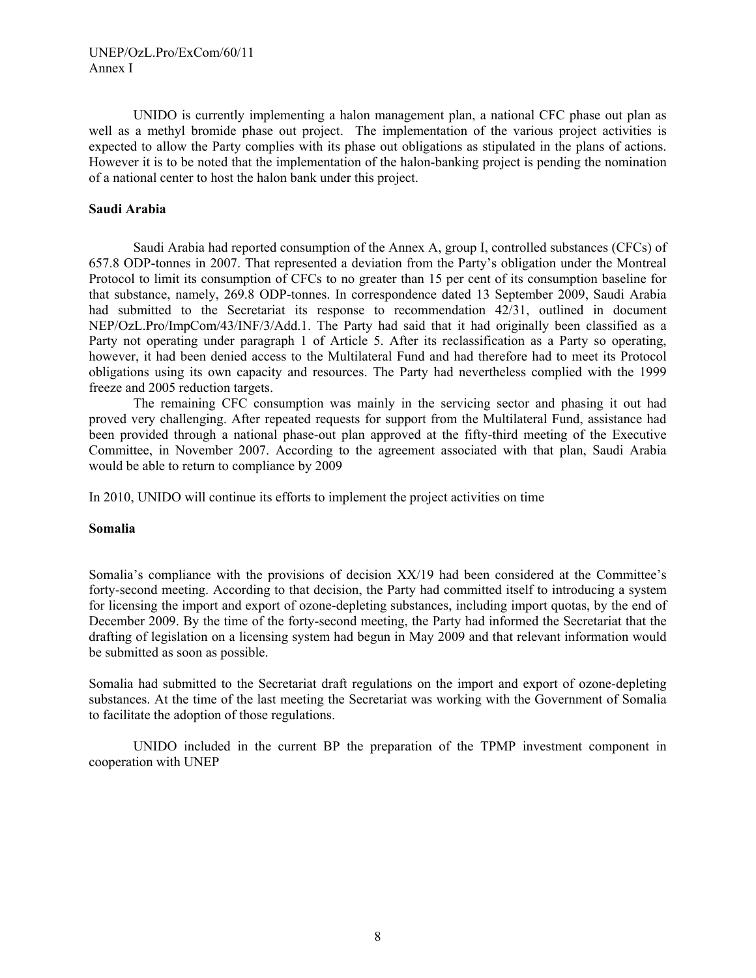#### UNEP/OzL.Pro/ExCom/60/11 Annex I

UNIDO is currently implementing a halon management plan, a national CFC phase out plan as well as a methyl bromide phase out project. The implementation of the various project activities is expected to allow the Party complies with its phase out obligations as stipulated in the plans of actions. However it is to be noted that the implementation of the halon-banking project is pending the nomination of a national center to host the halon bank under this project.

#### **Saudi Arabia**

Saudi Arabia had reported consumption of the Annex A, group I, controlled substances (CFCs) of 657.8 ODP-tonnes in 2007. That represented a deviation from the Party's obligation under the Montreal Protocol to limit its consumption of CFCs to no greater than 15 per cent of its consumption baseline for that substance, namely, 269.8 ODP-tonnes. In correspondence dated 13 September 2009, Saudi Arabia had submitted to the Secretariat its response to recommendation 42/31, outlined in document NEP/OzL.Pro/ImpCom/43/INF/3/Add.1. The Party had said that it had originally been classified as a Party not operating under paragraph 1 of Article 5. After its reclassification as a Party so operating, however, it had been denied access to the Multilateral Fund and had therefore had to meet its Protocol obligations using its own capacity and resources. The Party had nevertheless complied with the 1999 freeze and 2005 reduction targets.

The remaining CFC consumption was mainly in the servicing sector and phasing it out had proved very challenging. After repeated requests for support from the Multilateral Fund, assistance had been provided through a national phase-out plan approved at the fifty-third meeting of the Executive Committee, in November 2007. According to the agreement associated with that plan, Saudi Arabia would be able to return to compliance by 2009

In 2010, UNIDO will continue its efforts to implement the project activities on time

#### **Somalia**

Somalia's compliance with the provisions of decision XX/19 had been considered at the Committee's forty-second meeting. According to that decision, the Party had committed itself to introducing a system for licensing the import and export of ozone-depleting substances, including import quotas, by the end of December 2009. By the time of the forty-second meeting, the Party had informed the Secretariat that the drafting of legislation on a licensing system had begun in May 2009 and that relevant information would be submitted as soon as possible.

Somalia had submitted to the Secretariat draft regulations on the import and export of ozone-depleting substances. At the time of the last meeting the Secretariat was working with the Government of Somalia to facilitate the adoption of those regulations.

UNIDO included in the current BP the preparation of the TPMP investment component in cooperation with UNEP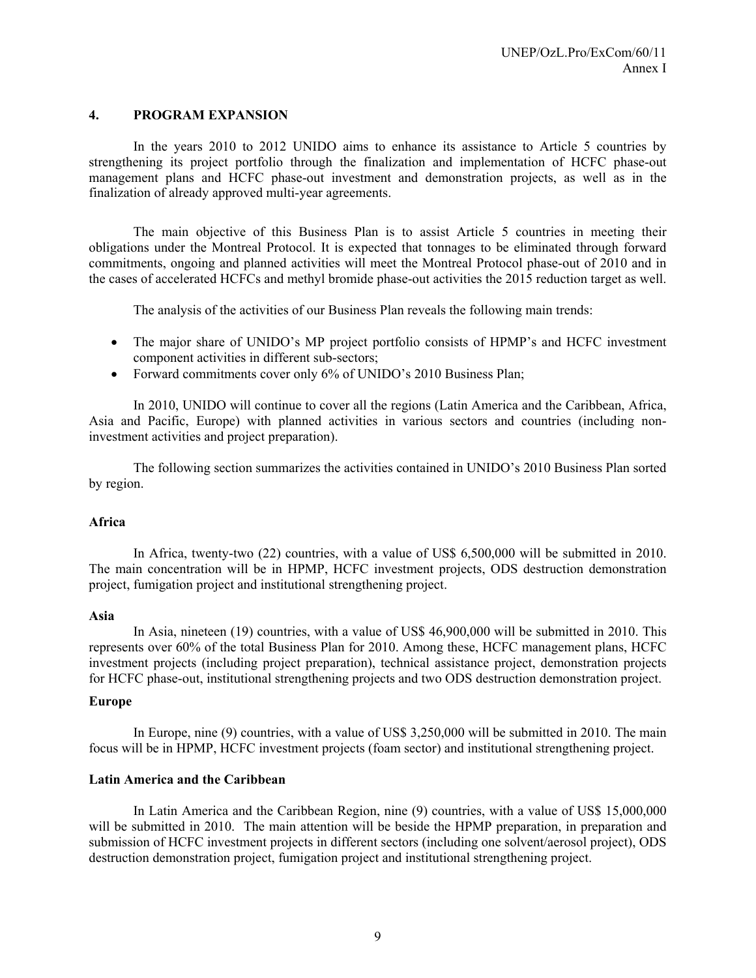### **4. PROGRAM EXPANSION**

In the years 2010 to 2012 UNIDO aims to enhance its assistance to Article 5 countries by strengthening its project portfolio through the finalization and implementation of HCFC phase-out management plans and HCFC phase-out investment and demonstration projects, as well as in the finalization of already approved multi-year agreements.

The main objective of this Business Plan is to assist Article 5 countries in meeting their obligations under the Montreal Protocol. It is expected that tonnages to be eliminated through forward commitments, ongoing and planned activities will meet the Montreal Protocol phase-out of 2010 and in the cases of accelerated HCFCs and methyl bromide phase-out activities the 2015 reduction target as well.

The analysis of the activities of our Business Plan reveals the following main trends:

- The major share of UNIDO's MP project portfolio consists of HPMP's and HCFC investment component activities in different sub-sectors;
- Forward commitments cover only 6% of UNIDO's 2010 Business Plan;

In 2010, UNIDO will continue to cover all the regions (Latin America and the Caribbean, Africa, Asia and Pacific, Europe) with planned activities in various sectors and countries (including noninvestment activities and project preparation).

The following section summarizes the activities contained in UNIDO's 2010 Business Plan sorted by region.

#### **Africa**

In Africa, twenty-two (22) countries, with a value of US\$ 6,500,000 will be submitted in 2010. The main concentration will be in HPMP, HCFC investment projects, ODS destruction demonstration project, fumigation project and institutional strengthening project.

#### **Asia**

 In Asia, nineteen (19) countries, with a value of US\$ 46,900,000 will be submitted in 2010. This represents over 60% of the total Business Plan for 2010. Among these, HCFC management plans, HCFC investment projects (including project preparation), technical assistance project, demonstration projects for HCFC phase-out, institutional strengthening projects and two ODS destruction demonstration project.

#### **Europe**

In Europe, nine (9) countries, with a value of US\$ 3,250,000 will be submitted in 2010. The main focus will be in HPMP, HCFC investment projects (foam sector) and institutional strengthening project.

#### **Latin America and the Caribbean**

In Latin America and the Caribbean Region, nine (9) countries, with a value of US\$ 15,000,000 will be submitted in 2010. The main attention will be beside the HPMP preparation, in preparation and submission of HCFC investment projects in different sectors (including one solvent/aerosol project), ODS destruction demonstration project, fumigation project and institutional strengthening project.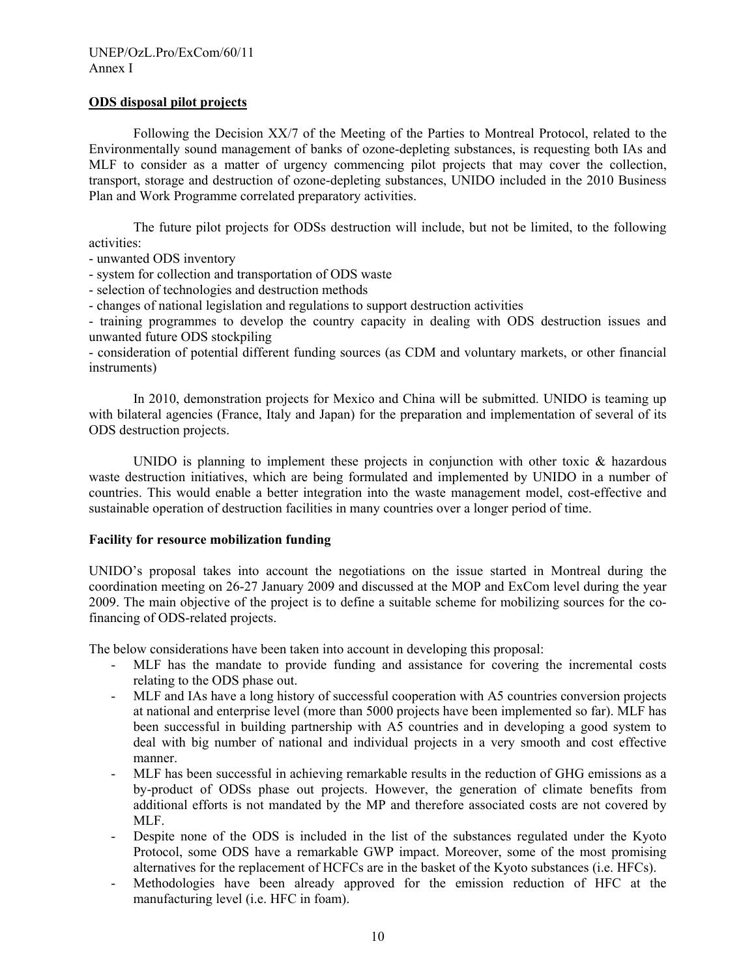#### **ODS disposal pilot projects**

Following the Decision XX/7 of the Meeting of the Parties to Montreal Protocol, related to the Environmentally sound management of banks of ozone-depleting substances, is requesting both IAs and MLF to consider as a matter of urgency commencing pilot projects that may cover the collection, transport, storage and destruction of ozone-depleting substances, UNIDO included in the 2010 Business Plan and Work Programme correlated preparatory activities.

The future pilot projects for ODSs destruction will include, but not be limited, to the following activities:

- unwanted ODS inventory
- system for collection and transportation of ODS waste
- selection of technologies and destruction methods
- changes of national legislation and regulations to support destruction activities

- training programmes to develop the country capacity in dealing with ODS destruction issues and unwanted future ODS stockpiling

- consideration of potential different funding sources (as CDM and voluntary markets, or other financial instruments)

 In 2010, demonstration projects for Mexico and China will be submitted. UNIDO is teaming up with bilateral agencies (France, Italy and Japan) for the preparation and implementation of several of its ODS destruction projects.

UNIDO is planning to implement these projects in conjunction with other toxic & hazardous waste destruction initiatives, which are being formulated and implemented by UNIDO in a number of countries. This would enable a better integration into the waste management model, cost-effective and sustainable operation of destruction facilities in many countries over a longer period of time.

#### **Facility for resource mobilization funding**

UNIDO's proposal takes into account the negotiations on the issue started in Montreal during the coordination meeting on 26-27 January 2009 and discussed at the MOP and ExCom level during the year 2009. The main objective of the project is to define a suitable scheme for mobilizing sources for the cofinancing of ODS-related projects.

The below considerations have been taken into account in developing this proposal:

- MLF has the mandate to provide funding and assistance for covering the incremental costs relating to the ODS phase out.
- MLF and IAs have a long history of successful cooperation with A5 countries conversion projects at national and enterprise level (more than 5000 projects have been implemented so far). MLF has been successful in building partnership with A5 countries and in developing a good system to deal with big number of national and individual projects in a very smooth and cost effective manner.
- MLF has been successful in achieving remarkable results in the reduction of GHG emissions as a by-product of ODSs phase out projects. However, the generation of climate benefits from additional efforts is not mandated by the MP and therefore associated costs are not covered by MLF.
- Despite none of the ODS is included in the list of the substances regulated under the Kyoto Protocol, some ODS have a remarkable GWP impact. Moreover, some of the most promising alternatives for the replacement of HCFCs are in the basket of the Kyoto substances (i.e. HFCs).
- Methodologies have been already approved for the emission reduction of HFC at the manufacturing level (i.e. HFC in foam).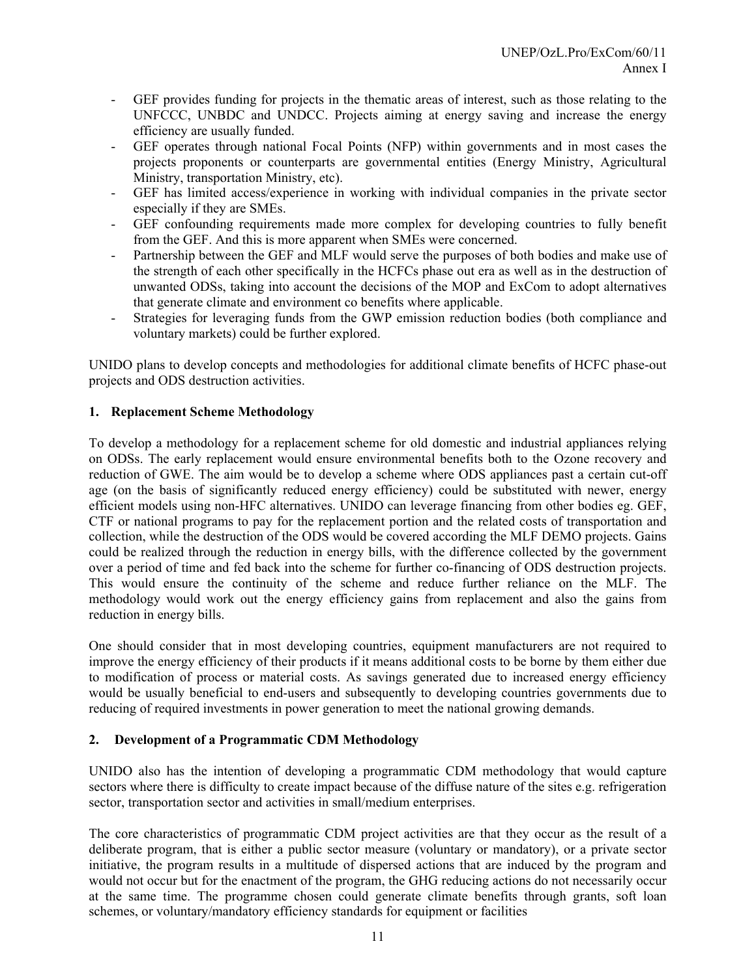- GEF provides funding for projects in the thematic areas of interest, such as those relating to the UNFCCC, UNBDC and UNDCC. Projects aiming at energy saving and increase the energy efficiency are usually funded.
- GEF operates through national Focal Points (NFP) within governments and in most cases the projects proponents or counterparts are governmental entities (Energy Ministry, Agricultural Ministry, transportation Ministry, etc).
- GEF has limited access/experience in working with individual companies in the private sector especially if they are SMEs.
- GEF confounding requirements made more complex for developing countries to fully benefit from the GEF. And this is more apparent when SMEs were concerned.
- Partnership between the GEF and MLF would serve the purposes of both bodies and make use of the strength of each other specifically in the HCFCs phase out era as well as in the destruction of unwanted ODSs, taking into account the decisions of the MOP and ExCom to adopt alternatives that generate climate and environment co benefits where applicable.
- Strategies for leveraging funds from the GWP emission reduction bodies (both compliance and voluntary markets) could be further explored.

UNIDO plans to develop concepts and methodologies for additional climate benefits of HCFC phase-out projects and ODS destruction activities.

# **1. Replacement Scheme Methodology**

To develop a methodology for a replacement scheme for old domestic and industrial appliances relying on ODSs. The early replacement would ensure environmental benefits both to the Ozone recovery and reduction of GWE. The aim would be to develop a scheme where ODS appliances past a certain cut-off age (on the basis of significantly reduced energy efficiency) could be substituted with newer, energy efficient models using non-HFC alternatives. UNIDO can leverage financing from other bodies eg. GEF, CTF or national programs to pay for the replacement portion and the related costs of transportation and collection, while the destruction of the ODS would be covered according the MLF DEMO projects. Gains could be realized through the reduction in energy bills, with the difference collected by the government over a period of time and fed back into the scheme for further co-financing of ODS destruction projects. This would ensure the continuity of the scheme and reduce further reliance on the MLF. The methodology would work out the energy efficiency gains from replacement and also the gains from reduction in energy bills.

One should consider that in most developing countries, equipment manufacturers are not required to improve the energy efficiency of their products if it means additional costs to be borne by them either due to modification of process or material costs. As savings generated due to increased energy efficiency would be usually beneficial to end-users and subsequently to developing countries governments due to reducing of required investments in power generation to meet the national growing demands.

# **2. Development of a Programmatic CDM Methodology**

UNIDO also has the intention of developing a programmatic CDM methodology that would capture sectors where there is difficulty to create impact because of the diffuse nature of the sites e.g. refrigeration sector, transportation sector and activities in small/medium enterprises.

The core characteristics of programmatic CDM project activities are that they occur as the result of a deliberate program, that is either a public sector measure (voluntary or mandatory), or a private sector initiative, the program results in a multitude of dispersed actions that are induced by the program and would not occur but for the enactment of the program, the GHG reducing actions do not necessarily occur at the same time. The programme chosen could generate climate benefits through grants, soft loan schemes, or voluntary/mandatory efficiency standards for equipment or facilities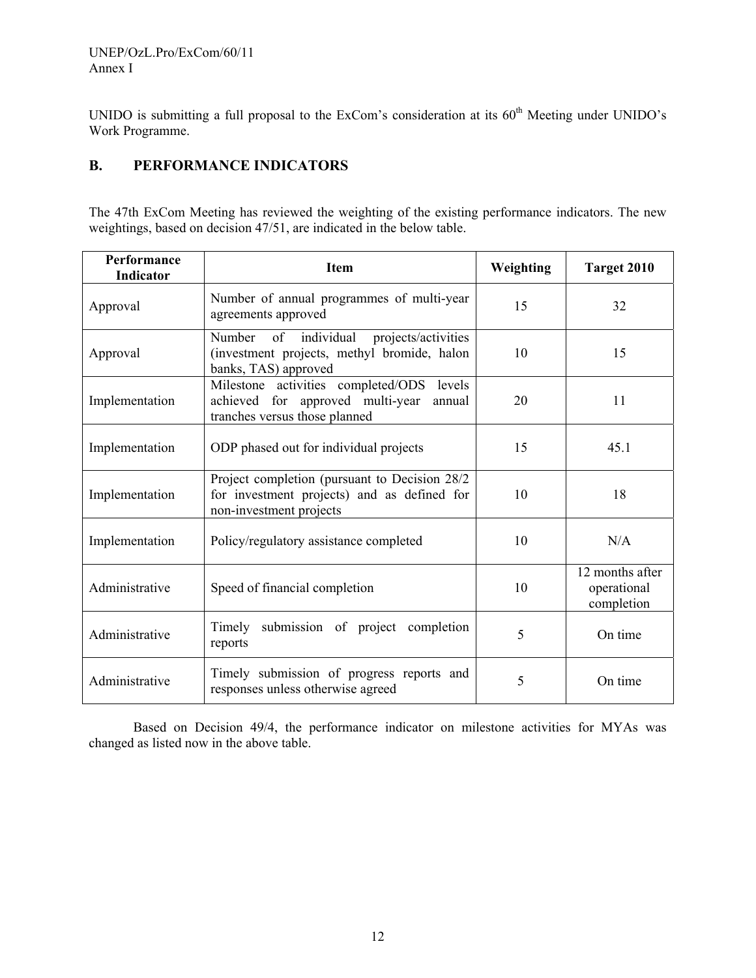UNIDO is submitting a full proposal to the ExCom's consideration at its 60<sup>th</sup> Meeting under UNIDO's Work Programme.

# **B. PERFORMANCE INDICATORS**

The 47th ExCom Meeting has reviewed the weighting of the existing performance indicators. The new weightings, based on decision 47/51, are indicated in the below table.

| Performance<br><b>Indicator</b> | <b>Item</b>                                                                                                                 | Weighting | Target 2010                                  |
|---------------------------------|-----------------------------------------------------------------------------------------------------------------------------|-----------|----------------------------------------------|
| Approval                        | Number of annual programmes of multi-year<br>agreements approved                                                            | 15        | 32                                           |
| Approval                        | Number of individual<br>projects/activities<br>(investment projects, methyl bromide, halon<br>banks, TAS) approved          | 10        | 15                                           |
| Implementation                  | Milestone activities completed/ODS<br>levels<br>achieved for approved multi-year<br>annual<br>tranches versus those planned | 20        | 11                                           |
| Implementation                  | ODP phased out for individual projects                                                                                      | 15        | 45.1                                         |
| Implementation                  | Project completion (pursuant to Decision 28/2)<br>for investment projects) and as defined for<br>non-investment projects    | 10        | 18                                           |
| Implementation                  | Policy/regulatory assistance completed                                                                                      | 10        | N/A                                          |
| Administrative                  | Speed of financial completion                                                                                               | 10        | 12 months after<br>operational<br>completion |
| Administrative                  | submission of project completion<br>Timely<br>reports                                                                       | 5         | On time                                      |
| Administrative                  | Timely submission of progress reports and<br>responses unless otherwise agreed                                              | 5         | On time                                      |

Based on Decision 49/4, the performance indicator on milestone activities for MYAs was changed as listed now in the above table.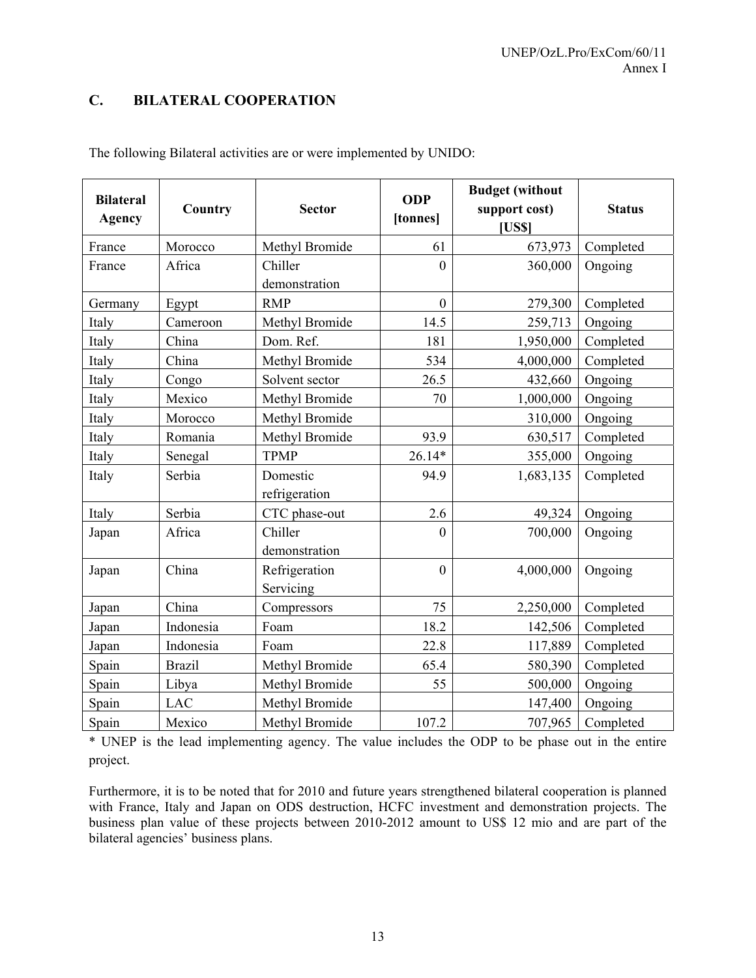# **C. BILATERAL COOPERATION**

| <b>Bilateral</b><br><b>Agency</b> | Country       | <b>Sector</b>  | <b>ODP</b><br>[tonnes] | <b>Budget</b> (without<br>support cost)<br><b>[US\$]</b> | <b>Status</b> |
|-----------------------------------|---------------|----------------|------------------------|----------------------------------------------------------|---------------|
| France                            | Morocco       | Methyl Bromide | 61                     | 673,973                                                  | Completed     |
| France                            | Africa        | Chiller        | $\theta$               | 360,000                                                  | Ongoing       |
|                                   |               | demonstration  |                        |                                                          |               |
| Germany                           | Egypt         | <b>RMP</b>     | $\boldsymbol{0}$       | 279,300                                                  | Completed     |
| Italy                             | Cameroon      | Methyl Bromide | 14.5                   | 259,713                                                  | Ongoing       |
| Italy                             | China         | Dom. Ref.      | 181                    | 1,950,000                                                | Completed     |
| Italy                             | China         | Methyl Bromide | 534                    | 4,000,000                                                | Completed     |
| Italy                             | Congo         | Solvent sector | 26.5                   | 432,660                                                  | Ongoing       |
| Italy                             | Mexico        | Methyl Bromide | 70                     | 1,000,000                                                | Ongoing       |
| Italy                             | Morocco       | Methyl Bromide |                        | 310,000                                                  | Ongoing       |
| Italy                             | Romania       | Methyl Bromide | 93.9                   | 630,517                                                  | Completed     |
| Italy                             | Senegal       | <b>TPMP</b>    | $26.14*$               | 355,000                                                  | Ongoing       |
| Italy                             | Serbia        | Domestic       | 94.9                   | 1,683,135                                                | Completed     |
|                                   |               | refrigeration  |                        |                                                          |               |
| Italy                             | Serbia        | CTC phase-out  | 2.6                    | 49,324                                                   | Ongoing       |
| Japan                             | Africa        | Chiller        | $\mathbf{0}$           | 700,000                                                  | Ongoing       |
|                                   |               | demonstration  |                        |                                                          |               |
| Japan                             | China         | Refrigeration  | $\mathbf{0}$           | 4,000,000                                                | Ongoing       |
|                                   |               | Servicing      |                        |                                                          |               |
| Japan                             | China         | Compressors    | 75                     | 2,250,000                                                | Completed     |
| Japan                             | Indonesia     | Foam           | 18.2                   | 142,506                                                  | Completed     |
| Japan                             | Indonesia     | Foam           | 22.8                   | 117,889                                                  | Completed     |
| Spain                             | <b>Brazil</b> | Methyl Bromide | 65.4                   | 580,390                                                  | Completed     |
| Spain                             | Libya         | Methyl Bromide | 55                     | 500,000                                                  | Ongoing       |
| Spain                             | <b>LAC</b>    | Methyl Bromide |                        | 147,400                                                  | Ongoing       |
| Spain                             | Mexico        | Methyl Bromide | 107.2                  | 707,965                                                  | Completed     |

The following Bilateral activities are or were implemented by UNIDO:

\* UNEP is the lead implementing agency. The value includes the ODP to be phase out in the entire project.

Furthermore, it is to be noted that for 2010 and future years strengthened bilateral cooperation is planned with France, Italy and Japan on ODS destruction, HCFC investment and demonstration projects. The business plan value of these projects between 2010-2012 amount to US\$ 12 mio and are part of the bilateral agencies' business plans.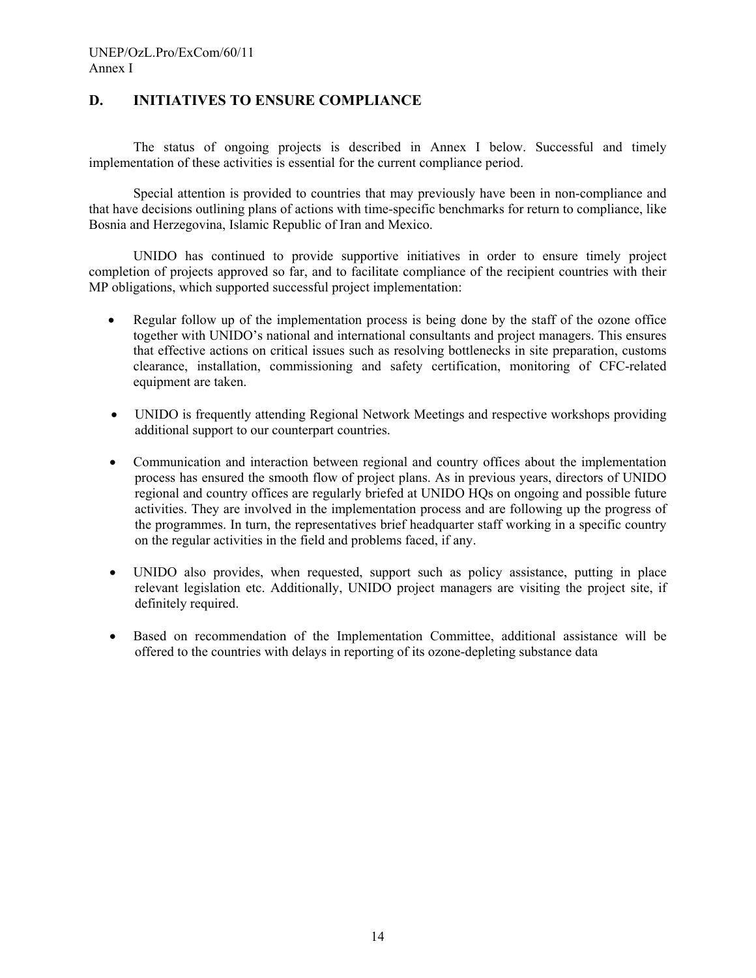# **D. INITIATIVES TO ENSURE COMPLIANCE**

The status of ongoing projects is described in Annex I below. Successful and timely implementation of these activities is essential for the current compliance period.

Special attention is provided to countries that may previously have been in non-compliance and that have decisions outlining plans of actions with time-specific benchmarks for return to compliance, like Bosnia and Herzegovina, Islamic Republic of Iran and Mexico.

UNIDO has continued to provide supportive initiatives in order to ensure timely project completion of projects approved so far, and to facilitate compliance of the recipient countries with their MP obligations, which supported successful project implementation:

- Regular follow up of the implementation process is being done by the staff of the ozone office together with UNIDO's national and international consultants and project managers. This ensures that effective actions on critical issues such as resolving bottlenecks in site preparation, customs clearance, installation, commissioning and safety certification, monitoring of CFC-related equipment are taken.
- UNIDO is frequently attending Regional Network Meetings and respective workshops providing additional support to our counterpart countries.
- Communication and interaction between regional and country offices about the implementation process has ensured the smooth flow of project plans. As in previous years, directors of UNIDO regional and country offices are regularly briefed at UNIDO HQs on ongoing and possible future activities. They are involved in the implementation process and are following up the progress of the programmes. In turn, the representatives brief headquarter staff working in a specific country on the regular activities in the field and problems faced, if any.
- UNIDO also provides, when requested, support such as policy assistance, putting in place relevant legislation etc. Additionally, UNIDO project managers are visiting the project site, if definitely required.
- Based on recommendation of the Implementation Committee, additional assistance will be offered to the countries with delays in reporting of its ozone-depleting substance data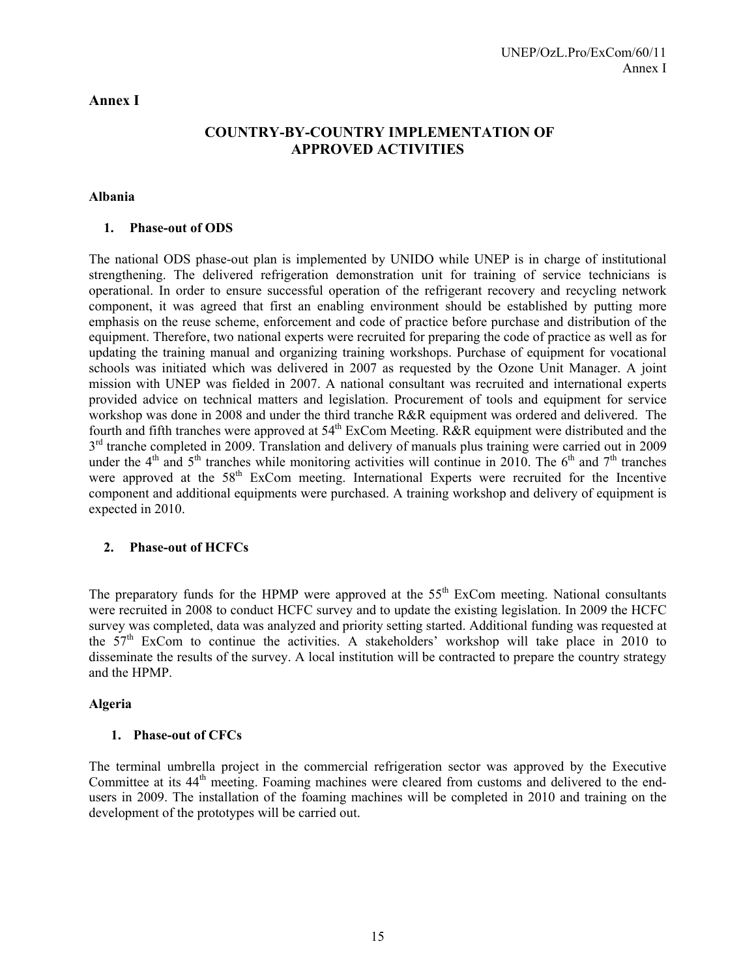### **Annex I**

# **COUNTRY-BY-COUNTRY IMPLEMENTATION OF APPROVED ACTIVITIES**

### **Albania**

### **1. Phase-out of ODS**

The national ODS phase-out plan is implemented by UNIDO while UNEP is in charge of institutional strengthening. The delivered refrigeration demonstration unit for training of service technicians is operational. In order to ensure successful operation of the refrigerant recovery and recycling network component, it was agreed that first an enabling environment should be established by putting more emphasis on the reuse scheme, enforcement and code of practice before purchase and distribution of the equipment. Therefore, two national experts were recruited for preparing the code of practice as well as for updating the training manual and organizing training workshops. Purchase of equipment for vocational schools was initiated which was delivered in 2007 as requested by the Ozone Unit Manager. A joint mission with UNEP was fielded in 2007. A national consultant was recruited and international experts provided advice on technical matters and legislation. Procurement of tools and equipment for service workshop was done in 2008 and under the third tranche R&R equipment was ordered and delivered. The fourth and fifth tranches were approved at  $54<sup>th</sup>$  ExCom Meeting. R&R equipment were distributed and the  $3<sup>rd</sup>$  tranche completed in 2009. Translation and delivery of manuals plus training were carried out in 2009 under the 4<sup>th</sup> and 5<sup>th</sup> tranches while monitoring activities will continue in 2010. The 6<sup>th</sup> and 7<sup>th</sup> tranches were approved at the 58<sup>th</sup> ExCom meeting. International Experts were recruited for the Incentive component and additional equipments were purchased. A training workshop and delivery of equipment is expected in 2010.

### **2. Phase-out of HCFCs**

The preparatory funds for the HPMP were approved at the 55<sup>th</sup> ExCom meeting. National consultants were recruited in 2008 to conduct HCFC survey and to update the existing legislation. In 2009 the HCFC survey was completed, data was analyzed and priority setting started. Additional funding was requested at the  $57<sup>th</sup>$  ExCom to continue the activities. A stakeholders' workshop will take place in 2010 to disseminate the results of the survey. A local institution will be contracted to prepare the country strategy and the HPMP.

#### **Algeria**

#### **1. Phase-out of CFCs**

The terminal umbrella project in the commercial refrigeration sector was approved by the Executive Committee at its 44<sup>th</sup> meeting. Foaming machines were cleared from customs and delivered to the endusers in 2009. The installation of the foaming machines will be completed in 2010 and training on the development of the prototypes will be carried out.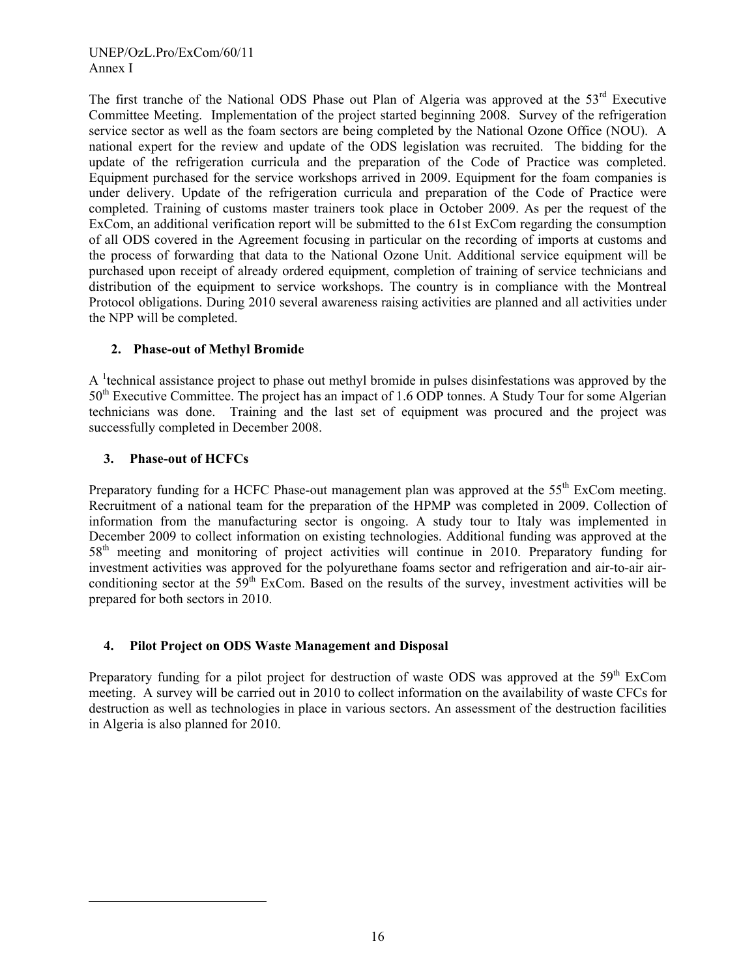The first tranche of the National ODS Phase out Plan of Algeria was approved at the 53<sup>rd</sup> Executive Committee Meeting. Implementation of the project started beginning 2008. Survey of the refrigeration service sector as well as the foam sectors are being completed by the National Ozone Office (NOU). A national expert for the review and update of the ODS legislation was recruited. The bidding for the update of the refrigeration curricula and the preparation of the Code of Practice was completed. Equipment purchased for the service workshops arrived in 2009. Equipment for the foam companies is under delivery. Update of the refrigeration curricula and preparation of the Code of Practice were completed. Training of customs master trainers took place in October 2009. As per the request of the ExCom, an additional verification report will be submitted to the 61st ExCom regarding the consumption of all ODS covered in the Agreement focusing in particular on the recording of imports at customs and the process of forwarding that data to the National Ozone Unit. Additional service equipment will be purchased upon receipt of already ordered equipment, completion of training of service technicians and distribution of the equipment to service workshops. The country is in compliance with the Montreal Protocol obligations. During 2010 several awareness raising activities are planned and all activities under the NPP will be completed.

# **2. Phase-out of Methyl Bromide**

A <sup>1</sup> technical assistance project to phase out methyl bromide in pulses disinfestations was approved by the  $50<sup>th</sup>$  Executive Committee. The project has an impact of 1.6 ODP tonnes. A Study Tour for some Algerian technicians was done. Training and the last set of equipment was procured and the project was successfully completed in December 2008.

# **3. Phase-out of HCFCs**

1

Preparatory funding for a HCFC Phase-out management plan was approved at the  $55<sup>th</sup>$  ExCom meeting. Recruitment of a national team for the preparation of the HPMP was completed in 2009. Collection of information from the manufacturing sector is ongoing. A study tour to Italy was implemented in December 2009 to collect information on existing technologies. Additional funding was approved at the 58th meeting and monitoring of project activities will continue in 2010. Preparatory funding for investment activities was approved for the polyurethane foams sector and refrigeration and air-to-air airconditioning sector at the  $59<sup>th</sup>$  ExCom. Based on the results of the survey, investment activities will be prepared for both sectors in 2010.

# **4. Pilot Project on ODS Waste Management and Disposal**

Preparatory funding for a pilot project for destruction of waste ODS was approved at the  $59<sup>th</sup>$  ExCom meeting. A survey will be carried out in 2010 to collect information on the availability of waste CFCs for destruction as well as technologies in place in various sectors. An assessment of the destruction facilities in Algeria is also planned for 2010.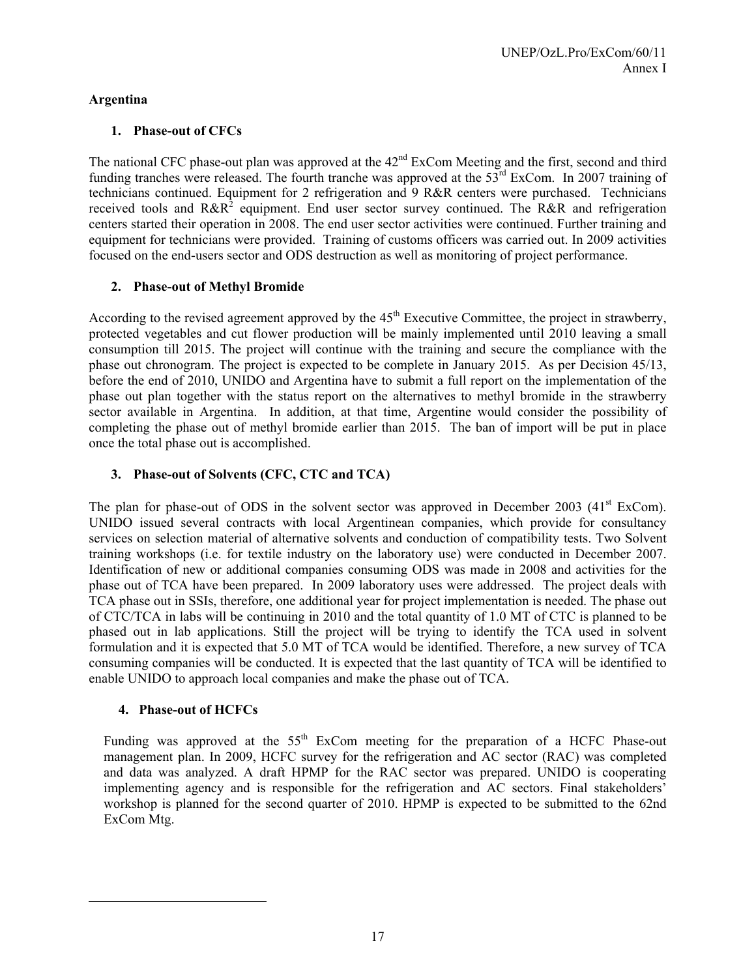# **Argentina**

# **1. Phase-out of CFCs**

The national CFC phase-out plan was approved at the  $42<sup>nd</sup>$  ExCom Meeting and the first, second and third funding tranches were released. The fourth tranche was approved at the 53<sup>rd</sup> ExCom. In 2007 training of technicians continued. Equipment for 2 refrigeration and 9 R&R centers were purchased. Technicians received tools and  $R\&R^2$  equipment. End user sector survey continued. The R&R and refrigeration centers started their operation in 2008. The end user sector activities were continued. Further training and equipment for technicians were provided. Training of customs officers was carried out. In 2009 activities focused on the end-users sector and ODS destruction as well as monitoring of project performance.

# **2. Phase-out of Methyl Bromide**

According to the revised agreement approved by the  $45<sup>th</sup>$  Executive Committee, the project in strawberry, protected vegetables and cut flower production will be mainly implemented until 2010 leaving a small consumption till 2015. The project will continue with the training and secure the compliance with the phase out chronogram. The project is expected to be complete in January 2015. As per Decision 45/13, before the end of 2010, UNIDO and Argentina have to submit a full report on the implementation of the phase out plan together with the status report on the alternatives to methyl bromide in the strawberry sector available in Argentina. In addition, at that time, Argentine would consider the possibility of completing the phase out of methyl bromide earlier than 2015. The ban of import will be put in place once the total phase out is accomplished.

# **3. Phase-out of Solvents (CFC, CTC and TCA)**

The plan for phase-out of ODS in the solvent sector was approved in December 2003  $(41<sup>st</sup> ExCom)$ . UNIDO issued several contracts with local Argentinean companies, which provide for consultancy services on selection material of alternative solvents and conduction of compatibility tests. Two Solvent training workshops (i.e. for textile industry on the laboratory use) were conducted in December 2007. Identification of new or additional companies consuming ODS was made in 2008 and activities for the phase out of TCA have been prepared. In 2009 laboratory uses were addressed. The project deals with TCA phase out in SSIs, therefore, one additional year for project implementation is needed. The phase out of CTC/TCA in labs will be continuing in 2010 and the total quantity of 1.0 MT of CTC is planned to be phased out in lab applications. Still the project will be trying to identify the TCA used in solvent formulation and it is expected that 5.0 MT of TCA would be identified. Therefore, a new survey of TCA consuming companies will be conducted. It is expected that the last quantity of TCA will be identified to enable UNIDO to approach local companies and make the phase out of TCA.

# **4. Phase-out of HCFCs**

1

Funding was approved at the  $55<sup>th</sup>$  ExCom meeting for the preparation of a HCFC Phase-out management plan. In 2009, HCFC survey for the refrigeration and AC sector (RAC) was completed and data was analyzed. A draft HPMP for the RAC sector was prepared. UNIDO is cooperating implementing agency and is responsible for the refrigeration and AC sectors. Final stakeholders' workshop is planned for the second quarter of 2010. HPMP is expected to be submitted to the 62nd ExCom Mtg.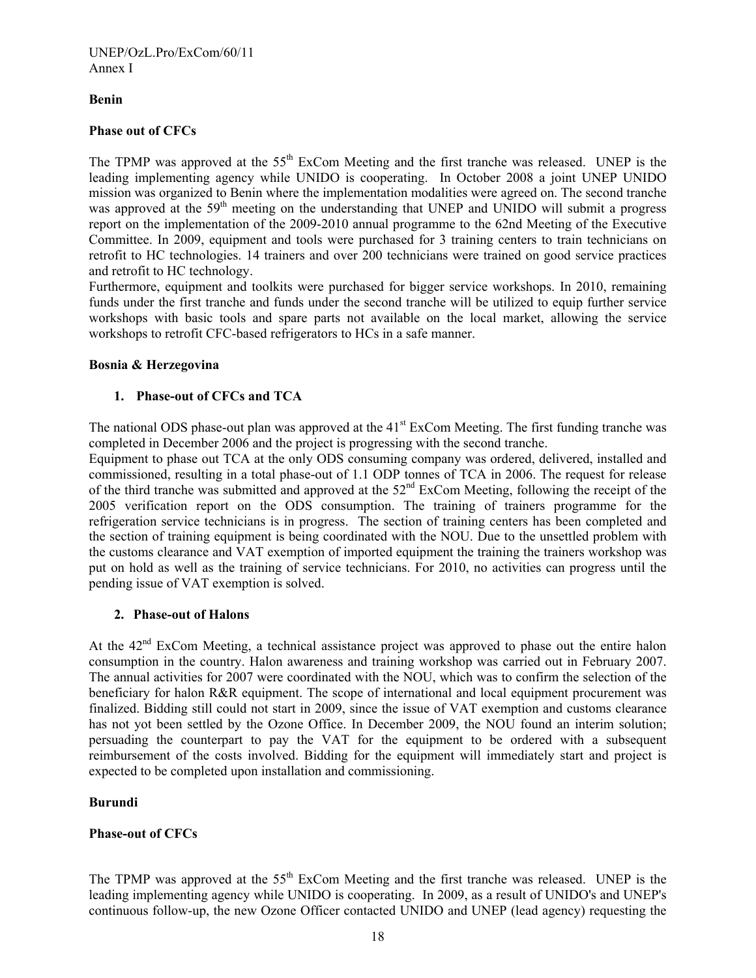### **Benin**

### **Phase out of CFCs**

The TPMP was approved at the 55<sup>th</sup> ExCom Meeting and the first tranche was released. UNEP is the leading implementing agency while UNIDO is cooperating. In October 2008 a joint UNEP UNIDO mission was organized to Benin where the implementation modalities were agreed on. The second tranche was approved at the 59<sup>th</sup> meeting on the understanding that UNEP and UNIDO will submit a progress report on the implementation of the 2009-2010 annual programme to the 62nd Meeting of the Executive Committee. In 2009, equipment and tools were purchased for 3 training centers to train technicians on retrofit to HC technologies. 14 trainers and over 200 technicians were trained on good service practices and retrofit to HC technology.

Furthermore, equipment and toolkits were purchased for bigger service workshops. In 2010, remaining funds under the first tranche and funds under the second tranche will be utilized to equip further service workshops with basic tools and spare parts not available on the local market, allowing the service workshops to retrofit CFC-based refrigerators to HCs in a safe manner.

### **Bosnia & Herzegovina**

### **1. Phase-out of CFCs and TCA**

The national ODS phase-out plan was approved at the  $41<sup>st</sup>$  ExCom Meeting. The first funding tranche was completed in December 2006 and the project is progressing with the second tranche.

Equipment to phase out TCA at the only ODS consuming company was ordered, delivered, installed and commissioned, resulting in a total phase-out of 1.1 ODP tonnes of TCA in 2006. The request for release of the third tranche was submitted and approved at the 52nd ExCom Meeting, following the receipt of the 2005 verification report on the ODS consumption. The training of trainers programme for the refrigeration service technicians is in progress. The section of training centers has been completed and the section of training equipment is being coordinated with the NOU. Due to the unsettled problem with the customs clearance and VAT exemption of imported equipment the training the trainers workshop was put on hold as well as the training of service technicians. For 2010, no activities can progress until the pending issue of VAT exemption is solved.

### **2. Phase-out of Halons**

At the 42<sup>nd</sup> ExCom Meeting, a technical assistance project was approved to phase out the entire halon consumption in the country. Halon awareness and training workshop was carried out in February 2007. The annual activities for 2007 were coordinated with the NOU, which was to confirm the selection of the beneficiary for halon R&R equipment. The scope of international and local equipment procurement was finalized. Bidding still could not start in 2009, since the issue of VAT exemption and customs clearance has not yot been settled by the Ozone Office. In December 2009, the NOU found an interim solution; persuading the counterpart to pay the VAT for the equipment to be ordered with a subsequent reimbursement of the costs involved. Bidding for the equipment will immediately start and project is expected to be completed upon installation and commissioning.

### **Burundi**

### **Phase-out of CFCs**

The TPMP was approved at the 55<sup>th</sup> ExCom Meeting and the first tranche was released. UNEP is the leading implementing agency while UNIDO is cooperating. In 2009, as a result of UNIDO's and UNEP's continuous follow-up, the new Ozone Officer contacted UNIDO and UNEP (lead agency) requesting the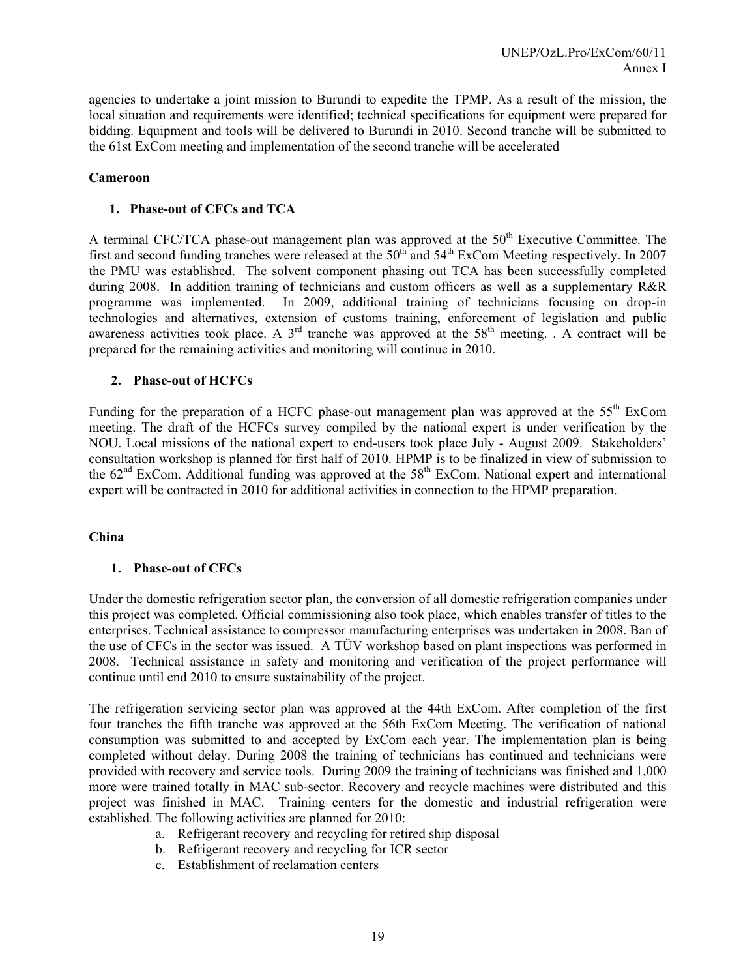agencies to undertake a joint mission to Burundi to expedite the TPMP. As a result of the mission, the local situation and requirements were identified; technical specifications for equipment were prepared for bidding. Equipment and tools will be delivered to Burundi in 2010. Second tranche will be submitted to the 61st ExCom meeting and implementation of the second tranche will be accelerated

#### **Cameroon**

#### **1. Phase-out of CFCs and TCA**

A terminal CFC/TCA phase-out management plan was approved at the 50<sup>th</sup> Executive Committee. The first and second funding tranches were released at the 50th and 54th ExCom Meeting respectively. In 2007 the PMU was established. The solvent component phasing out TCA has been successfully completed during 2008. In addition training of technicians and custom officers as well as a supplementary R&R programme was implemented. In 2009, additional training of technicians focusing on drop-in technologies and alternatives, extension of customs training, enforcement of legislation and public awareness activities took place. A  $3<sup>rd</sup>$  tranche was approved at the  $58<sup>th</sup>$  meeting. . A contract will be prepared for the remaining activities and monitoring will continue in 2010.

### **2. Phase-out of HCFCs**

Funding for the preparation of a HCFC phase-out management plan was approved at the 55<sup>th</sup> ExCom meeting. The draft of the HCFCs survey compiled by the national expert is under verification by the NOU. Local missions of the national expert to end-users took place July - August 2009. Stakeholders' consultation workshop is planned for first half of 2010. HPMP is to be finalized in view of submission to the 62<sup>nd</sup> ExCom. Additional funding was approved at the 58<sup>th</sup> ExCom. National expert and international expert will be contracted in 2010 for additional activities in connection to the HPMP preparation.

### **China**

### **1. Phase-out of CFCs**

Under the domestic refrigeration sector plan, the conversion of all domestic refrigeration companies under this project was completed. Official commissioning also took place, which enables transfer of titles to the enterprises. Technical assistance to compressor manufacturing enterprises was undertaken in 2008. Ban of the use of CFCs in the sector was issued. A TÜV workshop based on plant inspections was performed in 2008. Technical assistance in safety and monitoring and verification of the project performance will continue until end 2010 to ensure sustainability of the project.

The refrigeration servicing sector plan was approved at the 44th ExCom. After completion of the first four tranches the fifth tranche was approved at the 56th ExCom Meeting. The verification of national consumption was submitted to and accepted by ExCom each year. The implementation plan is being completed without delay. During 2008 the training of technicians has continued and technicians were provided with recovery and service tools. During 2009 the training of technicians was finished and 1,000 more were trained totally in MAC sub-sector. Recovery and recycle machines were distributed and this project was finished in MAC. Training centers for the domestic and industrial refrigeration were established. The following activities are planned for 2010:

- a. Refrigerant recovery and recycling for retired ship disposal
- b. Refrigerant recovery and recycling for ICR sector
- c. Establishment of reclamation centers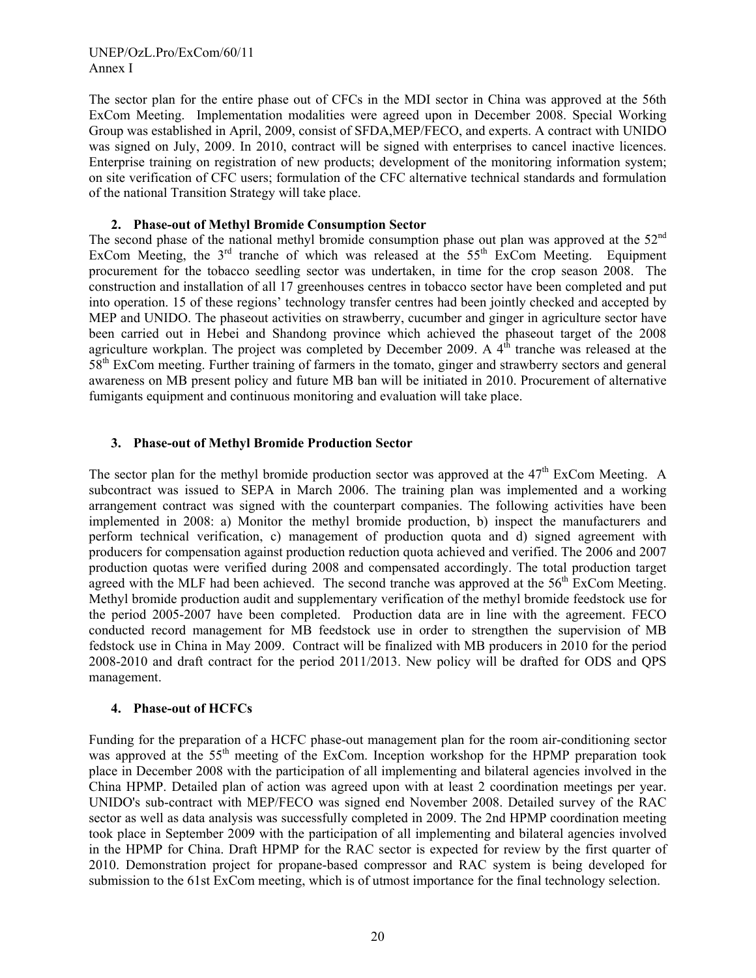The sector plan for the entire phase out of CFCs in the MDI sector in China was approved at the 56th ExCom Meeting. Implementation modalities were agreed upon in December 2008. Special Working Group was established in April, 2009, consist of SFDA,MEP/FECO, and experts. A contract with UNIDO was signed on July, 2009. In 2010, contract will be signed with enterprises to cancel inactive licences. Enterprise training on registration of new products; development of the monitoring information system; on site verification of CFC users; formulation of the CFC alternative technical standards and formulation of the national Transition Strategy will take place.

### **2. Phase-out of Methyl Bromide Consumption Sector**

The second phase of the national methyl bromide consumption phase out plan was approved at the 52<sup>nd</sup> ExCom Meeting, the  $3<sup>rd</sup>$  tranche of which was released at the  $55<sup>th</sup>$  ExCom Meeting. Equipment procurement for the tobacco seedling sector was undertaken, in time for the crop season 2008. The construction and installation of all 17 greenhouses centres in tobacco sector have been completed and put into operation. 15 of these regions' technology transfer centres had been jointly checked and accepted by MEP and UNIDO. The phaseout activities on strawberry, cucumber and ginger in agriculture sector have been carried out in Hebei and Shandong province which achieved the phaseout target of the 2008 agriculture workplan. The project was completed by December 2009. A  $4<sup>th</sup>$  tranche was released at the 58th ExCom meeting. Further training of farmers in the tomato, ginger and strawberry sectors and general awareness on MB present policy and future MB ban will be initiated in 2010. Procurement of alternative fumigants equipment and continuous monitoring and evaluation will take place.

#### **3. Phase-out of Methyl Bromide Production Sector**

The sector plan for the methyl bromide production sector was approved at the  $47<sup>th</sup>$  ExCom Meeting. A subcontract was issued to SEPA in March 2006. The training plan was implemented and a working arrangement contract was signed with the counterpart companies. The following activities have been implemented in 2008: a) Monitor the methyl bromide production, b) inspect the manufacturers and perform technical verification, c) management of production quota and d) signed agreement with producers for compensation against production reduction quota achieved and verified. The 2006 and 2007 production quotas were verified during 2008 and compensated accordingly. The total production target agreed with the MLF had been achieved. The second tranche was approved at the  $56<sup>th</sup>$  ExCom Meeting. Methyl bromide production audit and supplementary verification of the methyl bromide feedstock use for the period 2005-2007 have been completed. Production data are in line with the agreement. FECO conducted record management for MB feedstock use in order to strengthen the supervision of MB fedstock use in China in May 2009. Contract will be finalized with MB producers in 2010 for the period 2008-2010 and draft contract for the period 2011/2013. New policy will be drafted for ODS and QPS management.

#### **4. Phase-out of HCFCs**

Funding for the preparation of a HCFC phase-out management plan for the room air-conditioning sector was approved at the  $55<sup>th</sup>$  meeting of the ExCom. Inception workshop for the HPMP preparation took place in December 2008 with the participation of all implementing and bilateral agencies involved in the China HPMP. Detailed plan of action was agreed upon with at least 2 coordination meetings per year. UNIDO's sub-contract with MEP/FECO was signed end November 2008. Detailed survey of the RAC sector as well as data analysis was successfully completed in 2009. The 2nd HPMP coordination meeting took place in September 2009 with the participation of all implementing and bilateral agencies involved in the HPMP for China. Draft HPMP for the RAC sector is expected for review by the first quarter of 2010. Demonstration project for propane-based compressor and RAC system is being developed for submission to the 61st ExCom meeting, which is of utmost importance for the final technology selection.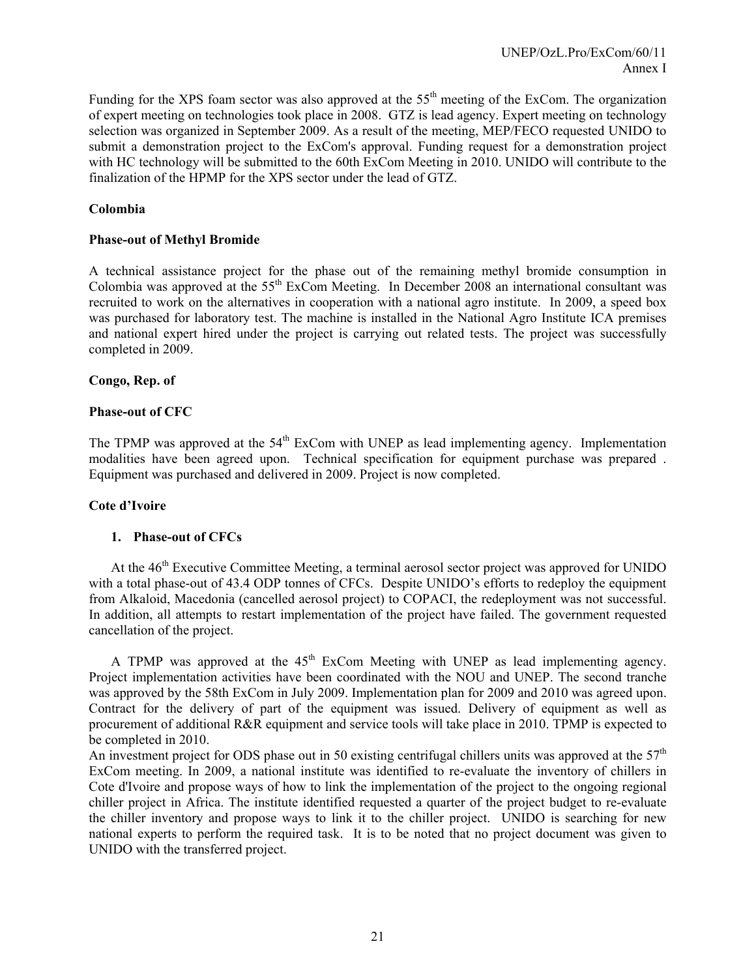Funding for the XPS foam sector was also approved at the  $55<sup>th</sup>$  meeting of the ExCom. The organization of expert meeting on technologies took place in 2008. GTZ is lead agency. Expert meeting on technology selection was organized in September 2009. As a result of the meeting, MEP/FECO requested UNIDO to submit a demonstration project to the ExCom's approval. Funding request for a demonstration project with HC technology will be submitted to the 60th ExCom Meeting in 2010. UNIDO will contribute to the finalization of the HPMP for the XPS sector under the lead of GTZ.

#### **Colombia**

#### **Phase-out of Methyl Bromide**

A technical assistance project for the phase out of the remaining methyl bromide consumption in Colombia was approved at the 55th ExCom Meeting. In December 2008 an international consultant was recruited to work on the alternatives in cooperation with a national agro institute. In 2009, a speed box was purchased for laboratory test. The machine is installed in the National Agro Institute ICA premises and national expert hired under the project is carrying out related tests. The project was successfully completed in 2009.

### **Congo, Rep. of**

#### **Phase-out of CFC**

The TPMP was approved at the  $54<sup>th</sup>$  ExCom with UNEP as lead implementing agency. Implementation modalities have been agreed upon. Technical specification for equipment purchase was prepared . Equipment was purchased and delivered in 2009. Project is now completed.

### **Cote d'Ivoire**

#### **1. Phase-out of CFCs**

At the 46<sup>th</sup> Executive Committee Meeting, a terminal aerosol sector project was approved for UNIDO with a total phase-out of 43.4 ODP tonnes of CFCs. Despite UNIDO's efforts to redeploy the equipment from Alkaloid, Macedonia (cancelled aerosol project) to COPACI, the redeployment was not successful. In addition, all attempts to restart implementation of the project have failed. The government requested cancellation of the project.

A TPMP was approved at the  $45<sup>th</sup>$  ExCom Meeting with UNEP as lead implementing agency. Project implementation activities have been coordinated with the NOU and UNEP. The second tranche was approved by the 58th ExCom in July 2009. Implementation plan for 2009 and 2010 was agreed upon. Contract for the delivery of part of the equipment was issued. Delivery of equipment as well as procurement of additional R&R equipment and service tools will take place in 2010. TPMP is expected to be completed in 2010.

An investment project for ODS phase out in 50 existing centrifugal chillers units was approved at the  $57<sup>th</sup>$ ExCom meeting. In 2009, a national institute was identified to re-evaluate the inventory of chillers in Cote d'Ivoire and propose ways of how to link the implementation of the project to the ongoing regional chiller project in Africa. The institute identified requested a quarter of the project budget to re-evaluate the chiller inventory and propose ways to link it to the chiller project. UNIDO is searching for new national experts to perform the required task. It is to be noted that no project document was given to UNIDO with the transferred project.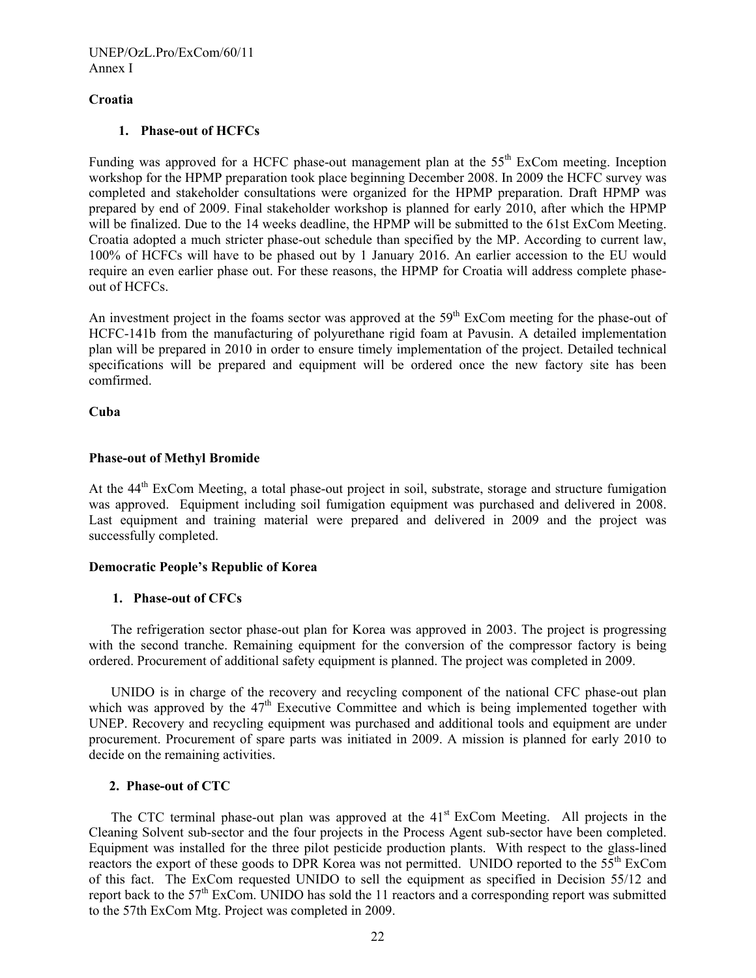#### **Croatia**

### **1. Phase-out of HCFCs**

Funding was approved for a HCFC phase-out management plan at the  $55<sup>th</sup>$  ExCom meeting. Inception workshop for the HPMP preparation took place beginning December 2008. In 2009 the HCFC survey was completed and stakeholder consultations were organized for the HPMP preparation. Draft HPMP was prepared by end of 2009. Final stakeholder workshop is planned for early 2010, after which the HPMP will be finalized. Due to the 14 weeks deadline, the HPMP will be submitted to the 61st ExCom Meeting. Croatia adopted a much stricter phase-out schedule than specified by the MP. According to current law, 100% of HCFCs will have to be phased out by 1 January 2016. An earlier accession to the EU would require an even earlier phase out. For these reasons, the HPMP for Croatia will address complete phaseout of HCFCs.

An investment project in the foams sector was approved at the 59<sup>th</sup> ExCom meeting for the phase-out of HCFC-141b from the manufacturing of polyurethane rigid foam at Pavusin. A detailed implementation plan will be prepared in 2010 in order to ensure timely implementation of the project. Detailed technical specifications will be prepared and equipment will be ordered once the new factory site has been comfirmed.

#### **Cuba**

#### **Phase-out of Methyl Bromide**

At the  $44<sup>th</sup>$  ExCom Meeting, a total phase-out project in soil, substrate, storage and structure fumigation was approved. Equipment including soil fumigation equipment was purchased and delivered in 2008. Last equipment and training material were prepared and delivered in 2009 and the project was successfully completed.

#### **Democratic People's Republic of Korea**

### **1. Phase-out of CFCs**

The refrigeration sector phase-out plan for Korea was approved in 2003. The project is progressing with the second tranche. Remaining equipment for the conversion of the compressor factory is being ordered. Procurement of additional safety equipment is planned. The project was completed in 2009.

UNIDO is in charge of the recovery and recycling component of the national CFC phase-out plan which was approved by the  $47<sup>th</sup>$  Executive Committee and which is being implemented together with UNEP. Recovery and recycling equipment was purchased and additional tools and equipment are under procurement. Procurement of spare parts was initiated in 2009. A mission is planned for early 2010 to decide on the remaining activities.

#### **2. Phase-out of CTC**

The CTC terminal phase-out plan was approved at the  $41<sup>st</sup>$  ExCom Meeting. All projects in the Cleaning Solvent sub-sector and the four projects in the Process Agent sub-sector have been completed. Equipment was installed for the three pilot pesticide production plants. With respect to the glass-lined reactors the export of these goods to DPR Korea was not permitted. UNIDO reported to the  $55<sup>th</sup>$  ExCom of this fact. The ExCom requested UNIDO to sell the equipment as specified in Decision 55/12 and report back to the  $57<sup>th</sup>$  ExCom. UNIDO has sold the 11 reactors and a corresponding report was submitted to the 57th ExCom Mtg. Project was completed in 2009.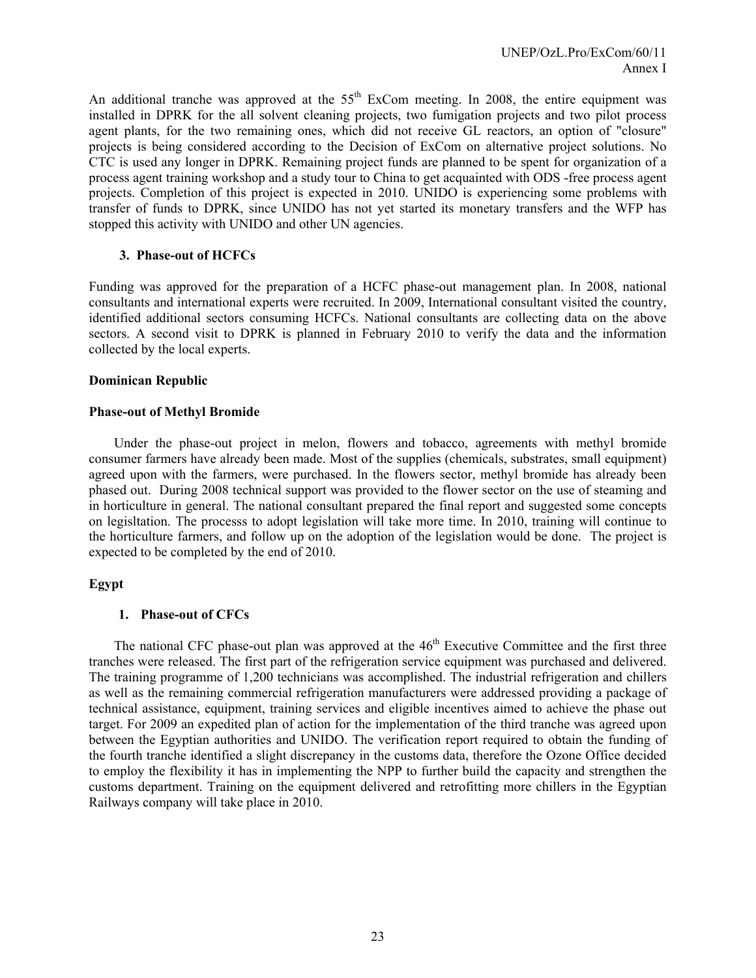An additional tranche was approved at the  $55<sup>th</sup>$  ExCom meeting. In 2008, the entire equipment was installed in DPRK for the all solvent cleaning projects, two fumigation projects and two pilot process agent plants, for the two remaining ones, which did not receive GL reactors, an option of "closure" projects is being considered according to the Decision of ExCom on alternative project solutions. No CTC is used any longer in DPRK. Remaining project funds are planned to be spent for organization of a process agent training workshop and a study tour to China to get acquainted with ODS -free process agent projects. Completion of this project is expected in 2010. UNIDO is experiencing some problems with transfer of funds to DPRK, since UNIDO has not yet started its monetary transfers and the WFP has stopped this activity with UNIDO and other UN agencies.

### **3. Phase-out of HCFCs**

Funding was approved for the preparation of a HCFC phase-out management plan. In 2008, national consultants and international experts were recruited. In 2009, International consultant visited the country, identified additional sectors consuming HCFCs. National consultants are collecting data on the above sectors. A second visit to DPRK is planned in February 2010 to verify the data and the information collected by the local experts.

#### **Dominican Republic**

#### **Phase-out of Methyl Bromide**

Under the phase-out project in melon, flowers and tobacco, agreements with methyl bromide consumer farmers have already been made. Most of the supplies (chemicals, substrates, small equipment) agreed upon with the farmers, were purchased. In the flowers sector, methyl bromide has already been phased out. During 2008 technical support was provided to the flower sector on the use of steaming and in horticulture in general. The national consultant prepared the final report and suggested some concepts on legisltation. The processs to adopt legislation will take more time. In 2010, training will continue to the horticulture farmers, and follow up on the adoption of the legislation would be done. The project is expected to be completed by the end of 2010.

### **Egypt**

### **1. Phase-out of CFCs**

The national CFC phase-out plan was approved at the  $46<sup>th</sup>$  Executive Committee and the first three tranches were released. The first part of the refrigeration service equipment was purchased and delivered. The training programme of 1,200 technicians was accomplished. The industrial refrigeration and chillers as well as the remaining commercial refrigeration manufacturers were addressed providing a package of technical assistance, equipment, training services and eligible incentives aimed to achieve the phase out target. For 2009 an expedited plan of action for the implementation of the third tranche was agreed upon between the Egyptian authorities and UNIDO. The verification report required to obtain the funding of the fourth tranche identified a slight discrepancy in the customs data, therefore the Ozone Office decided to employ the flexibility it has in implementing the NPP to further build the capacity and strengthen the customs department. Training on the equipment delivered and retrofitting more chillers in the Egyptian Railways company will take place in 2010.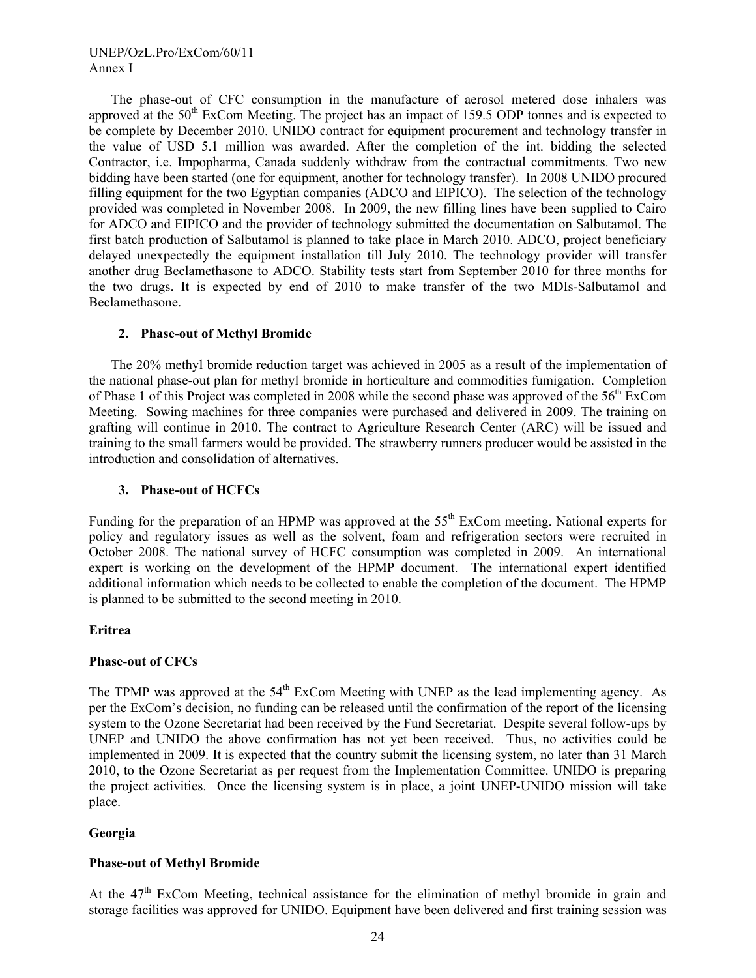The phase-out of CFC consumption in the manufacture of aerosol metered dose inhalers was approved at the 50<sup>th</sup> ExCom Meeting. The project has an impact of 159.5 ODP tonnes and is expected to be complete by December 2010. UNIDO contract for equipment procurement and technology transfer in the value of USD 5.1 million was awarded. After the completion of the int. bidding the selected Contractor, i.e. Impopharma, Canada suddenly withdraw from the contractual commitments. Two new bidding have been started (one for equipment, another for technology transfer). In 2008 UNIDO procured filling equipment for the two Egyptian companies (ADCO and EIPICO). The selection of the technology provided was completed in November 2008. In 2009, the new filling lines have been supplied to Cairo for ADCO and EIPICO and the provider of technology submitted the documentation on Salbutamol. The first batch production of Salbutamol is planned to take place in March 2010. ADCO, project beneficiary delayed unexpectedly the equipment installation till July 2010. The technology provider will transfer another drug Beclamethasone to ADCO. Stability tests start from September 2010 for three months for the two drugs. It is expected by end of 2010 to make transfer of the two MDIs-Salbutamol and Beclamethasone.

#### **2. Phase-out of Methyl Bromide**

The 20% methyl bromide reduction target was achieved in 2005 as a result of the implementation of the national phase-out plan for methyl bromide in horticulture and commodities fumigation. Completion of Phase 1 of this Project was completed in 2008 while the second phase was approved of the  $56<sup>th</sup>$  ExCom Meeting. Sowing machines for three companies were purchased and delivered in 2009. The training on grafting will continue in 2010. The contract to Agriculture Research Center (ARC) will be issued and training to the small farmers would be provided. The strawberry runners producer would be assisted in the introduction and consolidation of alternatives.

#### **3. Phase-out of HCFCs**

Funding for the preparation of an HPMP was approved at the 55<sup>th</sup> ExCom meeting. National experts for policy and regulatory issues as well as the solvent, foam and refrigeration sectors were recruited in October 2008. The national survey of HCFC consumption was completed in 2009. An international expert is working on the development of the HPMP document. The international expert identified additional information which needs to be collected to enable the completion of the document. The HPMP is planned to be submitted to the second meeting in 2010.

#### **Eritrea**

#### **Phase-out of CFCs**

The TPMP was approved at the  $54<sup>th</sup>$  ExCom Meeting with UNEP as the lead implementing agency. As per the ExCom's decision, no funding can be released until the confirmation of the report of the licensing system to the Ozone Secretariat had been received by the Fund Secretariat. Despite several follow-ups by UNEP and UNIDO the above confirmation has not yet been received. Thus, no activities could be implemented in 2009. It is expected that the country submit the licensing system, no later than 31 March 2010, to the Ozone Secretariat as per request from the Implementation Committee. UNIDO is preparing the project activities. Once the licensing system is in place, a joint UNEP-UNIDO mission will take place.

### **Georgia**

#### **Phase-out of Methyl Bromide**

At the 47<sup>th</sup> ExCom Meeting, technical assistance for the elimination of methyl bromide in grain and storage facilities was approved for UNIDO. Equipment have been delivered and first training session was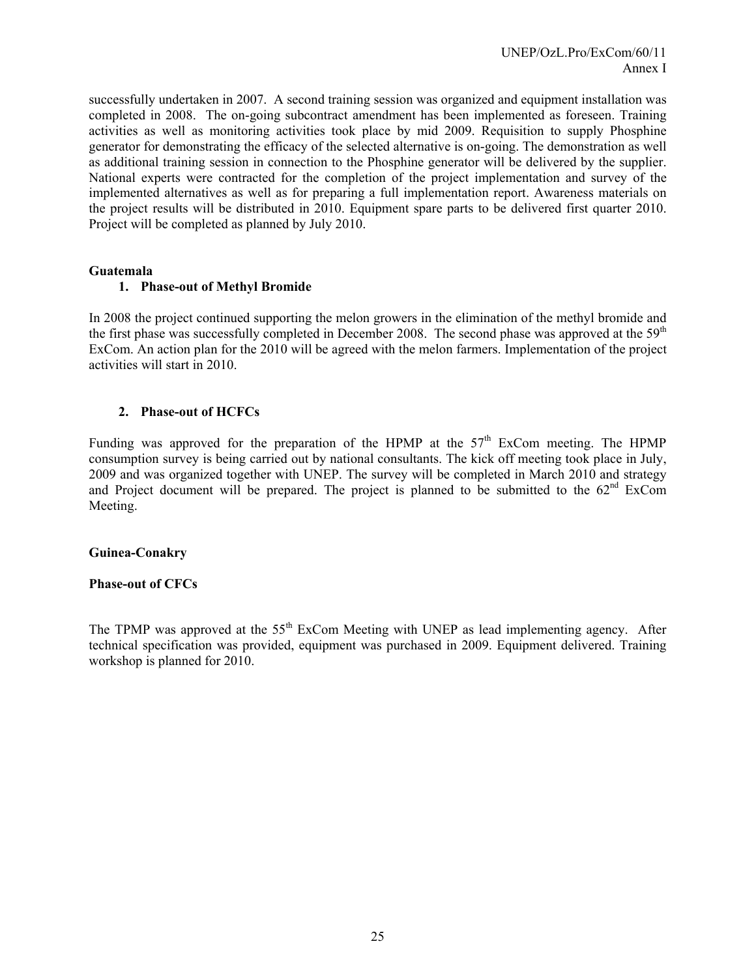successfully undertaken in 2007. A second training session was organized and equipment installation was completed in 2008. The on-going subcontract amendment has been implemented as foreseen. Training activities as well as monitoring activities took place by mid 2009. Requisition to supply Phosphine generator for demonstrating the efficacy of the selected alternative is on-going. The demonstration as well as additional training session in connection to the Phosphine generator will be delivered by the supplier. National experts were contracted for the completion of the project implementation and survey of the implemented alternatives as well as for preparing a full implementation report. Awareness materials on the project results will be distributed in 2010. Equipment spare parts to be delivered first quarter 2010. Project will be completed as planned by July 2010.

#### **Guatemala**

#### **1. Phase-out of Methyl Bromide**

In 2008 the project continued supporting the melon growers in the elimination of the methyl bromide and the first phase was successfully completed in December 2008. The second phase was approved at the  $59<sup>th</sup>$ ExCom. An action plan for the 2010 will be agreed with the melon farmers. Implementation of the project activities will start in 2010.

#### **2. Phase-out of HCFCs**

Funding was approved for the preparation of the HPMP at the  $57<sup>th</sup>$  ExCom meeting. The HPMP consumption survey is being carried out by national consultants. The kick off meeting took place in July, 2009 and was organized together with UNEP. The survey will be completed in March 2010 and strategy and Project document will be prepared. The project is planned to be submitted to the  $62<sup>nd</sup>$  ExCom Meeting.

#### **Guinea-Conakry**

### **Phase-out of CFCs**

The TPMP was approved at the 55<sup>th</sup> ExCom Meeting with UNEP as lead implementing agency. After technical specification was provided, equipment was purchased in 2009. Equipment delivered. Training workshop is planned for 2010.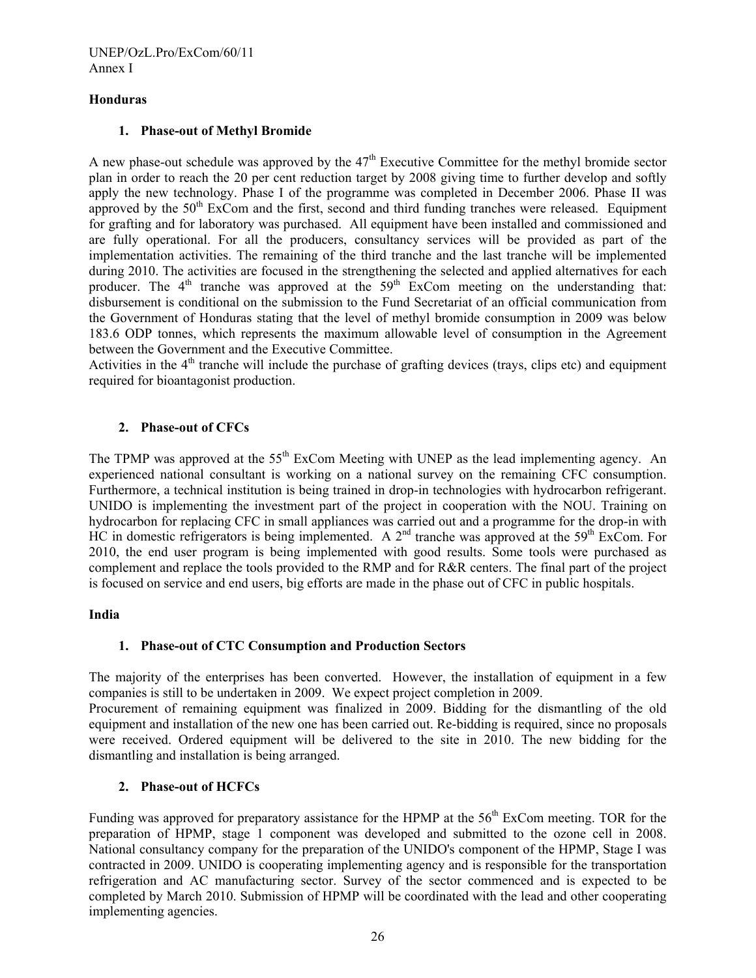### **Honduras**

#### **1. Phase-out of Methyl Bromide**

A new phase-out schedule was approved by the  $47<sup>th</sup>$  Executive Committee for the methyl bromide sector plan in order to reach the 20 per cent reduction target by 2008 giving time to further develop and softly apply the new technology. Phase I of the programme was completed in December 2006. Phase II was approved by the  $50<sup>th</sup>$  ExCom and the first, second and third funding tranches were released. Equipment for grafting and for laboratory was purchased. All equipment have been installed and commissioned and are fully operational. For all the producers, consultancy services will be provided as part of the implementation activities. The remaining of the third tranche and the last tranche will be implemented during 2010. The activities are focused in the strengthening the selected and applied alternatives for each producer. The  $4<sup>th</sup>$  tranche was approved at the  $59<sup>th</sup>$  ExCom meeting on the understanding that: disbursement is conditional on the submission to the Fund Secretariat of an official communication from the Government of Honduras stating that the level of methyl bromide consumption in 2009 was below 183.6 ODP tonnes, which represents the maximum allowable level of consumption in the Agreement between the Government and the Executive Committee.

Activities in the  $4<sup>th</sup>$  tranche will include the purchase of grafting devices (trays, clips etc) and equipment required for bioantagonist production.

# **2. Phase-out of CFCs**

The TPMP was approved at the 55<sup>th</sup> ExCom Meeting with UNEP as the lead implementing agency. An experienced national consultant is working on a national survey on the remaining CFC consumption. Furthermore, a technical institution is being trained in drop-in technologies with hydrocarbon refrigerant. UNIDO is implementing the investment part of the project in cooperation with the NOU. Training on hydrocarbon for replacing CFC in small appliances was carried out and a programme for the drop-in with HC in domestic refrigerators is being implemented. A  $2<sup>nd</sup>$  tranche was approved at the 59<sup>th</sup> ExCom. For 2010, the end user program is being implemented with good results. Some tools were purchased as complement and replace the tools provided to the RMP and for R&R centers. The final part of the project is focused on service and end users, big efforts are made in the phase out of CFC in public hospitals.

### **India**

### **1. Phase-out of CTC Consumption and Production Sectors**

The majority of the enterprises has been converted. However, the installation of equipment in a few companies is still to be undertaken in 2009. We expect project completion in 2009.

Procurement of remaining equipment was finalized in 2009. Bidding for the dismantling of the old equipment and installation of the new one has been carried out. Re-bidding is required, since no proposals were received. Ordered equipment will be delivered to the site in 2010. The new bidding for the dismantling and installation is being arranged.

### **2. Phase-out of HCFCs**

Funding was approved for preparatory assistance for the HPMP at the  $56<sup>th</sup>$  ExCom meeting. TOR for the preparation of HPMP, stage 1 component was developed and submitted to the ozone cell in 2008. National consultancy company for the preparation of the UNIDO's component of the HPMP, Stage I was contracted in 2009. UNIDO is cooperating implementing agency and is responsible for the transportation refrigeration and AC manufacturing sector. Survey of the sector commenced and is expected to be completed by March 2010. Submission of HPMP will be coordinated with the lead and other cooperating implementing agencies.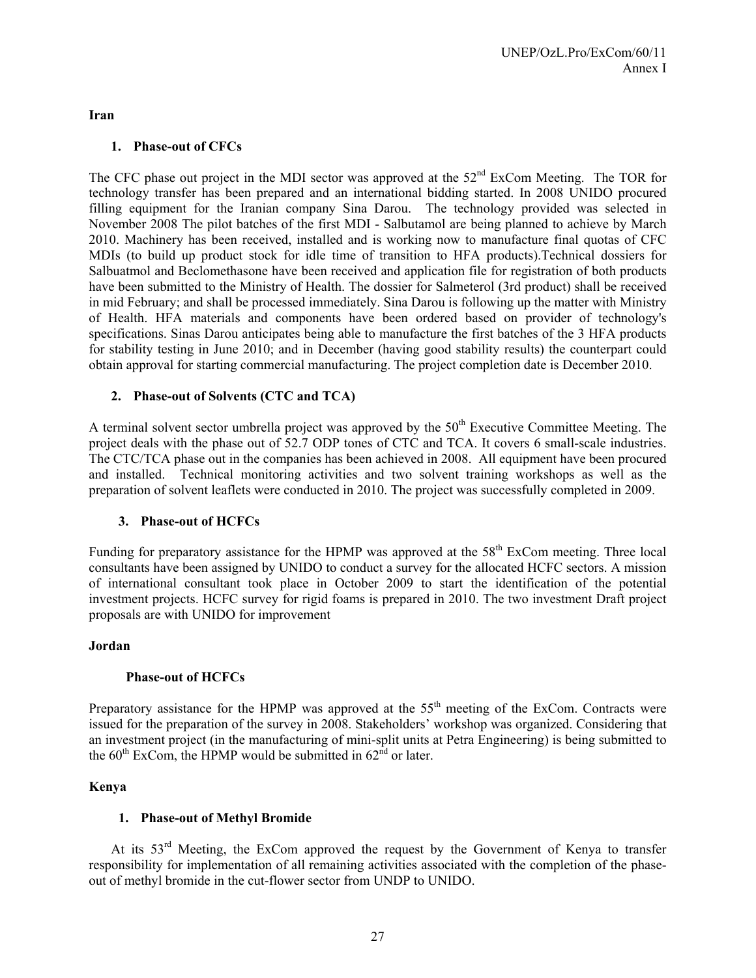**Iran** 

# **1. Phase-out of CFCs**

The CFC phase out project in the MDI sector was approved at the 52<sup>nd</sup> ExCom Meeting. The TOR for technology transfer has been prepared and an international bidding started. In 2008 UNIDO procured filling equipment for the Iranian company Sina Darou. The technology provided was selected in November 2008 The pilot batches of the first MDI - Salbutamol are being planned to achieve by March 2010. Machinery has been received, installed and is working now to manufacture final quotas of CFC MDIs (to build up product stock for idle time of transition to HFA products).Technical dossiers for Salbuatmol and Beclomethasone have been received and application file for registration of both products have been submitted to the Ministry of Health. The dossier for Salmeterol (3rd product) shall be received in mid February; and shall be processed immediately. Sina Darou is following up the matter with Ministry of Health. HFA materials and components have been ordered based on provider of technology's specifications. Sinas Darou anticipates being able to manufacture the first batches of the 3 HFA products for stability testing in June 2010; and in December (having good stability results) the counterpart could obtain approval for starting commercial manufacturing. The project completion date is December 2010.

# **2. Phase-out of Solvents (CTC and TCA)**

A terminal solvent sector umbrella project was approved by the  $50<sup>th</sup>$  Executive Committee Meeting. The project deals with the phase out of 52.7 ODP tones of CTC and TCA. It covers 6 small-scale industries. The CTC/TCA phase out in the companies has been achieved in 2008. All equipment have been procured and installed. Technical monitoring activities and two solvent training workshops as well as the preparation of solvent leaflets were conducted in 2010. The project was successfully completed in 2009.

### **3. Phase-out of HCFCs**

Funding for preparatory assistance for the HPMP was approved at the  $58<sup>th</sup>$  ExCom meeting. Three local consultants have been assigned by UNIDO to conduct a survey for the allocated HCFC sectors. A mission of international consultant took place in October 2009 to start the identification of the potential investment projects. HCFC survey for rigid foams is prepared in 2010. The two investment Draft project proposals are with UNIDO for improvement

### **Jordan**

### **Phase-out of HCFCs**

Preparatory assistance for the HPMP was approved at the 55<sup>th</sup> meeting of the ExCom. Contracts were issued for the preparation of the survey in 2008. Stakeholders' workshop was organized. Considering that an investment project (in the manufacturing of mini-split units at Petra Engineering) is being submitted to the  $60^{th}$  ExCom, the HPMP would be submitted in  $62^{nd}$  or later.

### **Kenya**

### **1. Phase-out of Methyl Bromide**

At its  $53<sup>rd</sup>$  Meeting, the ExCom approved the request by the Government of Kenya to transfer responsibility for implementation of all remaining activities associated with the completion of the phaseout of methyl bromide in the cut-flower sector from UNDP to UNIDO.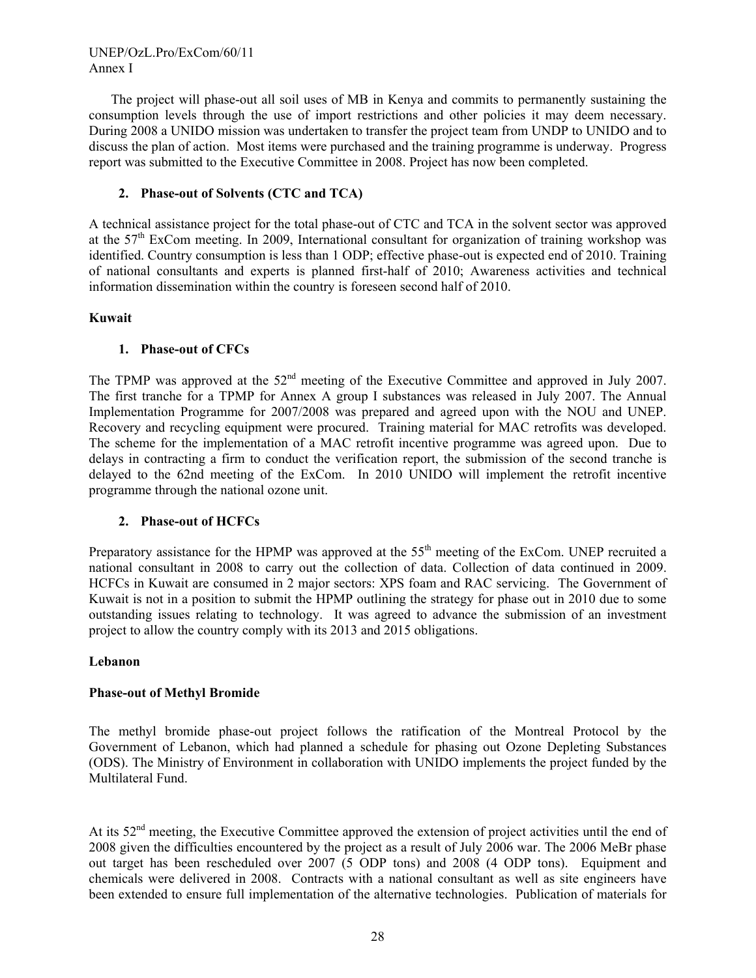UNEP/OzL.Pro/ExCom/60/11 Annex I

The project will phase-out all soil uses of MB in Kenya and commits to permanently sustaining the consumption levels through the use of import restrictions and other policies it may deem necessary. During 2008 a UNIDO mission was undertaken to transfer the project team from UNDP to UNIDO and to discuss the plan of action. Most items were purchased and the training programme is underway. Progress report was submitted to the Executive Committee in 2008. Project has now been completed.

### **2. Phase-out of Solvents (CTC and TCA)**

A technical assistance project for the total phase-out of CTC and TCA in the solvent sector was approved at the 57<sup>th</sup> ExCom meeting. In 2009, International consultant for organization of training workshop was identified. Country consumption is less than 1 ODP; effective phase-out is expected end of 2010. Training of national consultants and experts is planned first-half of 2010; Awareness activities and technical information dissemination within the country is foreseen second half of 2010.

### **Kuwait**

# **1. Phase-out of CFCs**

The TPMP was approved at the 52<sup>nd</sup> meeting of the Executive Committee and approved in July 2007. The first tranche for a TPMP for Annex A group I substances was released in July 2007. The Annual Implementation Programme for 2007/2008 was prepared and agreed upon with the NOU and UNEP. Recovery and recycling equipment were procured. Training material for MAC retrofits was developed. The scheme for the implementation of a MAC retrofit incentive programme was agreed upon. Due to delays in contracting a firm to conduct the verification report, the submission of the second tranche is delayed to the 62nd meeting of the ExCom. In 2010 UNIDO will implement the retrofit incentive programme through the national ozone unit.

# **2. Phase-out of HCFCs**

Preparatory assistance for the HPMP was approved at the 55<sup>th</sup> meeting of the ExCom. UNEP recruited a national consultant in 2008 to carry out the collection of data. Collection of data continued in 2009. HCFCs in Kuwait are consumed in 2 major sectors: XPS foam and RAC servicing. The Government of Kuwait is not in a position to submit the HPMP outlining the strategy for phase out in 2010 due to some outstanding issues relating to technology. It was agreed to advance the submission of an investment project to allow the country comply with its 2013 and 2015 obligations.

### **Lebanon**

### **Phase-out of Methyl Bromide**

The methyl bromide phase-out project follows the ratification of the Montreal Protocol by the Government of Lebanon, which had planned a schedule for phasing out Ozone Depleting Substances (ODS). The Ministry of Environment in collaboration with UNIDO implements the project funded by the Multilateral Fund.

At its 52<sup>nd</sup> meeting, the Executive Committee approved the extension of project activities until the end of 2008 given the difficulties encountered by the project as a result of July 2006 war. The 2006 MeBr phase out target has been rescheduled over 2007 (5 ODP tons) and 2008 (4 ODP tons). Equipment and chemicals were delivered in 2008. Contracts with a national consultant as well as site engineers have been extended to ensure full implementation of the alternative technologies. Publication of materials for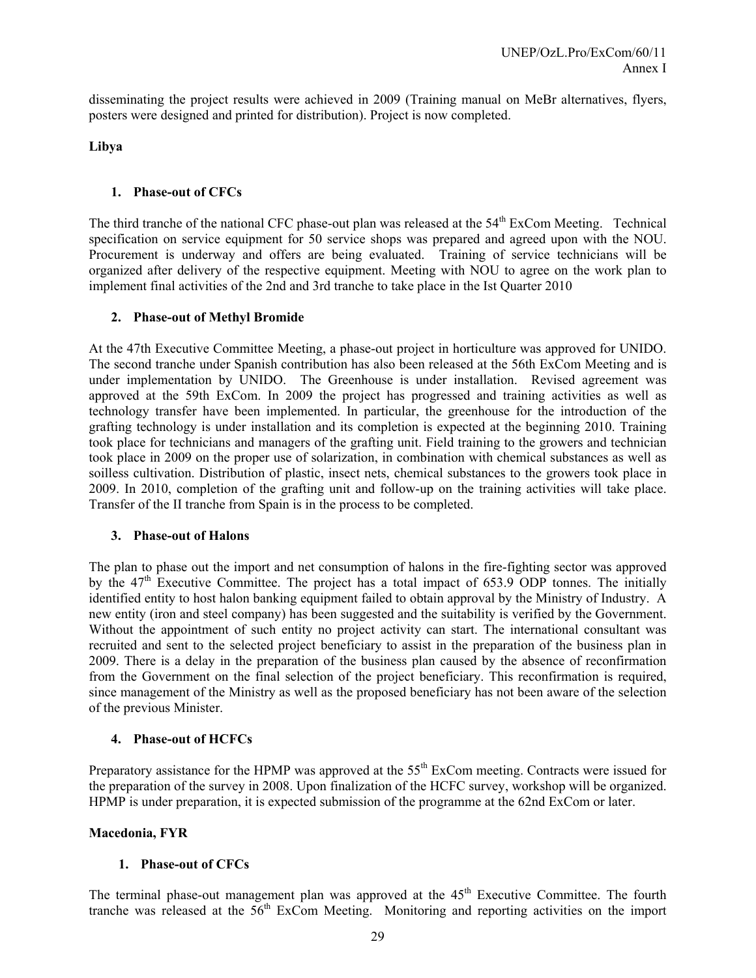disseminating the project results were achieved in 2009 (Training manual on MeBr alternatives, flyers, posters were designed and printed for distribution). Project is now completed.

**Libya** 

### **1. Phase-out of CFCs**

The third tranche of the national CFC phase-out plan was released at the 54<sup>th</sup> ExCom Meeting. Technical specification on service equipment for 50 service shops was prepared and agreed upon with the NOU. Procurement is underway and offers are being evaluated. Training of service technicians will be organized after delivery of the respective equipment. Meeting with NOU to agree on the work plan to implement final activities of the 2nd and 3rd tranche to take place in the Ist Quarter 2010

# **2. Phase-out of Methyl Bromide**

At the 47th Executive Committee Meeting, a phase-out project in horticulture was approved for UNIDO. The second tranche under Spanish contribution has also been released at the 56th ExCom Meeting and is under implementation by UNIDO. The Greenhouse is under installation. Revised agreement was approved at the 59th ExCom. In 2009 the project has progressed and training activities as well as technology transfer have been implemented. In particular, the greenhouse for the introduction of the grafting technology is under installation and its completion is expected at the beginning 2010. Training took place for technicians and managers of the grafting unit. Field training to the growers and technician took place in 2009 on the proper use of solarization, in combination with chemical substances as well as soilless cultivation. Distribution of plastic, insect nets, chemical substances to the growers took place in 2009. In 2010, completion of the grafting unit and follow-up on the training activities will take place. Transfer of the II tranche from Spain is in the process to be completed.

### **3. Phase-out of Halons**

The plan to phase out the import and net consumption of halons in the fire-fighting sector was approved by the 47<sup>th</sup> Executive Committee. The project has a total impact of 653.9 ODP tonnes. The initially identified entity to host halon banking equipment failed to obtain approval by the Ministry of Industry. A new entity (iron and steel company) has been suggested and the suitability is verified by the Government. Without the appointment of such entity no project activity can start. The international consultant was recruited and sent to the selected project beneficiary to assist in the preparation of the business plan in 2009. There is a delay in the preparation of the business plan caused by the absence of reconfirmation from the Government on the final selection of the project beneficiary. This reconfirmation is required, since management of the Ministry as well as the proposed beneficiary has not been aware of the selection of the previous Minister.

# **4. Phase-out of HCFCs**

Preparatory assistance for the HPMP was approved at the 55<sup>th</sup> ExCom meeting. Contracts were issued for the preparation of the survey in 2008. Upon finalization of the HCFC survey, workshop will be organized. HPMP is under preparation, it is expected submission of the programme at the 62nd ExCom or later.

# **Macedonia, FYR**

### **1. Phase-out of CFCs**

The terminal phase-out management plan was approved at the  $45<sup>th</sup>$  Executive Committee. The fourth tranche was released at the 56th ExCom Meeting. Monitoring and reporting activities on the import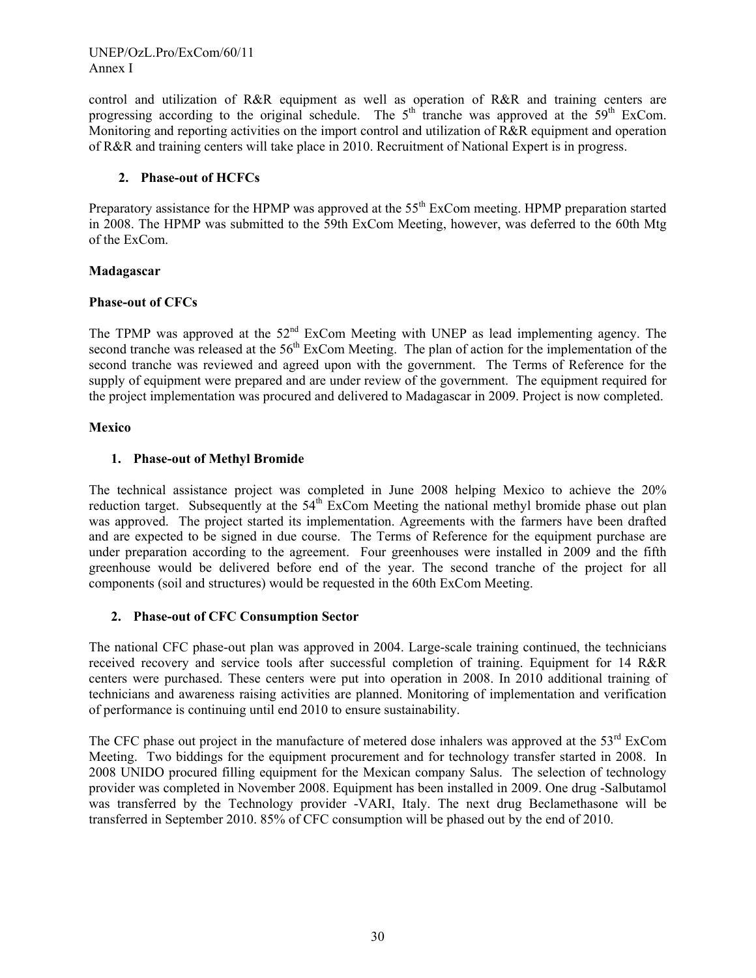control and utilization of R&R equipment as well as operation of R&R and training centers are progressing according to the original schedule. The  $5<sup>th</sup>$  tranche was approved at the  $59<sup>th</sup>$  ExCom. Monitoring and reporting activities on the import control and utilization of R&R equipment and operation of R&R and training centers will take place in 2010. Recruitment of National Expert is in progress.

# **2. Phase-out of HCFCs**

Preparatory assistance for the HPMP was approved at the 55<sup>th</sup> ExCom meeting. HPMP preparation started in 2008. The HPMP was submitted to the 59th ExCom Meeting, however, was deferred to the 60th Mtg of the ExCom.

# **Madagascar**

# **Phase-out of CFCs**

The TPMP was approved at the  $52<sup>nd</sup>$  ExCom Meeting with UNEP as lead implementing agency. The second tranche was released at the 56<sup>th</sup> ExCom Meeting. The plan of action for the implementation of the second tranche was reviewed and agreed upon with the government. The Terms of Reference for the supply of equipment were prepared and are under review of the government. The equipment required for the project implementation was procured and delivered to Madagascar in 2009. Project is now completed.

# **Mexico**

# **1. Phase-out of Methyl Bromide**

The technical assistance project was completed in June 2008 helping Mexico to achieve the 20% reduction target. Subsequently at the  $54<sup>th</sup>$  ExCom Meeting the national methyl bromide phase out plan was approved. The project started its implementation. Agreements with the farmers have been drafted and are expected to be signed in due course. The Terms of Reference for the equipment purchase are under preparation according to the agreement. Four greenhouses were installed in 2009 and the fifth greenhouse would be delivered before end of the year. The second tranche of the project for all components (soil and structures) would be requested in the 60th ExCom Meeting.

### **2. Phase-out of CFC Consumption Sector**

The national CFC phase-out plan was approved in 2004. Large-scale training continued, the technicians received recovery and service tools after successful completion of training. Equipment for 14 R&R centers were purchased. These centers were put into operation in 2008. In 2010 additional training of technicians and awareness raising activities are planned. Monitoring of implementation and verification of performance is continuing until end 2010 to ensure sustainability.

The CFC phase out project in the manufacture of metered dose inhalers was approved at the 53<sup>rd</sup> ExCom Meeting. Two biddings for the equipment procurement and for technology transfer started in 2008. In 2008 UNIDO procured filling equipment for the Mexican company Salus. The selection of technology provider was completed in November 2008. Equipment has been installed in 2009. One drug -Salbutamol was transferred by the Technology provider -VARI, Italy. The next drug Beclamethasone will be transferred in September 2010. 85% of CFC consumption will be phased out by the end of 2010.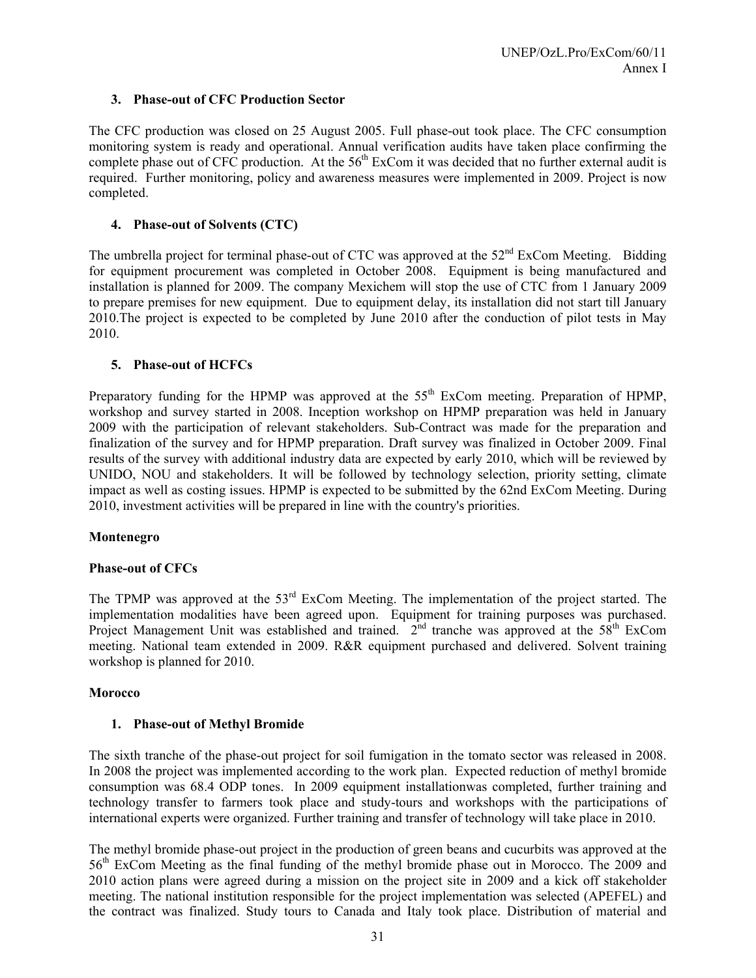# **3. Phase-out of CFC Production Sector**

The CFC production was closed on 25 August 2005. Full phase-out took place. The CFC consumption monitoring system is ready and operational. Annual verification audits have taken place confirming the complete phase out of CFC production. At the  $56<sup>th</sup>$  ExCom it was decided that no further external audit is required. Further monitoring, policy and awareness measures were implemented in 2009. Project is now completed.

# **4. Phase-out of Solvents (CTC)**

The umbrella project for terminal phase-out of CTC was approved at the  $52<sup>nd</sup>$  ExCom Meeting. Bidding for equipment procurement was completed in October 2008. Equipment is being manufactured and installation is planned for 2009. The company Mexichem will stop the use of CTC from 1 January 2009 to prepare premises for new equipment. Due to equipment delay, its installation did not start till January 2010.The project is expected to be completed by June 2010 after the conduction of pilot tests in May 2010.

# **5. Phase-out of HCFCs**

Preparatory funding for the HPMP was approved at the 55<sup>th</sup> ExCom meeting. Preparation of HPMP, workshop and survey started in 2008. Inception workshop on HPMP preparation was held in January 2009 with the participation of relevant stakeholders. Sub-Contract was made for the preparation and finalization of the survey and for HPMP preparation. Draft survey was finalized in October 2009. Final results of the survey with additional industry data are expected by early 2010, which will be reviewed by UNIDO, NOU and stakeholders. It will be followed by technology selection, priority setting, climate impact as well as costing issues. HPMP is expected to be submitted by the 62nd ExCom Meeting. During 2010, investment activities will be prepared in line with the country's priorities.

### **Montenegro**

### **Phase-out of CFCs**

The TPMP was approved at the 53<sup>rd</sup> ExCom Meeting. The implementation of the project started. The implementation modalities have been agreed upon. Equipment for training purposes was purchased. Project Management Unit was established and trained.  $2<sup>nd</sup>$  tranche was approved at the 58<sup>th</sup> ExCom meeting. National team extended in 2009. R&R equipment purchased and delivered. Solvent training workshop is planned for 2010.

### **Morocco**

### **1. Phase-out of Methyl Bromide**

The sixth tranche of the phase-out project for soil fumigation in the tomato sector was released in 2008. In 2008 the project was implemented according to the work plan. Expected reduction of methyl bromide consumption was 68.4 ODP tones. In 2009 equipment installationwas completed, further training and technology transfer to farmers took place and study-tours and workshops with the participations of international experts were organized. Further training and transfer of technology will take place in 2010.

The methyl bromide phase-out project in the production of green beans and cucurbits was approved at the 56th ExCom Meeting as the final funding of the methyl bromide phase out in Morocco. The 2009 and 2010 action plans were agreed during a mission on the project site in 2009 and a kick off stakeholder meeting. The national institution responsible for the project implementation was selected (APEFEL) and the contract was finalized. Study tours to Canada and Italy took place. Distribution of material and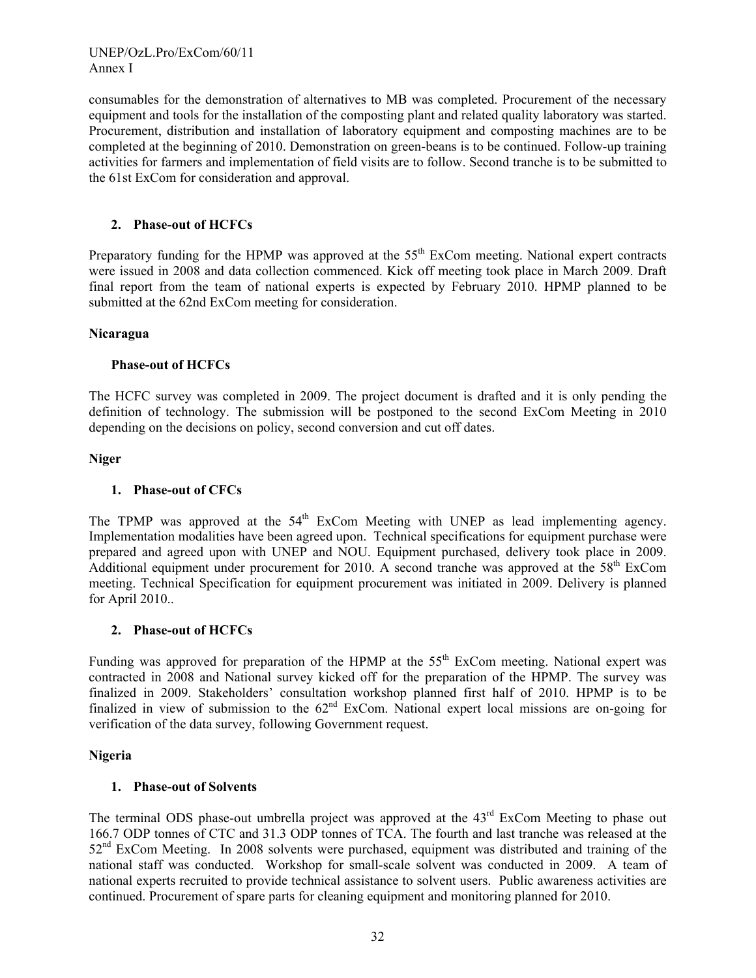UNEP/OzL.Pro/ExCom/60/11 Annex I

consumables for the demonstration of alternatives to MB was completed. Procurement of the necessary equipment and tools for the installation of the composting plant and related quality laboratory was started. Procurement, distribution and installation of laboratory equipment and composting machines are to be completed at the beginning of 2010. Demonstration on green-beans is to be continued. Follow-up training activities for farmers and implementation of field visits are to follow. Second tranche is to be submitted to the 61st ExCom for consideration and approval.

### **2. Phase-out of HCFCs**

Preparatory funding for the HPMP was approved at the 55<sup>th</sup> ExCom meeting. National expert contracts were issued in 2008 and data collection commenced. Kick off meeting took place in March 2009. Draft final report from the team of national experts is expected by February 2010. HPMP planned to be submitted at the 62nd ExCom meeting for consideration.

### **Nicaragua**

### **Phase-out of HCFCs**

The HCFC survey was completed in 2009. The project document is drafted and it is only pending the definition of technology. The submission will be postponed to the second ExCom Meeting in 2010 depending on the decisions on policy, second conversion and cut off dates.

#### **Niger**

#### **1. Phase-out of CFCs**

The TPMP was approved at the  $54<sup>th</sup>$  ExCom Meeting with UNEP as lead implementing agency. Implementation modalities have been agreed upon. Technical specifications for equipment purchase were prepared and agreed upon with UNEP and NOU. Equipment purchased, delivery took place in 2009. Additional equipment under procurement for 2010. A second tranche was approved at the  $58<sup>th</sup>$  ExCom meeting. Technical Specification for equipment procurement was initiated in 2009. Delivery is planned for April 2010..

### **2. Phase-out of HCFCs**

Funding was approved for preparation of the HPMP at the  $55<sup>th</sup>$  ExCom meeting. National expert was contracted in 2008 and National survey kicked off for the preparation of the HPMP. The survey was finalized in 2009. Stakeholders' consultation workshop planned first half of 2010. HPMP is to be finalized in view of submission to the  $62<sup>nd</sup>$  ExCom. National expert local missions are on-going for verification of the data survey, following Government request.

#### **Nigeria**

### **1. Phase-out of Solvents**

The terminal ODS phase-out umbrella project was approved at the 43<sup>rd</sup> ExCom Meeting to phase out 166.7 ODP tonnes of CTC and 31.3 ODP tonnes of TCA. The fourth and last tranche was released at the 52<sup>nd</sup> ExCom Meeting. In 2008 solvents were purchased, equipment was distributed and training of the national staff was conducted. Workshop for small-scale solvent was conducted in 2009. A team of national experts recruited to provide technical assistance to solvent users. Public awareness activities are continued. Procurement of spare parts for cleaning equipment and monitoring planned for 2010.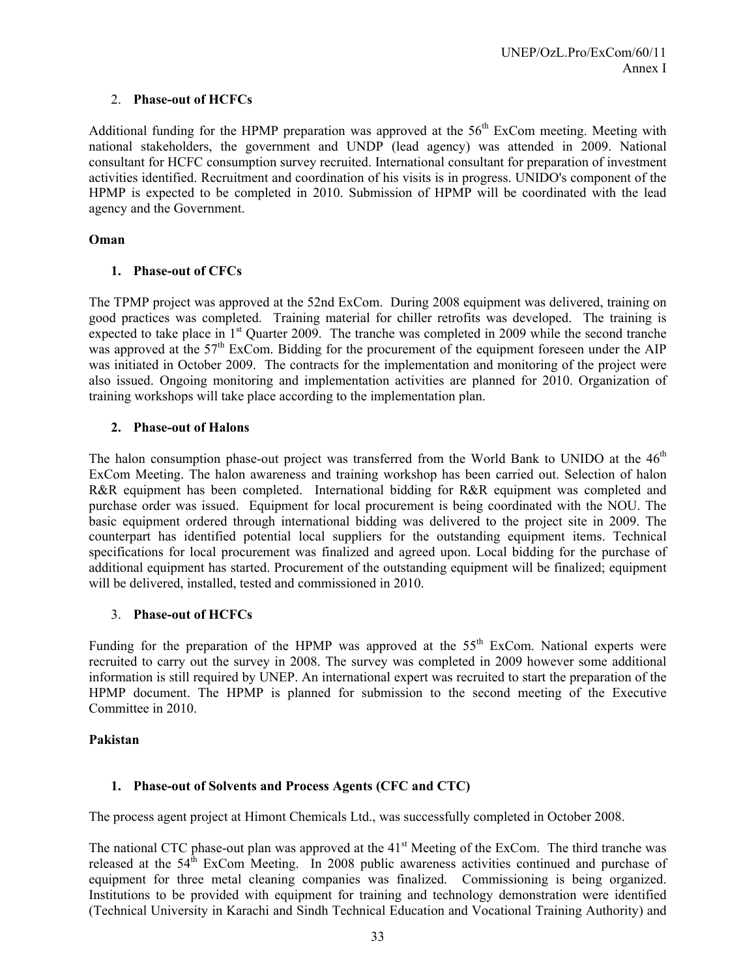# 2. **Phase-out of HCFCs**

Additional funding for the HPMP preparation was approved at the  $56<sup>th</sup>$  ExCom meeting. Meeting with national stakeholders, the government and UNDP (lead agency) was attended in 2009. National consultant for HCFC consumption survey recruited. International consultant for preparation of investment activities identified. Recruitment and coordination of his visits is in progress. UNIDO's component of the HPMP is expected to be completed in 2010. Submission of HPMP will be coordinated with the lead agency and the Government.

### **Oman**

# **1. Phase-out of CFCs**

The TPMP project was approved at the 52nd ExCom. During 2008 equipment was delivered, training on good practices was completed. Training material for chiller retrofits was developed. The training is expected to take place in 1<sup>st</sup> Quarter 2009. The tranche was completed in 2009 while the second tranche was approved at the  $57<sup>th</sup>$  ExCom. Bidding for the procurement of the equipment foreseen under the AIP was initiated in October 2009. The contracts for the implementation and monitoring of the project were also issued. Ongoing monitoring and implementation activities are planned for 2010. Organization of training workshops will take place according to the implementation plan.

# **2. Phase-out of Halons**

The halon consumption phase-out project was transferred from the World Bank to UNIDO at the  $46<sup>th</sup>$ ExCom Meeting. The halon awareness and training workshop has been carried out. Selection of halon R&R equipment has been completed. International bidding for R&R equipment was completed and purchase order was issued. Equipment for local procurement is being coordinated with the NOU. The basic equipment ordered through international bidding was delivered to the project site in 2009. The counterpart has identified potential local suppliers for the outstanding equipment items. Technical specifications for local procurement was finalized and agreed upon. Local bidding for the purchase of additional equipment has started. Procurement of the outstanding equipment will be finalized; equipment will be delivered, installed, tested and commissioned in 2010.

# 3. **Phase-out of HCFCs**

Funding for the preparation of the HPMP was approved at the  $55<sup>th</sup>$  ExCom. National experts were recruited to carry out the survey in 2008. The survey was completed in 2009 however some additional information is still required by UNEP. An international expert was recruited to start the preparation of the HPMP document. The HPMP is planned for submission to the second meeting of the Executive Committee in 2010.

### **Pakistan**

# **1. Phase-out of Solvents and Process Agents (CFC and CTC)**

The process agent project at Himont Chemicals Ltd., was successfully completed in October 2008.

The national CTC phase-out plan was approved at the 41<sup>st</sup> Meeting of the ExCom. The third tranche was released at the  $54<sup>th</sup>$  ExCom Meeting. In 2008 public awareness activities continued and purchase of equipment for three metal cleaning companies was finalized. Commissioning is being organized. Institutions to be provided with equipment for training and technology demonstration were identified (Technical University in Karachi and Sindh Technical Education and Vocational Training Authority) and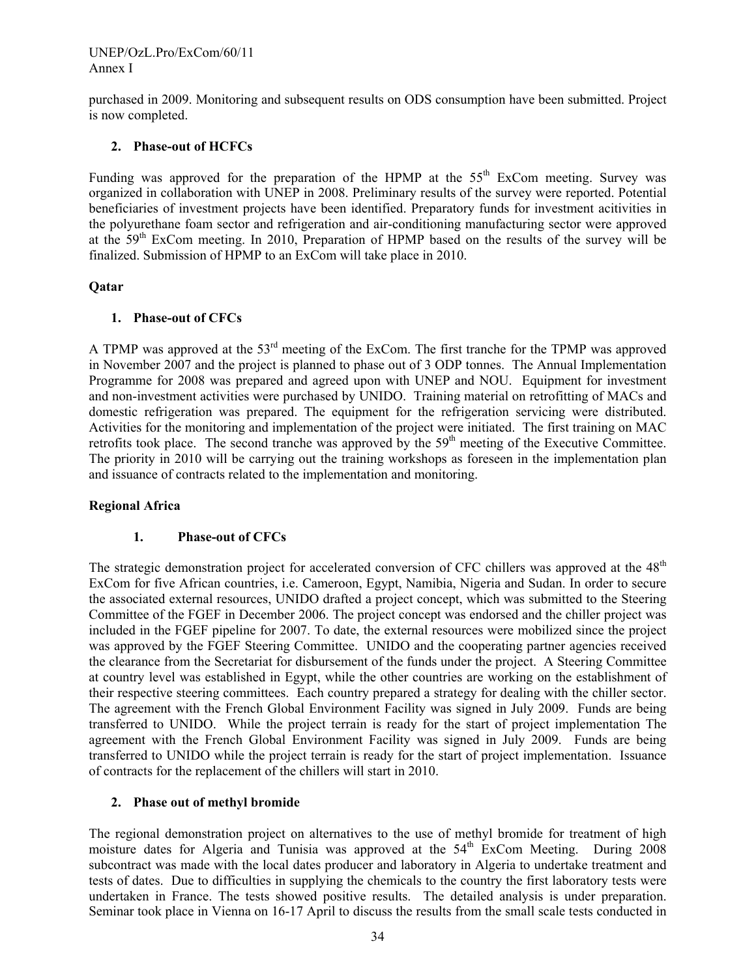UNEP/OzL.Pro/ExCom/60/11 Annex I

purchased in 2009. Monitoring and subsequent results on ODS consumption have been submitted. Project is now completed.

### **2. Phase-out of HCFCs**

Funding was approved for the preparation of the HPMP at the  $55<sup>th</sup>$  ExCom meeting. Survey was organized in collaboration with UNEP in 2008. Preliminary results of the survey were reported. Potential beneficiaries of investment projects have been identified. Preparatory funds for investment acitivities in the polyurethane foam sector and refrigeration and air-conditioning manufacturing sector were approved at the 59th ExCom meeting. In 2010, Preparation of HPMP based on the results of the survey will be finalized. Submission of HPMP to an ExCom will take place in 2010.

### **Qatar**

### **1. Phase-out of CFCs**

A TPMP was approved at the 53<sup>rd</sup> meeting of the ExCom. The first tranche for the TPMP was approved in November 2007 and the project is planned to phase out of 3 ODP tonnes. The Annual Implementation Programme for 2008 was prepared and agreed upon with UNEP and NOU. Equipment for investment and non-investment activities were purchased by UNIDO. Training material on retrofitting of MACs and domestic refrigeration was prepared. The equipment for the refrigeration servicing were distributed. Activities for the monitoring and implementation of the project were initiated. The first training on MAC retrofits took place. The second tranche was approved by the 59<sup>th</sup> meeting of the Executive Committee. The priority in 2010 will be carrying out the training workshops as foreseen in the implementation plan and issuance of contracts related to the implementation and monitoring.

### **Regional Africa**

### **1. Phase-out of CFCs**

The strategic demonstration project for accelerated conversion of CFC chillers was approved at the 48<sup>th</sup> ExCom for five African countries, i.e. Cameroon, Egypt, Namibia, Nigeria and Sudan. In order to secure the associated external resources, UNIDO drafted a project concept, which was submitted to the Steering Committee of the FGEF in December 2006. The project concept was endorsed and the chiller project was included in the FGEF pipeline for 2007. To date, the external resources were mobilized since the project was approved by the FGEF Steering Committee. UNIDO and the cooperating partner agencies received the clearance from the Secretariat for disbursement of the funds under the project. A Steering Committee at country level was established in Egypt, while the other countries are working on the establishment of their respective steering committees. Each country prepared a strategy for dealing with the chiller sector. The agreement with the French Global Environment Facility was signed in July 2009. Funds are being transferred to UNIDO. While the project terrain is ready for the start of project implementation The agreement with the French Global Environment Facility was signed in July 2009. Funds are being transferred to UNIDO while the project terrain is ready for the start of project implementation. Issuance of contracts for the replacement of the chillers will start in 2010.

### **2. Phase out of methyl bromide**

The regional demonstration project on alternatives to the use of methyl bromide for treatment of high moisture dates for Algeria and Tunisia was approved at the 54<sup>th</sup> ExCom Meeting. During 2008 subcontract was made with the local dates producer and laboratory in Algeria to undertake treatment and tests of dates. Due to difficulties in supplying the chemicals to the country the first laboratory tests were undertaken in France. The tests showed positive results. The detailed analysis is under preparation. Seminar took place in Vienna on 16-17 April to discuss the results from the small scale tests conducted in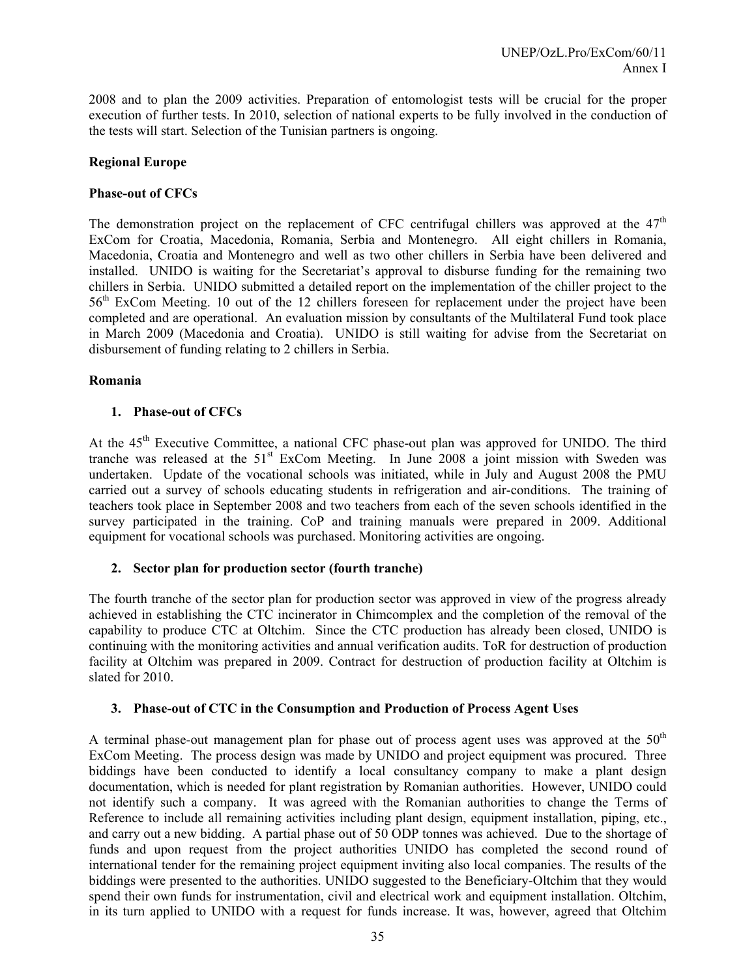2008 and to plan the 2009 activities. Preparation of entomologist tests will be crucial for the proper execution of further tests. In 2010, selection of national experts to be fully involved in the conduction of the tests will start. Selection of the Tunisian partners is ongoing.

### **Regional Europe**

#### **Phase-out of CFCs**

The demonstration project on the replacement of CFC centrifugal chillers was approved at the  $47<sup>th</sup>$ ExCom for Croatia, Macedonia, Romania, Serbia and Montenegro. All eight chillers in Romania, Macedonia, Croatia and Montenegro and well as two other chillers in Serbia have been delivered and installed. UNIDO is waiting for the Secretariat's approval to disburse funding for the remaining two chillers in Serbia. UNIDO submitted a detailed report on the implementation of the chiller project to the 56th ExCom Meeting. 10 out of the 12 chillers foreseen for replacement under the project have been completed and are operational. An evaluation mission by consultants of the Multilateral Fund took place in March 2009 (Macedonia and Croatia). UNIDO is still waiting for advise from the Secretariat on disbursement of funding relating to 2 chillers in Serbia.

#### **Romania**

#### **1. Phase-out of CFCs**

At the 45<sup>th</sup> Executive Committee, a national CFC phase-out plan was approved for UNIDO. The third tranche was released at the  $51<sup>st</sup>$  ExCom Meeting. In June 2008 a joint mission with Sweden was undertaken. Update of the vocational schools was initiated, while in July and August 2008 the PMU carried out a survey of schools educating students in refrigeration and air-conditions. The training of teachers took place in September 2008 and two teachers from each of the seven schools identified in the survey participated in the training. CoP and training manuals were prepared in 2009. Additional equipment for vocational schools was purchased. Monitoring activities are ongoing.

### **2. Sector plan for production sector (fourth tranche)**

The fourth tranche of the sector plan for production sector was approved in view of the progress already achieved in establishing the CTC incinerator in Chimcomplex and the completion of the removal of the capability to produce CTC at Oltchim. Since the CTC production has already been closed, UNIDO is continuing with the monitoring activities and annual verification audits. ToR for destruction of production facility at Oltchim was prepared in 2009. Contract for destruction of production facility at Oltchim is slated for 2010.

#### **3. Phase-out of CTC in the Consumption and Production of Process Agent Uses**

A terminal phase-out management plan for phase out of process agent uses was approved at the  $50<sup>th</sup>$ ExCom Meeting. The process design was made by UNIDO and project equipment was procured. Three biddings have been conducted to identify a local consultancy company to make a plant design documentation, which is needed for plant registration by Romanian authorities. However, UNIDO could not identify such a company. It was agreed with the Romanian authorities to change the Terms of Reference to include all remaining activities including plant design, equipment installation, piping, etc., and carry out a new bidding. A partial phase out of 50 ODP tonnes was achieved. Due to the shortage of funds and upon request from the project authorities UNIDO has completed the second round of international tender for the remaining project equipment inviting also local companies. The results of the biddings were presented to the authorities. UNIDO suggested to the Beneficiary-Oltchim that they would spend their own funds for instrumentation, civil and electrical work and equipment installation. Oltchim, in its turn applied to UNIDO with a request for funds increase. It was, however, agreed that Oltchim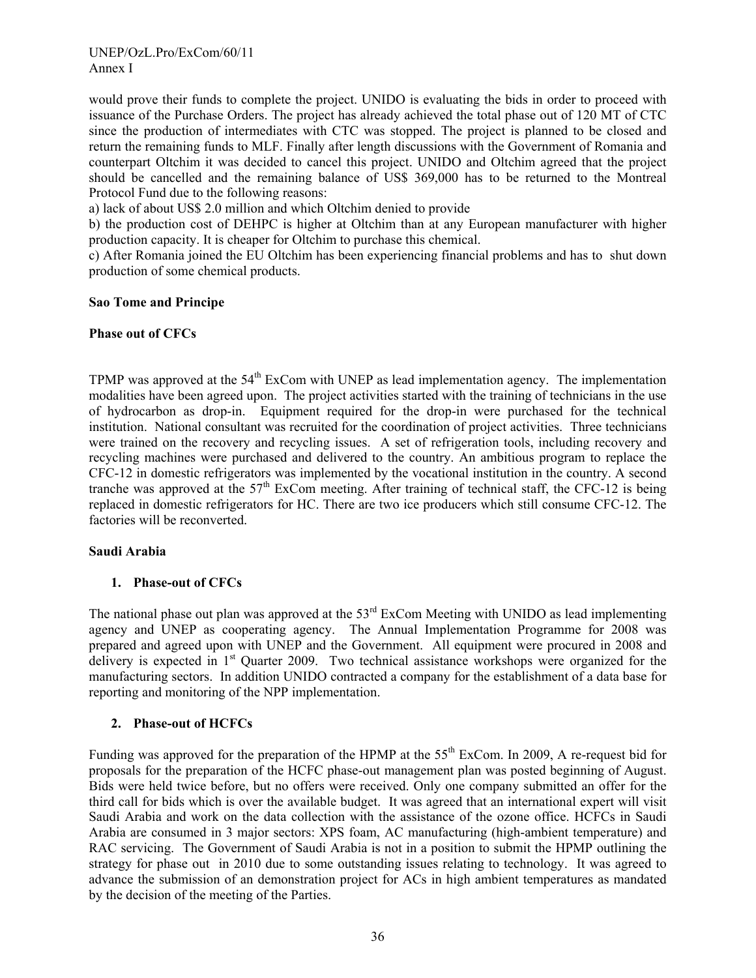#### UNEP/OzL.Pro/ExCom/60/11 Annex I

would prove their funds to complete the project. UNIDO is evaluating the bids in order to proceed with issuance of the Purchase Orders. The project has already achieved the total phase out of 120 MT of CTC since the production of intermediates with CTC was stopped. The project is planned to be closed and return the remaining funds to MLF. Finally after length discussions with the Government of Romania and counterpart Oltchim it was decided to cancel this project. UNIDO and Oltchim agreed that the project should be cancelled and the remaining balance of US\$ 369,000 has to be returned to the Montreal Protocol Fund due to the following reasons:

a) lack of about US\$ 2.0 million and which Oltchim denied to provide

b) the production cost of DEHPC is higher at Oltchim than at any European manufacturer with higher production capacity. It is cheaper for Oltchim to purchase this chemical.

c) After Romania joined the EU Oltchim has been experiencing financial problems and has to shut down production of some chemical products.

### **Sao Tome and Principe**

### **Phase out of CFCs**

TPMP was approved at the 54<sup>th</sup> ExCom with UNEP as lead implementation agency. The implementation modalities have been agreed upon. The project activities started with the training of technicians in the use of hydrocarbon as drop-in. Equipment required for the drop-in were purchased for the technical institution. National consultant was recruited for the coordination of project activities. Three technicians were trained on the recovery and recycling issues. A set of refrigeration tools, including recovery and recycling machines were purchased and delivered to the country. An ambitious program to replace the CFC-12 in domestic refrigerators was implemented by the vocational institution in the country. A second tranche was approved at the  $57<sup>th</sup>$  ExCom meeting. After training of technical staff, the CFC-12 is being replaced in domestic refrigerators for HC. There are two ice producers which still consume CFC-12. The factories will be reconverted.

### **Saudi Arabia**

### **1. Phase-out of CFCs**

The national phase out plan was approved at the 53<sup>rd</sup> ExCom Meeting with UNIDO as lead implementing agency and UNEP as cooperating agency. The Annual Implementation Programme for 2008 was prepared and agreed upon with UNEP and the Government. All equipment were procured in 2008 and delivery is expected in 1<sup>st</sup> Quarter 2009. Two technical assistance workshops were organized for the manufacturing sectors. In addition UNIDO contracted a company for the establishment of a data base for reporting and monitoring of the NPP implementation.

# **2. Phase-out of HCFCs**

Funding was approved for the preparation of the HPMP at the 55<sup>th</sup> ExCom. In 2009, A re-request bid for proposals for the preparation of the HCFC phase-out management plan was posted beginning of August. Bids were held twice before, but no offers were received. Only one company submitted an offer for the third call for bids which is over the available budget. It was agreed that an international expert will visit Saudi Arabia and work on the data collection with the assistance of the ozone office. HCFCs in Saudi Arabia are consumed in 3 major sectors: XPS foam, AC manufacturing (high-ambient temperature) and RAC servicing. The Government of Saudi Arabia is not in a position to submit the HPMP outlining the strategy for phase out in 2010 due to some outstanding issues relating to technology. It was agreed to advance the submission of an demonstration project for ACs in high ambient temperatures as mandated by the decision of the meeting of the Parties.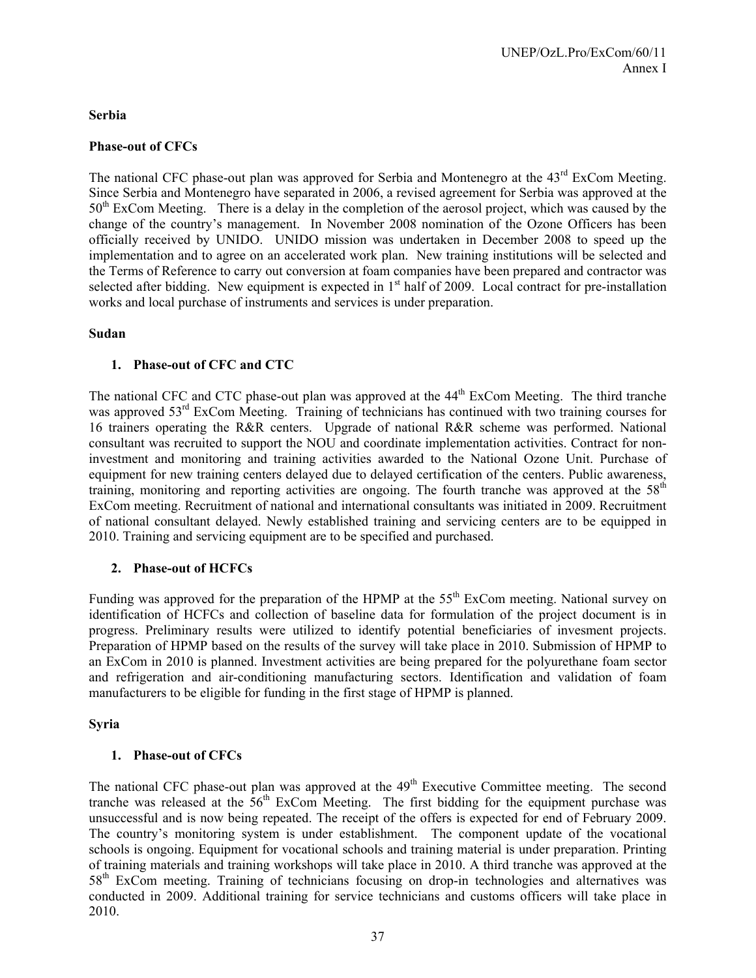### **Serbia**

# **Phase-out of CFCs**

The national CFC phase-out plan was approved for Serbia and Montenegro at the 43<sup>rd</sup> ExCom Meeting. Since Serbia and Montenegro have separated in 2006, a revised agreement for Serbia was approved at the  $50<sup>th</sup>$  ExCom Meeting. There is a delay in the completion of the aerosol project, which was caused by the change of the country's management. In November 2008 nomination of the Ozone Officers has been officially received by UNIDO. UNIDO mission was undertaken in December 2008 to speed up the implementation and to agree on an accelerated work plan. New training institutions will be selected and the Terms of Reference to carry out conversion at foam companies have been prepared and contractor was selected after bidding. New equipment is expected in 1<sup>st</sup> half of 2009. Local contract for pre-installation works and local purchase of instruments and services is under preparation.

### **Sudan**

### **1. Phase-out of CFC and CTC**

The national CFC and CTC phase-out plan was approved at the 44<sup>th</sup> ExCom Meeting. The third tranche was approved 53<sup>rd</sup> ExCom Meeting. Training of technicians has continued with two training courses for 16 trainers operating the R&R centers. Upgrade of national R&R scheme was performed. National consultant was recruited to support the NOU and coordinate implementation activities. Contract for noninvestment and monitoring and training activities awarded to the National Ozone Unit. Purchase of equipment for new training centers delayed due to delayed certification of the centers. Public awareness, training, monitoring and reporting activities are ongoing. The fourth tranche was approved at the  $58<sup>th</sup>$ ExCom meeting. Recruitment of national and international consultants was initiated in 2009. Recruitment of national consultant delayed. Newly established training and servicing centers are to be equipped in 2010. Training and servicing equipment are to be specified and purchased.

### **2. Phase-out of HCFCs**

Funding was approved for the preparation of the HPMP at the 55<sup>th</sup> ExCom meeting. National survey on identification of HCFCs and collection of baseline data for formulation of the project document is in progress. Preliminary results were utilized to identify potential beneficiaries of invesment projects. Preparation of HPMP based on the results of the survey will take place in 2010. Submission of HPMP to an ExCom in 2010 is planned. Investment activities are being prepared for the polyurethane foam sector and refrigeration and air-conditioning manufacturing sectors. Identification and validation of foam manufacturers to be eligible for funding in the first stage of HPMP is planned.

### **Syria**

### **1. Phase-out of CFCs**

The national CFC phase-out plan was approved at the 49<sup>th</sup> Executive Committee meeting. The second tranche was released at the  $56<sup>th</sup>$  ExCom Meeting. The first bidding for the equipment purchase was unsuccessful and is now being repeated. The receipt of the offers is expected for end of February 2009. The country's monitoring system is under establishment. The component update of the vocational schools is ongoing. Equipment for vocational schools and training material is under preparation. Printing of training materials and training workshops will take place in 2010. A third tranche was approved at the 58th ExCom meeting. Training of technicians focusing on drop-in technologies and alternatives was conducted in 2009. Additional training for service technicians and customs officers will take place in 2010.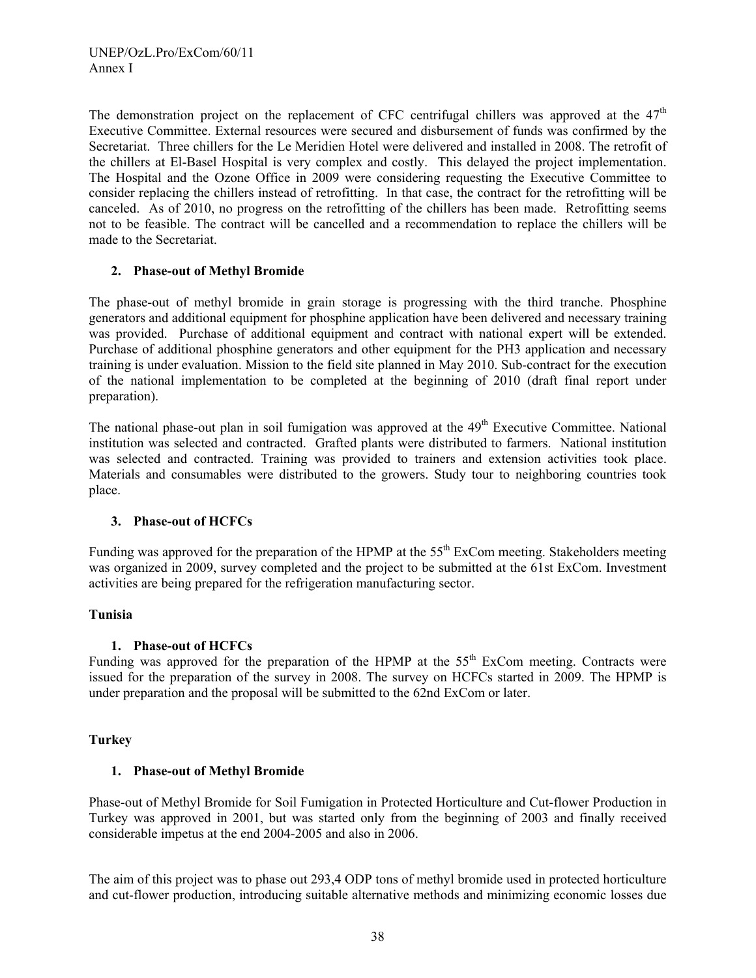The demonstration project on the replacement of CFC centrifugal chillers was approved at the  $47<sup>th</sup>$ Executive Committee. External resources were secured and disbursement of funds was confirmed by the Secretariat. Three chillers for the Le Meridien Hotel were delivered and installed in 2008. The retrofit of the chillers at El-Basel Hospital is very complex and costly. This delayed the project implementation. The Hospital and the Ozone Office in 2009 were considering requesting the Executive Committee to consider replacing the chillers instead of retrofitting. In that case, the contract for the retrofitting will be canceled. As of 2010, no progress on the retrofitting of the chillers has been made. Retrofitting seems not to be feasible. The contract will be cancelled and a recommendation to replace the chillers will be made to the Secretariat.

# **2. Phase-out of Methyl Bromide**

The phase-out of methyl bromide in grain storage is progressing with the third tranche. Phosphine generators and additional equipment for phosphine application have been delivered and necessary training was provided. Purchase of additional equipment and contract with national expert will be extended. Purchase of additional phosphine generators and other equipment for the PH3 application and necessary training is under evaluation. Mission to the field site planned in May 2010. Sub-contract for the execution of the national implementation to be completed at the beginning of 2010 (draft final report under preparation).

The national phase-out plan in soil fumigation was approved at the  $49<sup>th</sup>$  Executive Committee. National institution was selected and contracted. Grafted plants were distributed to farmers. National institution was selected and contracted. Training was provided to trainers and extension activities took place. Materials and consumables were distributed to the growers. Study tour to neighboring countries took place.

### **3. Phase-out of HCFCs**

Funding was approved for the preparation of the HPMP at the 55<sup>th</sup> ExCom meeting. Stakeholders meeting was organized in 2009, survey completed and the project to be submitted at the 61st ExCom. Investment activities are being prepared for the refrigeration manufacturing sector.

### **Tunisia**

# **1. Phase-out of HCFCs**

Funding was approved for the preparation of the HPMP at the  $55<sup>th</sup>$  ExCom meeting. Contracts were issued for the preparation of the survey in 2008. The survey on HCFCs started in 2009. The HPMP is under preparation and the proposal will be submitted to the 62nd ExCom or later.

### **Turkey**

# **1. Phase-out of Methyl Bromide**

Phase-out of Methyl Bromide for Soil Fumigation in Protected Horticulture and Cut-flower Production in Turkey was approved in 2001, but was started only from the beginning of 2003 and finally received considerable impetus at the end 2004-2005 and also in 2006.

The aim of this project was to phase out 293,4 ODP tons of methyl bromide used in protected horticulture and cut-flower production, introducing suitable alternative methods and minimizing economic losses due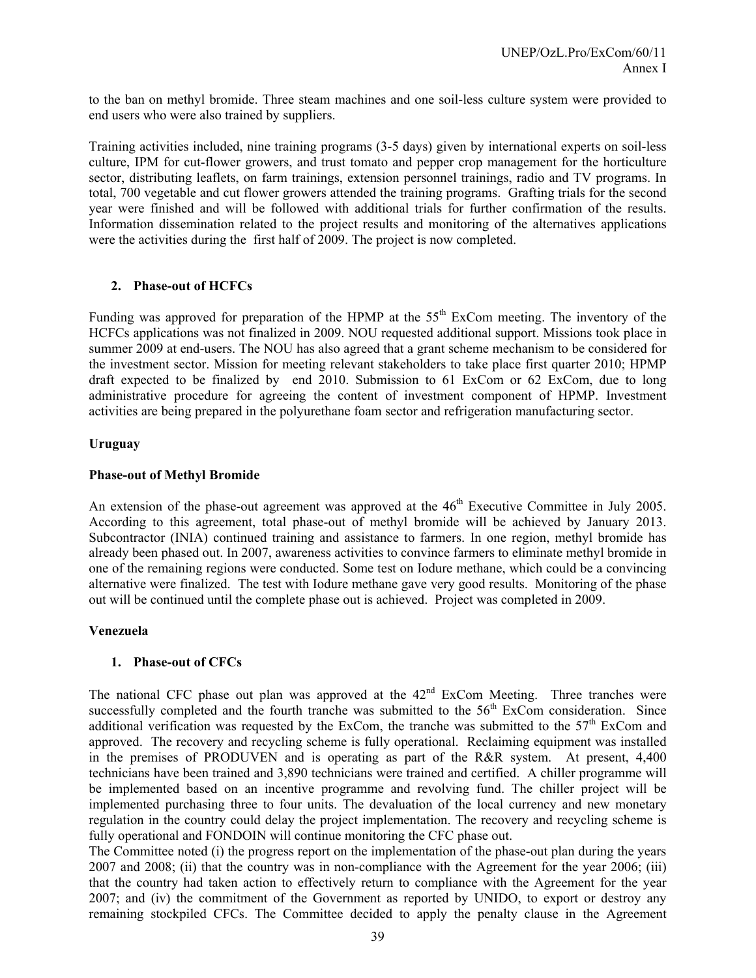to the ban on methyl bromide. Three steam machines and one soil-less culture system were provided to end users who were also trained by suppliers.

Training activities included, nine training programs (3-5 days) given by international experts on soil-less culture, IPM for cut-flower growers, and trust tomato and pepper crop management for the horticulture sector, distributing leaflets, on farm trainings, extension personnel trainings, radio and TV programs. In total, 700 vegetable and cut flower growers attended the training programs. Grafting trials for the second year were finished and will be followed with additional trials for further confirmation of the results. Information dissemination related to the project results and monitoring of the alternatives applications were the activities during the first half of 2009. The project is now completed.

#### **2. Phase-out of HCFCs**

Funding was approved for preparation of the HPMP at the 55<sup>th</sup> ExCom meeting. The inventory of the HCFCs applications was not finalized in 2009. NOU requested additional support. Missions took place in summer 2009 at end-users. The NOU has also agreed that a grant scheme mechanism to be considered for the investment sector. Mission for meeting relevant stakeholders to take place first quarter 2010; HPMP draft expected to be finalized by end 2010. Submission to 61 ExCom or 62 ExCom, due to long administrative procedure for agreeing the content of investment component of HPMP. Investment activities are being prepared in the polyurethane foam sector and refrigeration manufacturing sector.

#### **Uruguay**

#### **Phase-out of Methyl Bromide**

An extension of the phase-out agreement was approved at the  $46<sup>th</sup>$  Executive Committee in July 2005. According to this agreement, total phase-out of methyl bromide will be achieved by January 2013. Subcontractor (INIA) continued training and assistance to farmers. In one region, methyl bromide has already been phased out. In 2007, awareness activities to convince farmers to eliminate methyl bromide in one of the remaining regions were conducted. Some test on Iodure methane, which could be a convincing alternative were finalized. The test with Iodure methane gave very good results. Monitoring of the phase out will be continued until the complete phase out is achieved. Project was completed in 2009.

#### **Venezuela**

#### **1. Phase-out of CFCs**

The national CFC phase out plan was approved at the  $42<sup>nd</sup>$  ExCom Meeting. Three tranches were successfully completed and the fourth tranche was submitted to the  $56<sup>th</sup>$  ExCom consideration. Since additional verification was requested by the ExCom, the tranche was submitted to the  $57<sup>th</sup>$  ExCom and approved. The recovery and recycling scheme is fully operational. Reclaiming equipment was installed in the premises of PRODUVEN and is operating as part of the R&R system. At present, 4,400 technicians have been trained and 3,890 technicians were trained and certified. A chiller programme will be implemented based on an incentive programme and revolving fund. The chiller project will be implemented purchasing three to four units. The devaluation of the local currency and new monetary regulation in the country could delay the project implementation. The recovery and recycling scheme is fully operational and FONDOIN will continue monitoring the CFC phase out.

The Committee noted (i) the progress report on the implementation of the phase-out plan during the years 2007 and 2008; (ii) that the country was in non-compliance with the Agreement for the year 2006; (iii) that the country had taken action to effectively return to compliance with the Agreement for the year 2007; and (iv) the commitment of the Government as reported by UNIDO, to export or destroy any remaining stockpiled CFCs. The Committee decided to apply the penalty clause in the Agreement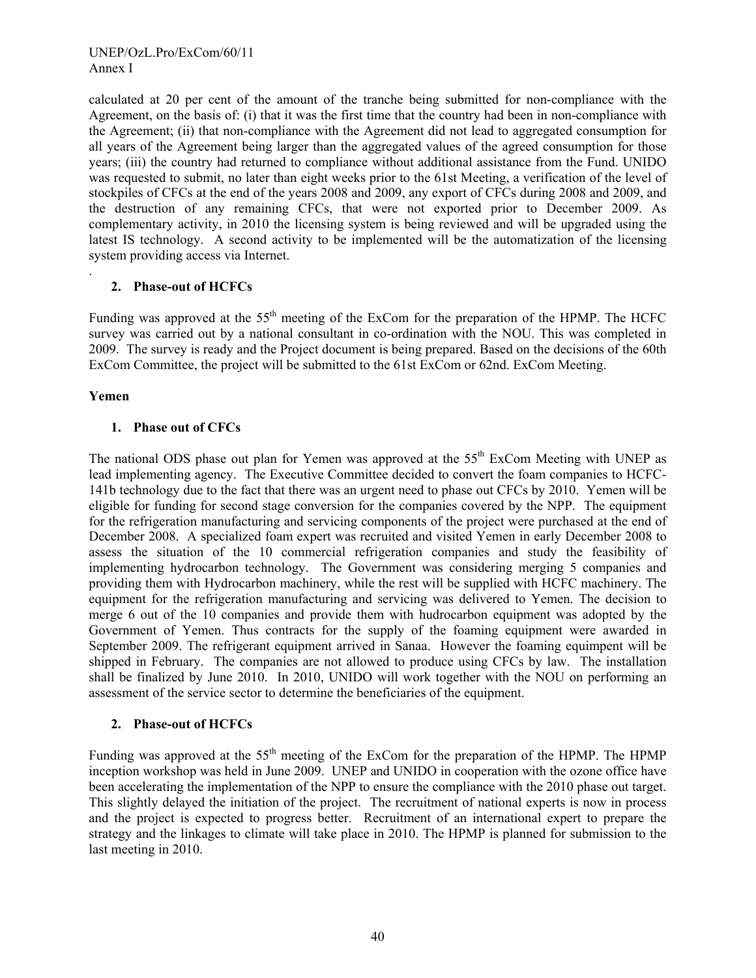calculated at 20 per cent of the amount of the tranche being submitted for non-compliance with the Agreement, on the basis of: (i) that it was the first time that the country had been in non-compliance with the Agreement; (ii) that non-compliance with the Agreement did not lead to aggregated consumption for all years of the Agreement being larger than the aggregated values of the agreed consumption for those years; (iii) the country had returned to compliance without additional assistance from the Fund. UNIDO was requested to submit, no later than eight weeks prior to the 61st Meeting, a verification of the level of stockpiles of CFCs at the end of the years 2008 and 2009, any export of CFCs during 2008 and 2009, and the destruction of any remaining CFCs, that were not exported prior to December 2009. As complementary activity, in 2010 the licensing system is being reviewed and will be upgraded using the latest IS technology. A second activity to be implemented will be the automatization of the licensing system providing access via Internet.

# **2. Phase-out of HCFCs**

Funding was approved at the 55<sup>th</sup> meeting of the ExCom for the preparation of the HPMP. The HCFC survey was carried out by a national consultant in co-ordination with the NOU. This was completed in 2009. The survey is ready and the Project document is being prepared. Based on the decisions of the 60th ExCom Committee, the project will be submitted to the 61st ExCom or 62nd. ExCom Meeting.

# **Yemen**

.

# **1. Phase out of CFCs**

The national ODS phase out plan for Yemen was approved at the  $55<sup>th</sup>$  ExCom Meeting with UNEP as lead implementing agency. The Executive Committee decided to convert the foam companies to HCFC-141b technology due to the fact that there was an urgent need to phase out CFCs by 2010. Yemen will be eligible for funding for second stage conversion for the companies covered by the NPP. The equipment for the refrigeration manufacturing and servicing components of the project were purchased at the end of December 2008. A specialized foam expert was recruited and visited Yemen in early December 2008 to assess the situation of the 10 commercial refrigeration companies and study the feasibility of implementing hydrocarbon technology. The Government was considering merging 5 companies and providing them with Hydrocarbon machinery, while the rest will be supplied with HCFC machinery. The equipment for the refrigeration manufacturing and servicing was delivered to Yemen. The decision to merge 6 out of the 10 companies and provide them with hudrocarbon equipment was adopted by the Government of Yemen. Thus contracts for the supply of the foaming equipment were awarded in September 2009. The refrigerant equipment arrived in Sanaa. However the foaming equimpent will be shipped in February. The companies are not allowed to produce using CFCs by law. The installation shall be finalized by June 2010. In 2010, UNIDO will work together with the NOU on performing an assessment of the service sector to determine the beneficiaries of the equipment.

# **2. Phase-out of HCFCs**

Funding was approved at the 55<sup>th</sup> meeting of the ExCom for the preparation of the HPMP. The HPMP inception workshop was held in June 2009. UNEP and UNIDO in cooperation with the ozone office have been accelerating the implementation of the NPP to ensure the compliance with the 2010 phase out target. This slightly delayed the initiation of the project. The recruitment of national experts is now in process and the project is expected to progress better. Recruitment of an international expert to prepare the strategy and the linkages to climate will take place in 2010. The HPMP is planned for submission to the last meeting in 2010.